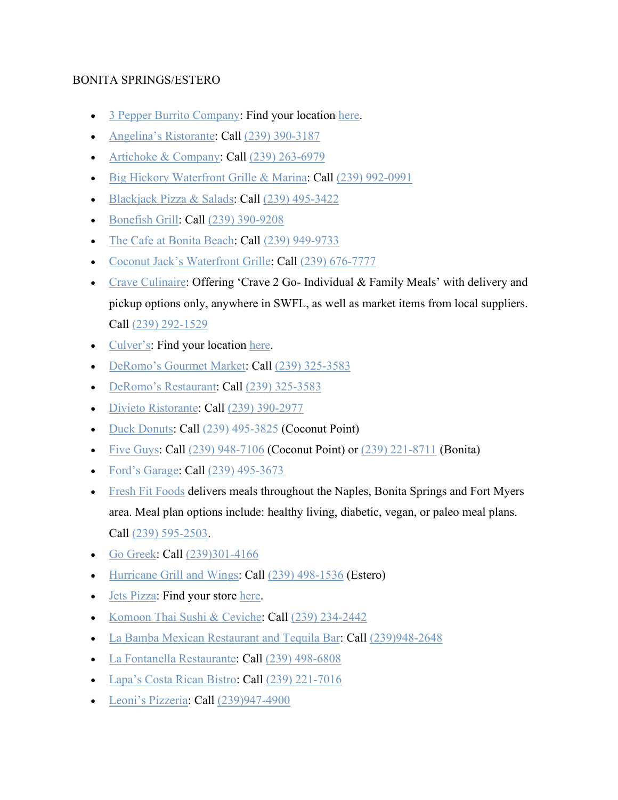### BONITA SPRINGS/ESTERO

- [3 Pepper Burrito Company:](http://3pepperburrito.com/) Find your location [here.](http://3pepperburrito.com/locations/)
- [Angelina's Ristorante:](https://angelinasofbonitasprings.com/carry-out/) Call [\(239\) 390-3187](https://www.google.com/search?q=angelinas+ristorante&rlz=1C1GGGE_enUS570US571&oq=angelinas+ristorante&aqs=chrome..69i57.4153j0j4&sourceid=chrome&ie=UTF-8)
- [Artichoke & Company:](https://www.artichokeandcompany.com/) Call  $(239)$  263-6979
- [Big Hickory Waterfront Grille & Marina:](http://www.bighickory.net/) Call [\(239\) 992-0991](https://www.google.com/search?q=big+hickory&rlz=1C1GGGE_enUS570US571&oq=big+hickory+&aqs=chrome..69i57.3533j0j4&sourceid=chrome&ie=UTF-8)
- [Blackjack Pizza & Salads:](http://blackjackpizza.com/florida/location/bonita-springs/) Call [\(239\) 495-3422](https://www.google.com/search?q=blackjacks+pizza&rlz=1C1GGGE_enUS570US571&oq=blackjacks+pizza&aqs=chrome..69i57.2738j0j4&sourceid=chrome&ie=UTF-8)
- [Bonefish Grill:](https://www.bonefishgrill.com/) Call [\(239\) 390-9208](https://www.google.com/search?rlz=1C1GGGE_enUS570US571&tbm=lcl&sxsrf=ALeKk013CUrWB5XLe4ukII9toJQNFXmL2Q%3A1585240174381&ei=bth8Xo7xFsGrytMPzuqK2Ac&q=bonefish+grill&oq=bo&gs_l=psy-ab.3.0.35i39k1l3j0l4j0i131k1j0l2.425076.426310.0.427465.4.3.1.0.0.0.156.398.0j3.3.0....0...1c.1.64.psy-ab..0.4.423...0i67k1j0i10i67k1.0.v0gEYf0vFiY)
- [The Cafe at Bonita Beach:](https://www.facebook.com/TheCafeAtBonitaBeach/) Call [\(239\) 949-9733](https://www.google.com/search?q=The+Cafe+at+Bonita+Beach&rlz=1C1GGGE_enUS570US571&oq=The+Cafe+at+Bonita+Beach&aqs=chrome..69i57.796j0j7&sourceid=chrome&ie=UTF-8)
- [Coconut Jack's Waterfront Grille:](https://www.coconutjacks.com/) Call [\(239\) 676-7777](https://www.google.com/search?q=coconut+jack%27s+waterfront+grille&oq=coconut+jacks+waterfron&aqs=chrome.1.69i57j0l5.7896j0j4&sourceid=chrome&ie=UTF-8)
- [Crave Culinaire:](https://www.craveculinaire.com/crave2go/) Offering 'Crave 2 Go- Individual & Family Meals' with delivery and pickup options only, anywhere in SWFL, as well as market items from local suppliers. Call [\(239\) 292-1529](https://www.google.com/search?q=crave2go&oq=crave2go&aqs=chrome.0.69i59j69i60.1343j0j4&sourceid=chrome&ie=UTF-8)
- [Culver's:](https://www.culvers.com/) Find your location [here.](https://www.culvers.com/locator/view-all-locations)
- [DeRomo's Gourmet Market:](https://deromos.com/now-offering-curbside-service/?utm_source=Corona%20Virus&utm_campaign=Wed%20%40%2010%3A00%20AM&utm_medium=email) Call [\(239\) 325-3583](https://www.google.com/search?q=deromo+market&rlz=1C1GGGE_enUS570US571&oq=deromo+market&aqs=chrome..69i57j69i60j69i61.2278j0j4&sourceid=chrome&ie=UTF-8)
- [DeRomo's Restaurant:](https://deromos.com/now-offering-curbside-service/?utm_source=Corona%20Virus&utm_campaign=Wed%20%40%2010%3A00%20AM&utm_medium=email) Call [\(239\) 325-3583](https://www.google.com/search?rlz=1C1GGGE_enUS570US571&sxsrf=ALeKk01q6IFoDikY9Cy9uRvfBSUz8-zatQ%3A1584639375415&ei=j61zXuf-GPKc_Qb06qaIDg&q=deromo+restaurant&oq=deromo+resta&gs_l=psy-ab.3.0.0j0i20i263j0i22i30l8.19988.20514..21755...0.2..0.145.699.0j6......0....1..gws-wiz.......0i71j0i67.Ndf1FDFtTCQ)
- [Divieto Ristorante:](https://www.divietoristorante.com/) Call [\(239\) 390-2977](https://www.google.com/search?q=divieto+ristorante+estero&rlz=1C1GGGE_enUS570US571&oq=divieto&aqs=chrome.0.69i59j69i57j69i60l2j69i61.1803j0j7&sourceid=chrome&ie=UTF-8)
- [Duck Donuts:](https://www.duckdonuts.com/) Call [\(239\) 495-3825](https://www.google.com/search?q=duck%20donuts&rlz=1C1GGGE_enUS570US571&oq=duck+donuts&aqs=chrome..69i57j69i64.2389j0j4&sourceid=chrome&ie=UTF-8&sxsrf=ALeKk026P_0Q2iuRyTthXpbhjrngtutKVQ:1584627824222&npsic=0&rflfq=1&rlha=0&rllag=26371051,-81822812,19471&tbm=lcl&rldimm=16603780102165950859&lqi=CgtkdWNrIGRvbnV0cyIDiAEBWhoKC2R1Y2sgZG9udXRzIgtkdWNrIGRvbnV0cw&ved=2ahUKEwii_cDU3qboAhXmUd8KHT78BBMQvS4wCXoECAYQLA&rldoc=1&tbs=lrf:!1m4!1u3!2m2!3m1!1e1!1m4!1u16!2m2!16m1!1e1!1m4!1u16!2m2!16m1!1e2!1m5!1u15!2m2!15m1!1shas_1wheelchair_1accessible_1entrance!4e2!2m1!1e16!2m1!1e3!3sIAE,lf:1,lf_ui:4&rlst=f) (Coconut Point)
- [Five Guys:](https://www.fiveguys.com/) Call  $(239)$  948-7106 (Coconut Point) or  $(239)$  221-8711 (Bonita)
- [Ford's Garage:](https://www.fordsgarageusa.com/locations/estero/) **Call** [\(239\) 495-3673](https://www.google.com/search?q=fords%20garage&rlz=1C1GGGE_enUS570US571&oq=fords+garage&aqs=chrome..69i57.1684j0j4&sourceid=chrome&ie=UTF-8&sxsrf=ALeKk012uunOPGM0TuBED4z12Ns0ddgZTg:1585016619581&npsic=0&rflfq=1&rlha=0&rllag=26541289,-81856710,14169&tbm=lcl&rldimm=2759868858344347122&lqi=Cgxmb3JkcyBnYXJhZ2UiA4gBAUjNl4Cu1JWAgAhaJAoMZm9yZHMgZ2FyYWdlEAAQARgAGAEiDGZvcmRzIGdhcmFnZQ&ved=2ahUKEwj0usqEh7LoAhXvYN8KHctqAIUQvS4wB3oECAwQHA&rldoc=1&tbs=lrf:!1m4!1u3!2m2!3m1!1e1!1m4!1u16!2m2!16m1!1e1!1m4!1u16!2m2!16m1!1e2!1m5!1u15!2m2!15m1!1shas_1wheelchair_1accessible_1entrance!4e2!2m1!1e16!2m1!1e3!3sIAE,lf:1,lf_ui:4&rlst=f)
- [Fresh Fit Foods](http://freshfitnaples.com/) delivers meals throughout the Naples, Bonita Springs and Fort Myers area. Meal plan options include: healthy living, diabetic, vegan, or paleo meal plans. Call [\(239\) 595-2503.](https://www.google.com/search?q=fresh+fit+foods&rlz=1C1GGGE_enUS570US571&oq=fresh+&aqs=chrome.0.69i59j69i57j69i59j69i60l2j69i61j69i60.1023j0j7&sourceid=chrome&ie=UTF-8)
- [Go Greek:](https://molon-labe-souvlaki.business.site/) Call [\(239\)301-4166](https://www.google.com/search?client=safari&rls=en&q=go+greek&ie=UTF-8&oe=UTF-8)
- [Hurricane Grill and Wings:](https://hurricanewings.com/) Call [\(239\) 498-1536](https://www.google.com/search?q=hurricane%20wings&rlz=1C1GGGE_enUS570US571&oq=hurricane+wings&aqs=chrome..69i57.5281j0j9&sourceid=chrome&ie=UTF-8&sxsrf=ALeKk01bUV_In8VIFWJEcbbJbuYyANM31w:1584669401439&npsic=0&rflfq=1&rlha=0&rllag=26313415,-81790639,10544&tbm=lcl&rldimm=17347776100489747989&lqi=Cg9odXJyaWNhbmUgd2luZ3MiA4gBAUirxc3j54CAgAhaKgoPaHVycmljYW5lIHdpbmdzEAAQARgAGAEiD2h1cnJpY2FuZSB3aW5ncw&ved=2ahUKEwjBgonG-afoAhUHIqwKHQb9AZ0QvS4wBnoECA8QJA&rldoc=1&tbs=lrf:!1m4!1u3!2m2!3m1!1e1!1m4!1u16!2m2!16m1!1e1!1m4!1u16!2m2!16m1!1e2!1m5!1u15!2m2!15m1!1shas_1takeout!4e2!1m5!1u15!2m2!15m1!1shas_1wheelchair_1accessible_1entrance!4e2!2m1!1e16!2m1!1e3!3sIAE,lf:1,lf_ui:4&rlst=f) (Estero)
- [Jets Pizza:](https://www.jetspizza.com/announcements/announcement/covid19) Find your store [here.](https://www.jetspizza.com/stores/zip)
- [Komoon Thai Sushi & Ceviche:](http://www.komoonthai.com/) Call [\(239\) 234-2442](https://www.google.com/search?q=komoon+bonita&rlz=1C1GGGE_enUS570US571&oq=komoon+bonita&aqs=chrome..69i57.3713j0j9&sourceid=chrome&ie=UTF-8)
- [La Bamba Mexican Restaurant and Tequila Bar:](https://labambarestaurantbar.com/) Call [\(239\)948-2648](https://www.google.com/search?client=safari&rls=en&q=la+bamba+miromar+outlets&ie=UTF-8&oe=UTF-8)
- [La Fontanella Restaurante:](http://www.lafontanellarestaurant.net/) Call [\(239\) 498-6808](https://www.google.com/search?q=la+fontanella+restaurant&oq=la+fontanella+re&aqs=chrome.0.0l2j69i57j0l3.5325j0j7&sourceid=chrome&ie=UTF-8)
- [Lapa's Costa Rican Bistro:](https://www.lapascr.com/) Call [\(239\) 221-7016](https://www.google.com/search?q=lapas+costa+rican+bistro&rlz=1C1GGGE_enUS570US571&oq=lapas+costa+rican+bistro&aqs=chrome..69i57.3690j0j7&sourceid=chrome&ie=UTF-8)
- [Leoni's Pizzeria:](http://www.leonispizza.com/) Call [\(239\)947-4900](https://www.google.com/search?client=safari&rls=en&q=leoni%27s%20pizzeria&ie=UTF-8&oe=UTF-8&sxsrf=ALeKk02ZOuiPOHVDHzCh2Rldui82_Ehthw:1586986347701&npsic=0&rflfq=1&rlha=0&rllag=26359765,-81814692,11360&tbm=lcl&rldimm=5745109524474844234&lqi=ChBsZW9uaSdzIHBpenplcmlhIgOIAQFI0eXfnKCugIAIWiwKEGxlb25pJ3MgcGl6emVyaWEQABABGAAYASIQbGVvbmkncyBwaXp6ZXJpYQ&ved=2ahUKEwjfipLssOvoAhVqiOAKHUluCVUQvS4wA3oECAsQKw&rldoc=1&tbs=lrf:!1m4!1u3!2m2!3m1!1e1!1m5!1u15!2m2!15m1!1shas_1wheelchair_1accessible_1entrance!4e2!2m1!1e3!3sIAE,lf:1,lf_ui:4&rlst=f)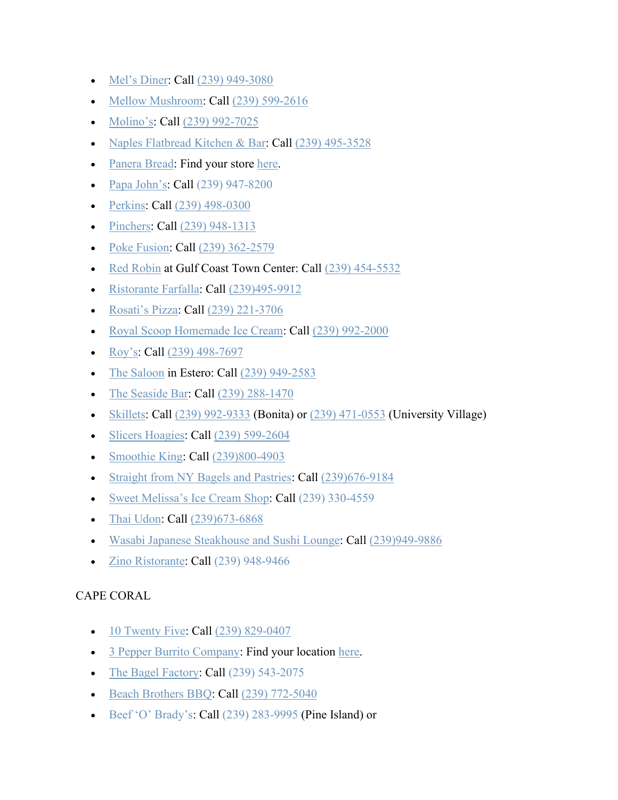- [Mel's Diner:](https://melsdiners.com/) Call [\(239\) 949-3080](https://www.google.com/search?sxsrf=ALeKk03fzRW-ppkLfs_Dys1rBo5AyU9_qg%3A1584990419410&ei=0wh5Xt_ZGIbitQX474XYDQ&q=mel%27s+diner+bonita&oq=mel%27s+diner+bonita&gs_l=psy-ab.3..0l9.38533.39375..39490...0.2..0.255.783.3j2j1......0....1..gws-wiz.......0i71.FW8ykRyeKuw&ved=0ahUKEwifj6-3pbHoAhUGca0KHfh3AdsQ4dUDCAs&uact=5)
- [Mellow Mushroom:](https://mellowmushroom.com/) Call [\(239\) 599-2616](https://www.google.com/search?q=mellow%20mushroom&rlz=1C1GGGE_enUS570US571&oq=mellow&aqs=chrome.0.69i59j69i57j69i60l2.1219j0j7&sourceid=chrome&ie=UTF-8&sxsrf=ALeKk01yx8xruhSS26hkx-HMNL8x-fXfPg:1585015880560&npsic=0&rflfq=1&rlha=0&rllag=26499655,-81806972,6213&tbm=lcl&rldimm=2966432720914779734&lqi=Cg9tZWxsb3cgbXVzaHJvb20iA4gBAUi_8YzM8q6AgAhaKgoPbWVsbG93IG11c2hyb29tEAAQARgAGAEiD21lbGxvdyBtdXNocm9vbQ&ved=2ahUKEwihq5ikhLLoAhVomeAKHQ0JDX0QvS4wB3oECBIQHA&rldoc=1&tbs=lrf:!1m4!1u3!2m2!3m1!1e1!1m4!1u16!2m2!16m1!1e1!1m4!1u16!2m2!16m1!1e2!1m4!1u15!2m2!15m1!1shas_1takeout!1m5!1u15!2m2!15m1!1shas_1wheelchair_1accessible_1entrance!4e2!2m1!1e16!2m1!1e3!3sIAE,lf:1,lf_ui:4&rlst=f)
- [Molino's:](https://molinosrestaurant.com/) Call [\(239\) 992-7025](https://www.google.com/search?ei=4pmPXoejAojwsQXMhp94&q=molinos&oq=molinos&gs_lcp=CgZwc3ktYWIQAzICCAAyBAgAEEMyAggAMgIIADICCAAyAggAMgIIADICCAAyAggAMgIIADoECAAQRzoFCAAQgwE6BQgAEJECOgQIABAKSiIIFxIeMGc5M2cxMDRnOTJnMTA0Zzg4Zzk2Zzg4ZzEyLTEzShgIGBIUMGcxZzJnMWcxZzFnMmcyZzEyLTVQ3tAPWJOLEGCAmBBoA3AFeACAAWmIAYUHkgEDOS4xmAEAoAEBqgEHZ3dzLXdpeg&sclient=psy-ab&ved=0ahUKEwiHnMXuqtzoAhUIeKwKHUzDBw8Q4dUDCAw&uact=5)
- [Naples Flatbread Kitchen & Bar:](https://www.naplesflatbread.com/) Call [\(239\) 495-3528](https://www.google.com/search?q=naples+flatbread+estero&rlz=1C1GGGE_enUS570US571&oq=naples+flatbread+estero&aqs=chrome..69i57.3939j0j9&sourceid=chrome&ie=UTF-8)
- [Panera Bread:](https://www.panerabread.com/en-us/home.html) Find your store [here.](https://delivery.panerabread.com/cafeLocations/)
- [Papa John's:](https://www.papajohns.com/) Call [\(239\) 947-8200](https://scanmail.trustwave.com/?c=4062&d=jq-E3gz9I_oaRDj_9-85Y9bQaZLbvfwOtW7L1twB_Q&s=1508&u=https%3a%2f%2fwww%2egoogle%2ecom%2fsearch%3frlz%3d1C1CHBF%5fenUS854US854%26sxsrf%3dALeKk011ZpCEYS%5ftzjUnF4qTrwSLRIRxeA%253A1585749848969%26ei%3dWJ-EXtvTOsqJggeZ4buQCA%26q%3dpapa%2bjohn%2bbonita%2bsprings%26oq%3dpapa%2bjohn%2bbonita%2bsprings%26gs%5flcp%3dCgZwc3ktYWIQAzIECAAQDTIECAAQDTIGCAAQFhAeMgYIABAWEB4yBggAEBYQHjIICAAQFhAKEB4yAggmMgUIABDNAjIFCAAQzQIyBQgAEM0COgQIABBHOgIIADoECAAQCjoHCAAQFBCHAjoKCAAQCBANEAoQHjoFCCEQoAFQhrO9AVjOyL0BYJ3KvQFoBXADeACAAZoBiAG1EJIBBDIuMTeYAQCgAQGqAQdnd3Mtd2l6%26sclient%3dpsy-ab%26ved%3d0ahUKEwjb38zDssfoAhXKhOAKHZnwDoIQ4dUDCAs%26uact%3d5)
- [Perkins:](https://stores.perkinsrestaurants.com/us/fl/bonita-springs/27941-crown-lake-blvd.html) Call [\(239\) 498-0300](https://www.google.com/search?q=perkins+bonita&rlz=1C1GGGE_enUS570US571&oq=perkins+bonita&aqs=chrome..69i57.2028j0j7&sourceid=chrome&ie=UTF-8)
- [Pinchers:](https://www.pinchersusa.com/) Call [\(239\) 948-1313](https://www.google.com/search?q=pinchers+bonita&oq=pinchers+bonita&aqs=chrome..69i57j0l7.2913j0j4&sourceid=chrome&ie=UTF-8)
- [Poke Fusion:](https://pokefusionswfl.com/) Call [\(239\) 362-2579](https://www.google.com/search?q=poke+fushion&rlz=1C1GGGE_enUS570US571&oq=poke+fushion&aqs=chrome..69i57.1561j0j9&sourceid=chrome&ie=UTF-8)
- [Red Robin](https://www.redrobin.com/) at Gulf Coast Town Center: Call [\(239\) 454-5532](https://www.google.com/search?q=red+robin+gulf+coast+town+center&rlz=1C1GGGE_enUS570US571&oq=red+robin+gulf+coast+town+center&aqs=chrome..69i57.6983j0j7&sourceid=chrome&ie=UTF-8)
- [Ristorante Farfalla:](http://ristorantefarfalla.com/) Call [\(239\)495-9912](https://www.google.com/search?client=safari&rls=en&q=ristorante+farfalla&ie=UTF-8&oe=UTF-8)
- [Rosati's Pizza:](https://myrosatis.com/estero/) Call [\(239\) 221-3706](https://www.google.com/search?q=rosatis+estero&rlz=1C1GGGE_enUS570US571&oq=rosati&aqs=chrome.0.69i59j69i57j69i59l2.2704j0j7&sourceid=chrome&ie=UTF-8)
- [Royal Scoop Homemade Ice Cream:](https://www.royalscoop.com/) Call [\(239\) 992-2000](https://www.google.com/search?q=Royal%20Scoop%20Homemade%20Ice%20Cream&rlz=1C1GGGE_enUS570US571&oq=Royal+Scoop+Homemade+Ice+Cream&aqs=chrome..69i57.258j0j4&sourceid=chrome&ie=UTF-8&sxsrf=ALeKk03APNW2Ab2ihN6zeAkJ8a8gEONSog:1585078017478&npsic=0&rflfq=1&rlha=0&rllag=26240178,-81770231,10528&tbm=lcl&rldimm=10898678202288140125&lqi=Ch5Sb3lhbCBTY29vcCBIb21lbWFkZSBJY2UgQ3JlYW0iA4gBAUj9vIS95YCAgAhaVAoecm95YWwgc2Nvb3AgaG9tZW1hZGUgaWNlIGNyZWFtEAAQARACEAMQBBgAGAEYAhgDGAQiHnJveWFsIHNjb29wIGhvbWVtYWRlIGljZSBjcmVhbQ&ved=2ahUKEwi-4LDh67PoAhXqnuAKHeS4ClYQvS4wBHoECAsQIw&rldoc=1&tbs=lrf:!1m4!1u3!2m2!3m1!1e1!1m4!1u16!2m2!16m1!1e1!1m4!1u16!2m2!16m1!1e2!1m5!1u15!2m2!15m1!1shas_1wheelchair_1accessible_1entrance!4e2!2m1!1e16!2m1!1e3!3sIAE,lf:1,lf_ui:4&rlst=f)
- [Roy's:](https://www.roysrestaurant.com/locations/fl/bonita-springs) Call [\(239\) 498-7697](https://www.google.com/search?rlz=1C1GGGE_enUS570US571&sxsrf=ALeKk014T6oBSM3NRHeRkmYpe-pppSWpig%3A1585873768798&ei=aIOGXsSWMK2k_QaexYmwBA&q=roys+restaurant+bonita+springs&oq=roys+restaurant+bonita+springs&gs_lcp=CgZwc3ktYWIQAzICCAAyAggAMgIIADIGCAAQFhAeMgYIABAWEB4yBggAEBYQHjIGCAAQFhAeMgIIJjICCCYyBQgAEM0COgQIABBHOgQIABAKOgcIABAUEIcCUO4UWOMlYPYmaABwAngBgAHUAYgBtQ6SAQYyLjExLjKYAQCgAQGqAQdnd3Mtd2l6&sclient=psy-ab&ved=0ahUKEwjE6paVgMvoAhUtUt8KHZ5iAkYQ4dUDCAs&uact=5)
- [The Saloon](https://www.thesaloon.net/) in Estero: Call [\(239\) 949-2583](https://www.google.com/search?q=the+saloon+restaurant&rlz=1C1GGGE_enUS570US571&oq=the+sal&aqs=chrome.0.69i59j69i57j69i60.1265j0j9&sourceid=chrome&ie=UTF-8)
- [The Seaside Bar:](https://www.theseasidebar.com/) Call [\(239\) 288-1470](https://www.google.com/search?q=the+seaside+bar+bonita+springs&rlz=1C1GGGE_enUS570US571&oq=the+seaside+bar+bonita+springs&aqs=chrome..69i57.8937j0j9&sourceid=chrome&ie=UTF-8)
- [Skillets:](https://www.skilletsrestaurants.com/) Call  $(239)$  992-9333 (Bonita) or  $(239)$  471-0553 (University Village)
- [Slicers Hoagies:](https://www.slicershoagies.com/contact-estero) Call [\(239\) 599-2604](https://www.google.com/search?rlz=1C1GGGE_enUS570US571&sxsrf=ALeKk00OZWxSCWtE3f0fekMNxkEJdtuyTA%3A1585016162595&ei=Ym15Xvr-I4O5ggel5aA4&q=slicers+hoagie+estero&oq=slicers+hoagie+estero&gs_l=psy-ab.3..0i13l2.4768.5451..5698...0.2..0.137.740.2j5......0....1..gws-wiz.......0i71j0i22i10i30j0i22i30j38j0i13i30.r8fngvYK8i0&ved=0ahUKEwj6t9aqhbLoAhWDnOAKHaUyCAcQ4dUDCAs&uact=5)
- [Smoothie King:](https://www.smoothieking.com/) Call [\(239\)800-4903](https://www.google.com/search?client=safari&rls=en&sxsrf=ALeKk01IVZflAL6h8RZ_7laqWlNPU4G50g:1587485914210&q=smoothie+king&npsic=0&rflfq=1&rlha=0&rllag=26608198,-81875652,6624&tbm=lcl&ved=2ahUKEwjziYLw9fnoAhUShOAKHTA4AIUQjGp6BAgSEDQ&tbs=lrf:!1m4!1u3!2m2!3m1!1e1!1m5!1u15!2m2!15m1!1shas_1wheelchair_1accessible_1entrance!4e2!2m1!1e3!3sIAE,lf:1,lf_ui:4&rldoc=1)
- [Straight from NY Bagels and Pastries:](http://www.straightfromny.com/) Call [\(239\)676-9184](https://www.google.com/search?client=safari&rls=en&q=straight%20from%20ny%20bagels&ie=UTF-8&oe=UTF-8&sxsrf=ALeKk01HH8mCex5R4LnTySMRNVDn-VmJvQ:1586979140269&npsic=0&rflfq=1&rlha=0&rllag=26326077,-81769377,7030&tbm=lcl&rldimm=16126051902093713731&lqi=ChdzdHJhaWdodCBmcm9tIG55IGJhZ2Vsc0iirJ2yvK6AgAhaQgoXc3RyYWlnaHQgZnJvbSBueSBiYWdlbHMQABABEAIQAxgAGAEYAhgDIhdzdHJhaWdodCBmcm9tIG55IGJhZ2Vscw&ved=2ahUKEwijt6__levoAhVOTd8KHVpUAccQvS4wAHoECAsQFw&rldoc=1&tbs=lrf:!1m4!1u3!2m2!3m1!1e1!2m1!1e3!3sIAE,lf:1,lf_ui:3&rlst=f)
- [Sweet Melissa's Ice Cream Shop:](https://bonitabeachsweets.com/) Call [\(239\) 330-4559](https://www.google.com/search?q=sweet+melissas+ice+cream&rlz=1C1GGGE_enUS570US571&oq=sweet+melissas+ice+cream&aqs=chrome..69i57.3704j0j9&sourceid=chrome&ie=UTF-8)
- [Thai Udon:](http://www.thaiudoncafe.com/) Call [\(239\)673-6868](https://www.google.com/search?client=safari&rls=en&q=thai+udon&ie=UTF-8&oe=UTF-8)
- [Wasabi Japanese Steakhouse and Sushi Lounge:](http://wasabiestero.wixsite.com/wasabiestero) Call [\(239\)949-9886](https://www.google.com/search?client=safari&rls=en&q=wasabi+miromar+outlets&ie=UTF-8&oe=UTF-8)
- [Zino Ristorante:](http://www.zinoswfl.com/) Call [\(239\) 948-9466](https://www.google.com/search?client=safari&rls=en&q=zino+ristorante&ie=UTF-8&oe=UTF-8)

# CAPE CORAL

- [10 Twenty Five:](https://www.10twentyfive.net/) Call [\(239\) 829-0407](https://www.google.com/search?q=1025&rlz=1C1GGGE_enUS570US571&oq=1025&aqs=chrome..69i57.1471j0j7&sourceid=chrome&ie=UTF-8)
- [3 Pepper Burrito Company:](http://3pepperburrito.com/) Find your location [here.](http://3pepperburrito.com/locations/)
- [The Bagel Factory:](https://www.thebagelfactory.com/) Call [\(239\) 543-2075](https://www.google.com/search?q=the%20bagel%20factory&rlz=1C1GGGE_enUS570US571&oq=the+bagel+factory&aqs=chrome..69i57.3654j0j4&sourceid=chrome&ie=UTF-8&sxsrf=ALeKk00MSSdAk4lpo4-EvahCb21nQkw9ww:1584718636372&npsic=0&rflfq=1&rlha=0&rllag=26639433,-81907133,9269&tbm=lcl&rldimm=251186512658750159&lqi=ChF0aGUgYmFnZWwgZmFjdG9yeSIDiAEBSOylzMDngICACFoyChF0aGUgYmFnZWwgZmFjdG9yeRAAEAEQAhgAGAEYAiIRdGhlIGJhZ2VsIGZhY3Rvcnk&ved=2ahUKEwjt8o77sKnoAhVnTd8KHei8Bx0QvS4wAXoECAsQHA&rldoc=1&tbs=lrf:!1m4!1u3!2m2!3m1!1e1!1m4!1u16!2m2!16m1!1e1!1m4!1u16!2m2!16m1!1e2!1m5!1u15!2m2!15m1!1shas_1wheelchair_1accessible_1entrance!4e2!2m1!1e16!2m1!1e3!3sIAE,lf:1,lf_ui:4&rlst=f)
- [Beach Brothers BBQ:](http://beachbrothersbbq.net/) Call [\(239\) 772-5040](https://www.google.com/search?q=beach+brothers+bbq&oq=beach+brothers+bbq&aqs=chrome.0.69i59j0l4j69i60.2807j0j4&sourceid=chrome&ie=UTF-8)
- [Beef 'O' Brady's:](https://www.beefobradys.com/) Call [\(239\) 283-9995](https://www.google.com/search?rlz=1C1GGGE_enUS570US571&sxsrf=ALeKk029X6G-uM9OAv6Zsjtj-OfIV62yMw:1585616202637&ei=P5WCXrnuKMjp_QaazY-ABg&q=beef%20o%20bradys%20cape%20coral&oq=beef+o+bradys+cape+coral&gs_lcp=CgZwc3ktYWIQAzIECAAQCjIECAAQCjIGCAAQFhAeMgYIABAWEB4yBggAEBYQHjIGCAAQFhAeMgIIJjICCCYyBQgAEM0CMgUIABDNAjoECAAQRzoHCCEQChCgAVCDMVixRmCpSGgBcAJ4AIABf4gBvQqSAQQwLjEymAEAoAEBqgEHZ3dzLXdpeg&sclient=psy-ab&ved=2ahUKEwiv-4fUwMPoAhWwnOAKHRosBCkQvS4wAHoECAsQHQ&uact=5&npsic=0&rflfq=1&rlha=0&rllag=26668779,-81989165,5848&tbm=lcl&rldimm=1461263817877438004&lqi=ChhiZWVmIG8gYnJhZHlzIGNhcGUgY29yYWwiA4gBAUiQ5saw5oCAgAhaOQoNYmVlZiBvIGJyYWR5cxAAEAEQAhgAGAEYAhgDGAQiGGJlZWYgbyBicmFkeXMgY2FwZSBjb3JhbA&rldoc=1&tbs=lrf:!1m4!1u3!2m2!3m1!1e1!1m4!1u16!2m2!16m1!1e1!1m4!1u16!2m2!16m1!1e2!1m5!1u15!2m2!15m1!1shas_1takeout!4e2!1m5!1u15!2m2!15m1!1shas_1wheelchair_1accessible_1entrance!4e2!2m1!1e16!2m1!1e3!3sIAE,lf:1,lf_ui:4&rlst=f) (Pine Island) or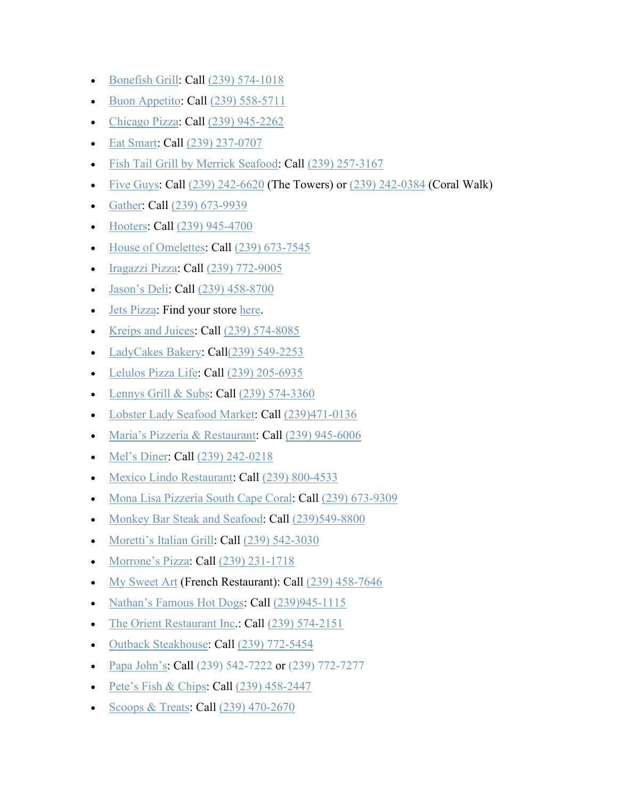- [Bonefish Grill:](https://www.bonefishgrill.com/) Call [\(239\) 574-1018](https://www.google.com/search?rlz=1C1GGGE_enUS570US571&tbm=lcl&sxsrf=ALeKk013CUrWB5XLe4ukII9toJQNFXmL2Q%3A1585240174381&ei=bth8Xo7xFsGrytMPzuqK2Ac&q=bonefish+grill&oq=bo&gs_l=psy-ab.3.0.35i39k1l3j0l4j0i131k1j0l2.425076.426310.0.427465.4.3.1.0.0.0.156.398.0j3.3.0....0...1c.1.64.psy-ab..0.4.423...0i67k1j0i10i67k1.0.v0gEYf0vFiY)
- [Buon Appetito:](https://www.buonappetitocapecoral.com/) Call [\(239\) 558-5711](https://www.google.com/search?q=Buon+Appetito+Cape+Coral&rlz=1C1GGGE_enUS570US571&oq=Buon+Appetito+Cape+Coral&aqs=chrome..69i57.833j0j7&sourceid=chrome&ie=UTF-8)
- [Chicago Pizza:](https://www.thechicagopizza.com/) Call [\(239\) 945-2262](https://www.google.com/search?q=chicago+pizza+cape+coral&rlz=1C1GGGE_enUS570US571&oq=chicago+pizza+cape+coral&aqs=chrome..69i57.4375j0j7&sourceid=chrome&ie=UTF-8)
- [Eat Smart:](https://www.eat-smart24.com/) Call [\(239\) 237-0707](https://www.google.com/search?q=eat+smart&rlz=1C1GGGE_enUS570US571&oq=eat+smart&aqs=chrome..69i57.1371j0j9&sourceid=chrome&ie=UTF-8)
- [Fish Tail Grill by Merrick Seafood:](http://fishtalegrill.com/) Call [\(239\) 257-3167](https://www.google.com/search?q=merrick+seafood&rlz=1C1GGGE_enUS570US571&oq=merrick+seafood+&aqs=chrome..69i57.3511j0j9&sourceid=chrome&ie=UTF-8)
- [Five Guys:](https://www.fiveguys.com/) Call  $(239)$  242-6620 (The Towers) or  $(239)$  242-0384 (Coral Walk)
- [Gather:](http://gathercape.com/) Call [\(239\) 673-9939](https://www.google.com/search?q=gather+cape+coral&rlz=1C1GGGE_enUS570US571&oq=gather+cape+coral&aqs=chrome..69i57.2876j0j4&sourceid=chrome&ie=UTF-8)
- [Hooters:](https://www.hooters.com/) Call [\(239\) 945-4700](https://www.google.com/search?rlz=1C1GGGE_enUS570US571&sxsrf=ALeKk01FFdxCQE6Sbcftl8VUBsfIGpNRbg%3A1585318758864&ei=Zgt-Xo2rNISIggeL27TQCw&q=hooters+cape+coral&oq=hooters+cape+coral&gs_l=psy-ab.3..35i39j0l3j0i22i30l6.2111.2111..2309...0.3..0.85.85.1......0....1..gws-wiz.......0i71.dJOQ3bNgPm8&ved=0ahUKEwiN9ujL7LroAhUEhOAKHYstDboQ4dUDCAs&uact=5)
- [House of Omelettes:](http://www.houseofomelets.com/) Call [\(239\) 673-7545](https://www.google.com/search?q=House+of+Omelettes+cape+coral&rlz=1C1GGGE_enUS570US571&oq=House+of+Omelettes+cape+coral&aqs=chrome..69i57.2643j0j4&sourceid=chrome&ie=UTF-8)
- [Iragazzi Pizza:](https://www.iragazzipizza.com/) Call [\(239\) 772-9005](https://www.google.com/search?q=igrazzi+pizza&oq=igrazzi&aqs=chrome.1.69i57j0.3354j0j9&sourceid=chrome&ie=UTF-8)
- [Jason's Deli:](https://www.jasonsdeli.com/restaurants/cape-coral-deli) Call [\(239\) 458-8700](https://www.google.com/search?q=jason+deli+cape+coral&rlz=1C1GGGE_enUS570US571&oq=jason+deli+cape+coral&aqs=chrome..69i57.3320j0j4&sourceid=chrome&ie=UTF-8)
- [Jets Pizza:](https://www.jetspizza.com/announcements/announcement/covid19) Find your store [here.](https://www.jetspizza.com/stores/zip)
- [Kreips and Juices:](https://www.kreipsandjuices.com/) Call [\(239\) 574-8085](https://www.google.com/search?q=kreips+and+juices+cape+coral&oq=kreips+and+juices&aqs=chrome.1.69i57j0l5.4015j0j4&sourceid=chrome&ie=UTF-8)
- [LadyCakes Bakery:](https://iloveladycakes.com/) Cal[l\(239\) 549-2253](https://www.google.com/search?q=LADY+CAKES&rlz=1C1GGGE_enUS570US571&oq=LADY+CAKES&aqs=chrome..69i57.1849j0j9&sourceid=chrome&ie=UTF-8)
- [Lelulos Pizza Life:](https://www.lelulospizza.com/menu) Call [\(239\) 205-6935](https://www.google.com/search?ei=CySCXrHFG-e0ggfx_YzQAg&q=lelulos+cape+coral&oq=lelulos&gs_lcp=CgZwc3ktYWIQAxgDMgIIADICCAAyAggAMgIIADICCAAyAggAMgIIADICCAAyAggAMgIIADoECAAQRzoFCAAQkQI6BQgAEIMBOgQIABBDOgcIABCDARBDOgQIABAKUNj5Hli6jh9gv6IfaABwBHgAgAGDAYgB6QWSAQMyLjWYAQCgAQGqAQdnd3Mtd2l6&sclient=psy-ab)
- [Lennys Grill & Subs:](https://www.lennys.com/locations/Cape-Coral-FL-93/) Call [\(239\) 574-3360](https://www.google.com/search?q=lennys+grill+and+subs+cape+coral&oq=lennys&aqs=chrome.5.69i57j0l5.5101j0j4&sourceid=chrome&ie=UTF-8)
- [Lobster Lady Seafood Market:](https://www.lobsterladyseafood.com/) Call [\(239\)471-0136](https://www.google.com/search?client=safari&rls=en&q=lobster+lady+seafood+market&ie=UTF-8&oe=UTF-8)
- [Maria's Pizzeria & Restaurant:](http://www.mariaspizzafl.com/) Call [\(239\) 945-6006](https://www.google.com/search?q=Maria%E2%80%99s+pizzeria+and+Italian+restaurant&rlz=1C1GGGE_enUS570US571&oq=Maria%E2%80%99s+pizzeria+and+Italian+restaurant&aqs=chrome..69i57.692j0j4&sourceid=chrome&ie=UTF-8)
- [Mel's Diner:](https://melsdiners.com/) Call [\(239\) 242-0218](https://www.google.com/search?sxsrf=ALeKk0369aMDAxODDdtdd9JngQfeZDi98Q%3A1584990377810&ei=qQh5XtzkMIaIsQXXvqiQDg&q=mel%27s+diner+cape+coral&oq=mel%27s+diner+cape+coral&gs_l=psy-ab.3..0l5j0i22i30l5.37293.40409..40556...0.2..0.111.1682.12j6......0....1..gws-wiz.......0i71j35i39j0i10j0i67j0i22i10i30j38j0i20i263j0i273.7vqSNkbhdbA&ved=0ahUKEwic3cOjpbHoAhUGRKwKHVcfCuIQ4dUDCAs&uact=5)
- [Mexico Lindo Restaurant:](https://www.facebook.com/mexicolindocapecoral/) Call [\(239\) 800-4533](https://www.google.com/search?q=mexico+lindo&rlz=1C1GGGE_enUS570US571&oq=mexico+lindo&aqs=chrome..69i57.2329j0j4&sourceid=chrome&ie=UTF-8)
- [Mona Lisa Pizzeria South Cape Coral:](https://capecoralpizza.com/) Call [\(239\) 673-9309](https://www.google.com/search?q=South+Cape+Mona+Lisa+Pizzeria&rlz=1C1GGGE_enUS570US571&oq=South+Cape+Mona+Lisa+Pizzeria&aqs=chrome..69i57.228j0j7&sourceid=chrome&ie=UTF-8)
- [Monkey Bar Steak and Seafood:](http://www.monkeybarcape.com/) Call [\(239\)549-8800](https://www.google.com/search?client=safari&rls=en&q=monkey+bar+steak+and+seafood&ie=UTF-8&oe=UTF-8)
- [Moretti's Italian Grill:](https://www.morettisitaliangrill.com/) Call [\(239\) 542-3030](https://www.google.com/search?q=Morettis+Italian+Grill&rlz=1C1GGGE_enUS570US571&oq=Morettis+Italian+Grill&aqs=chrome..69i57.741j0j4&sourceid=chrome&ie=UTF-8)
- [Morrone's Pizza:](https://www.morronespizzeria.com/menu/) Call [\(239\) 231-1718](https://www.google.com/search?q=morrones+pizzeria&rlz=1C1GGGE_enUS570US571&oq=morrones+pizzeria&aqs=chrome..69i57.4354j0j4&sourceid=chrome&ie=UTF-8)
- [My Sweet Art](https://my-sweet-art.com/) (French Restaurant): Call [\(239\) 458-7646](https://www.google.com/search?q=my+sweet+art&rlz=1C1GGGE_enUS570US571&oq=my+sweet+art&aqs=chrome..69i57j69i64.2246j0j9&sourceid=chrome&ie=UTF-8)
- [Nathan's Famous Hot Dogs:](http://nathansfamous.com/) Call [\(239\)945-1115](https://www.google.com/search?client=safari&rls=en&q=nathan%27s+famous+hot+dogs+cape+coral&ie=UTF-8&oe=UTF-8)
- [The Orient Restaurant Inc.](https://www.allmenus.com/fl/cape-coral/19156-the-orient/menu/): Call [\(239\) 574-2151](https://www.google.com/search?q=the+orient+restaurant&rlz=1C1GGGE_enUS570US571&oq=the+orient+restaurant&aqs=chrome..69i57.3815j0j4&sourceid=chrome&ie=UTF-8)
- [Outback Steakhouse:](https://www.outback.com/) Call [\(239\) 772-5454](https://www.google.com/search?q=outback+cape+coral&rlz=1C1GGGE_enUS570US571&oq=outback+cape+coral&aqs=chrome..69i57.2769j0j7&sourceid=chrome&ie=UTF-8)
- [Papa John's:](https://www.papajohns.com/) Call [\(239\) 542-7222](https://scanmail.trustwave.com/?c=4062&d=jq-E3gz9I_oaRDj_9-85Y9bQaZLbvfwOtT6a34hcqQ&s=1508&u=https%3a%2f%2fwww%2egoogle%2ecom%2fsearch%3frlz%3d1C1CHBF%5fenUS854US854%26sxsrf%3dALeKk03j8mAs9v60H1E4aWk6CV7CHz3W0A%3a1585753231765%26ei%3dfKuEXqacCuWD%5fQb17obADA%26q%3dpapa%2520john%2520cape%2520coral%26oq%3dpapa%2bjohn%2bcape%2bcoral%26gs%5flcp%3dCgZwc3ktYWIQAzICCAAyBggAEBYQHjIGCAAQFhAeMgYIABAWEB4yBggAEBYQHjIGCAAQFhAeMgYIABAWEB4yBggAEBYQHjIICAAQFhAKEB4yBggAEBYQHjoECAAQRzoECCMQJzoFCAAQkQI6BggAEAoQQzoHCAAQFBCHAjoECAAQClDz%5fwRYwIgFYImKBWgAcAN4AIABgQGIAckIkgEDNy40mAEAoAEBqgEHZ3dzLXdpeg%26sclient%3dpsy-ab%26ved%3d2ahUKEwjQqdKQv8foAhXsYd8KHXagDQUQvS4wAHoECAsQFw%26uact%3d5%26npsic%3d0%26rflfq%3d1%26rlha%3d0%26rllag%3d26594115%2c-81974642%2c4921%26tbm%3dlcl%26rldimm%3d1665528980907329226%26lqi%3dChRwYXBhIGpvaG4gY2FwZSBjb3JhbCIDiAEBSKeg9ITmgICACFotCglwYXBhIGpvaG4QABABGAAYARgCGAMiFHBhcGEgam9obiBjYXBlIGNvcmFs%26rldoc%3d1%26tbs%3dlrf%3a%211m4%211u3%212m2%213m1%211e1%211m5%211u15%212m2%2115m1%211shas%5f1takeout%214e2%211m5%211u15%212m2%2115m1%211shas%5f1wheelchair%5f1accessible%5f1entrance%214e2%212m1%211e3%213sIAE%2clf%3a1%2clf%5fui%3a4%26rlst%3df) or [\(239\) 772-7277](https://scanmail.trustwave.com/?c=4062&d=jq-E3gz9I_oaRDj_9-85Y9bQaZLbvfwOtT6a34hcqQ&s=1508&u=https%3a%2f%2fwww%2egoogle%2ecom%2fsearch%3frlz%3d1C1CHBF%5fenUS854US854%26sxsrf%3dALeKk03j8mAs9v60H1E4aWk6CV7CHz3W0A%3a1585753231765%26ei%3dfKuEXqacCuWD%5fQb17obADA%26q%3dpapa%2520john%2520cape%2520coral%26oq%3dpapa%2bjohn%2bcape%2bcoral%26gs%5flcp%3dCgZwc3ktYWIQAzICCAAyBggAEBYQHjIGCAAQFhAeMgYIABAWEB4yBggAEBYQHjIGCAAQFhAeMgYIABAWEB4yBggAEBYQHjIICAAQFhAKEB4yBggAEBYQHjoECAAQRzoECCMQJzoFCAAQkQI6BggAEAoQQzoHCAAQFBCHAjoECAAQClDz%5fwRYwIgFYImKBWgAcAN4AIABgQGIAckIkgEDNy40mAEAoAEBqgEHZ3dzLXdpeg%26sclient%3dpsy-ab%26ved%3d2ahUKEwjQqdKQv8foAhXsYd8KHXagDQUQvS4wAHoECAsQFw%26uact%3d5%26npsic%3d0%26rflfq%3d1%26rlha%3d0%26rllag%3d26594115%2c-81974642%2c4921%26tbm%3dlcl%26rldimm%3d1665528980907329226%26lqi%3dChRwYXBhIGpvaG4gY2FwZSBjb3JhbCIDiAEBSKeg9ITmgICACFotCglwYXBhIGpvaG4QABABGAAYARgCGAMiFHBhcGEgam9obiBjYXBlIGNvcmFs%26rldoc%3d1%26tbs%3dlrf%3a%211m4%211u3%212m2%213m1%211e1%211m5%211u15%212m2%2115m1%211shas%5f1takeout%214e2%211m5%211u15%212m2%2115m1%211shas%5f1wheelchair%5f1accessible%5f1entrance%214e2%212m1%211e3%213sIAE%2clf%3a1%2clf%5fui%3a4%26rlst%3df)
- [Pete's Fish & Chips:](https://www.petes-fish-chips.com/) Call  $(239)$  458-2447
- [Scoops & Treats:](https://scoopsandtreats.com/) Call [\(239\) 470-2670](https://www.google.com/search?q=scoops+and+treats&rlz=1C1GGGE_enUS570US571&oq=scoops+and+treats&aqs=chrome..69i57.3305j0j7&sourceid=chrome&ie=UTF-8)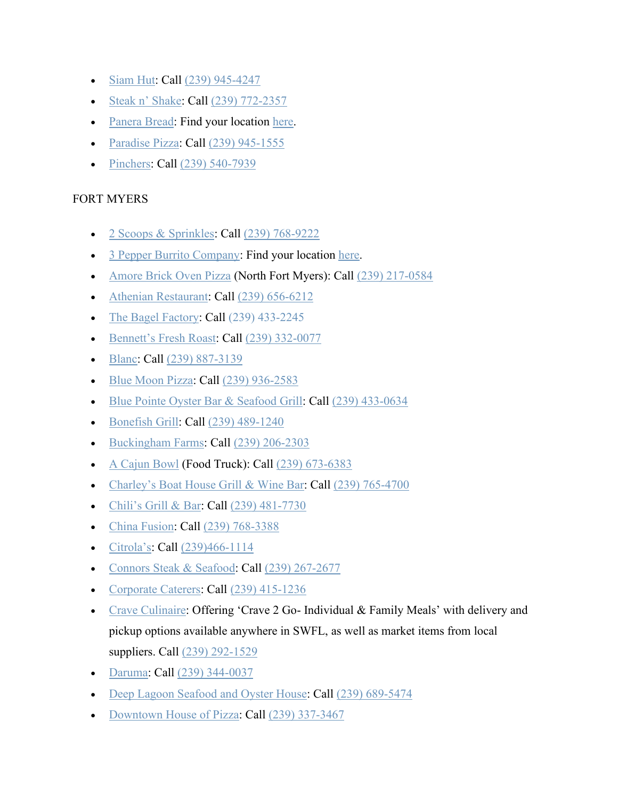- [Siam Hut:](https://www.facebook.com/siamhutcapecoral/) Call [\(239\) 945-4247](https://www.google.com/search?q=Siam+Hut+Thai&rlz=1C1GGGE_enUS570US571&oq=Siam+Hut+Thai&aqs=chrome..69i57.642j0j9&sourceid=chrome&ie=UTF-8)
- [Steak n' Shake:](https://www.steaknshake.com/) Call [\(239\) 772-2357](https://www.google.com/search?q=steak+and+shake+cape+coral&rlz=1C1GGGE_enUS570US571&oq=steak+and+shake+cape+coral&aqs=chrome..69i57.8115j0j4&sourceid=chrome&ie=UTF-8)
- [Panera Bread:](https://www.panerabread.com/en-us/home.html) Find your location [here.](https://delivery.panerabread.com/cafeLocations/)
- [Paradise Pizza:](http://www.paradisepizzafl.com/) Call [\(239\) 945-1555](https://www.google.com/search?q=paradise+pizza+cape+coral&rlz=1C1GGGE_enUS570US571&oq=paradise+pizza+cape+coral&aqs=chrome..69i57.4211j0j7&sourceid=chrome&ie=UTF-8)
- [Pinchers:](https://www.pinchersusa.com/) Call [\(239\) 540-7939](https://www.google.com/search?q=pinchers+cape+coral&oq=pinchers+cape&aqs=chrome.1.69i57j0l7.5859j0j9&sourceid=chrome&ie=UTF-8)

## FORT MYERS

- [2 Scoops & Sprinkles:](https://www.facebook.com/2scoopsandsprinkles/) Call [\(239\) 768-9222](https://www.google.com/search?q=2+scoops+and+sprinkles&rlz=1C1GGGE_enUS570US571&oq=2+scoops+and+sprinkles&aqs=chrome..69i57.4163j0j9&sourceid=chrome&ie=UTF-8)
- [3 Pepper Burrito Company:](http://3pepperburrito.com/) Find your location [here.](http://3pepperburrito.com/locations/)
- [Amore Brick Oven Pizza](https://amorepizza.info/) (North Fort Myers): Call [\(239\) 217-0584](https://www.google.com/search?q=amore%20brick%20oven&rlz=1C1GGGE_enUS570US571&oq=amore+brick+oven&aqs=chrome..69i57.2535j0j4&sourceid=chrome&ie=UTF-8&sxsrf=ALeKk00ka3HvCfaoomCYEhYwhh1FFHDi7Q:1585249517380&npsic=0&rflfq=1&rlha=0&rllag=26569684,-81854219,11318&tbm=lcl&rldimm=14757041599664827437&lqi=ChBhbW9yZSBicmljayBvdmVuSIC_gty-goCACFowChBhbW9yZSBicmljayBvdmVuEAAQARACGAAYARgCIhBhbW9yZSBicmljayBvdmVu&phdesc=Vaffz3Kb0VM&ved=2ahUKEwiMhvTS6rjoAhXwna0KHbNiC60QvS4wAXoECAwQMQ&rldoc=1&tbs=lrf:!1m4!1u3!2m2!3m1!1e1!1m4!1u2!2m2!2m1!1e1!1m4!1u16!2m2!16m1!1e1!1m4!1u16!2m2!16m1!1e2!1m4!1u15!2m2!15m1!1saccepts_1reservations!1m4!1u15!2m2!15m1!1sserves_1beer!1m4!1u15!2m2!15m1!1sserves_1wine!1m4!1u22!2m2!21m1!1e1!1m5!1u15!2m2!15m1!1shas_1delivery!4e2!1m5!1u15!2m2!15m1!1shas_1takeout!4e2!1m5!1u15!2m2!15m1!1shas_1wheelchair_1accessible_1entrance!4e2!1m5!1u15!2m2!15m1!1swelcomes_1children!4e2!1m5!1u15!2m2!15m1!1shas_1childrens_1menu!4e2!1m5!1u15!2m2!15m1!1shas_1seating_1outdoors!4e2!1m5!1u15!2m2!15m1!1spopular_1with_1tourists!4e2!1m5!1u15!2m2!15m1!1sserves_1dinner!4e2!1m5!1u15!2m2!15m1!1sserves_1lunch!4e2!2m1!1e2!2m1!1e16!2m1!1e3!3sIAE,lf:1,lf_ui:9&rlst=f)
- [Athenian Restaurant:](https://athenianrestaurantfortmyers.com/) Call [\(239\) 656-6212](https://www.google.com/search?q=athenian&rlz=1C1GGGE_enUS570US571&oq=athenian&aqs=chrome..69i57.1730j0j7&sourceid=chrome&ie=UTF-8)
- [The Bagel Factory:](https://www.thebagelfactory.com/) Call [\(239\) 433-2245](https://www.google.com/search?q=the%20bagel%20factory&rlz=1C1GGGE_enUS570US571&oq=the+bagel+factory&aqs=chrome..69i57.3654j0j4&sourceid=chrome&ie=UTF-8&sxsrf=ALeKk00MSSdAk4lpo4-EvahCb21nQkw9ww:1584718636372&npsic=0&rflfq=1&rlha=0&rllag=26639433,-81907133,9269&tbm=lcl&rldimm=251186512658750159&lqi=ChF0aGUgYmFnZWwgZmFjdG9yeSIDiAEBSOylzMDngICACFoyChF0aGUgYmFnZWwgZmFjdG9yeRAAEAEQAhgAGAEYAiIRdGhlIGJhZ2VsIGZhY3Rvcnk&ved=2ahUKEwjt8o77sKnoAhVnTd8KHei8Bx0QvS4wAXoECAsQHA&rldoc=1&tbs=lrf:!1m4!1u3!2m2!3m1!1e1!1m4!1u16!2m2!16m1!1e1!1m4!1u16!2m2!16m1!1e2!1m5!1u15!2m2!15m1!1shas_1wheelchair_1accessible_1entrance!4e2!2m1!1e16!2m1!1e3!3sIAE,lf:1,lf_ui:4&rlst=f)
- [Bennett's Fresh Roast:](https://www.bennettsfreshroast.com/) Call [\(239\) 332-0077](https://www.google.com/search?q=Bennett%27s+Fresh+Roast&rlz=1C1GGGE_enUS570US571&oq=Bennett%27s+Fresh+Roast&aqs=chrome..69i57.182j0j4&sourceid=chrome&ie=UTF-8)
- [Blanc:](https://blancentertainment.com/) Call [\(239\) 887-3139](https://www.google.com/search?q=blanc+restaurant&rlz=1C1GGGE_enUS570US571&oq=blan&aqs=chrome.0.69i59j69i57j69i60l3.1028j0j9&sourceid=chrome&ie=UTF-8)
- [Blue Moon Pizza:](https://www.bluemoonpizza.com/locations/fort-myers/) Call [\(239\) 936-2583](https://www.google.com/search?q=blue+moon+pizza&rlz=1C1GGGE_enUS570US571&oq=blue+moon+pizza&aqs=chrome..69i57.2239j0j4&sourceid=chrome&ie=UTF-8)
- [Blue Pointe Oyster Bar & Seafood Grill:](http://bluepointerestaurant.com/) Call [\(239\) 433-0634](https://www.google.com/search?q=blue%20point%20oysters&rlz=1C1GGGE_enUS570US571&oq=blue+pointe+oysters&aqs=chrome..69i57.3880j0j4&sourceid=chrome&ie=UTF-8&sxsrf=ALeKk0138Kqo-CACXOHN3VUiYTh1jgu9sw:1585270634326&npsic=0&rflfq=1&rlha=0&rllag=26396688,-81817990,17701&tbm=lcl&rldimm=17501219586059061756&lqi=ChJibHVlIHBvaW50IG95c3RlcnNI9Jm2zeWAgIAIWjIKEmJsdWUgcG9pbnQgb3lzdGVycxAAEAEQAhgAGAIiEmJsdWUgcG9pbnQgb3lzdGVycw&phdesc=eqYFAwvnCyM&ved=2ahUKEwjSlqCoubnoAhUOmuAKHRdYDuYQvS4wAHoECAsQPA&rldoc=1&tbs=lrf:!1m4!1u3!2m2!3m1!1e1!1m4!1u5!2m2!5m1!1sgcid_3seafood_1restaurant!1m4!1u5!2m2!5m1!1sgcid_3italian_1restaurant!1m4!1u2!2m2!2m1!1e1!1m4!1u1!2m2!1m1!1e1!1m4!1u1!2m2!1m1!1e2!1m4!1u16!2m2!16m1!1e1!1m4!1u16!2m2!16m1!1e2!1m4!1u15!2m2!15m1!1saccepts_1reservations!1m4!1u15!2m2!15m1!1sserves_1beer!1m4!1u15!2m2!15m1!1sserves_1wine!1m4!1u15!2m2!15m1!1swelcomes_1children!1m4!1u15!2m2!15m1!1sfeels_1romantic!1m4!1u22!2m2!21m1!1e1!1m5!1u15!2m2!15m1!1shas_1seating_1outdoors!4e2!1m5!1u15!2m2!15m1!1shas_1wheelchair_1accessible_1entrance!4e2!1m5!1u15!2m2!15m1!1spopular_1with_1tourists!4e2!1m5!1u15!2m2!15m1!1shas_1takeout!4e2!1m5!1u15!2m2!15m1!1shas_1childrens_1menu!4e2!1m5!1u15!2m2!15m1!1sserves_1dinner!4e2!1m5!1u15!2m2!15m1!1sserves_1happy_1hour!4e2!1m5!1u15!2m2!15m1!1sserves_1lunch!4e2!1m5!1u15!2m2!15m1!1sserves_1vegetarian!4e2!2m1!1e2!2m1!1e5!2m1!1e1!2m1!1e16!2m1!1e3!3sIAEqAlVT,lf:1,lf_ui:9&rlst=f)
- [Bonefish Grill:](https://www.bonefishgrill.com/) Call [\(239\) 489-1240](https://www.google.com/search?rlz=1C1GGGE_enUS570US571&tbm=lcl&sxsrf=ALeKk013CUrWB5XLe4ukII9toJQNFXmL2Q%3A1585240174381&ei=bth8Xo7xFsGrytMPzuqK2Ac&q=bonefish+grill&oq=bo&gs_l=psy-ab.3.0.35i39k1l3j0l4j0i131k1j0l2.425076.426310.0.427465.4.3.1.0.0.0.156.398.0j3.3.0....0...1c.1.64.psy-ab..0.4.423...0i67k1j0i10i67k1.0.v0gEYf0vFiY)
- [Buckingham Farms:](https://buckinghamfarmsonline.com/) Call [\(239\) 206-2303](https://www.google.com/search?q=buckingham+farms&oq=buckingham+farms&aqs=chrome..69i57j0l5.3080j0j9&sourceid=chrome&ie=UTF-8)
- [A Cajun Bowl](http://acajunbowl.com/) (Food Truck): Call [\(239\) 673-6383](https://www.google.com/search?q=a+cajun+bowl&rlz=1C1GGGE_enUS570US571&oq=a+cajun+bowl&aqs=chrome..69i57j69i64j69i60.1857j0j7&sourceid=chrome&ie=UTF-8)
- [Charley's Boat House Grill & Wine Bar:](https://www.boathousegrill.net/) Call [\(239\) 765-4700](https://www.google.com/search?q=Charley%27s+Boat+House+Grill+%26+Wine+Bar&rlz=1C1GGGE_enUS570US571&oq=Charley%27s+Boat+House+Grill+%26+Wine+Bar&aqs=chrome..69i57.542j0j7&sourceid=chrome&ie=UTF-8)
- [Chili's Grill & Bar:](https://www.chilis.com/locations/us/florida/ft-myers/ft-myers/) Call [\(239\) 481-7730](https://www.google.com/search?q=chili%27s+college+parkway&oq=chili%27s+college+parkway&aqs=chrome..69i57j0l4.3799j0j9&sourceid=chrome&ie=UTF-8)
- [China Fusion:](https://www.facebook.com/China-Fusion-Chinese-Restaurant-1974663126136084/) Call [\(239\) 768-3388](https://www.google.com/search?q=china+fusion+gateway&oq=china+fusion&aqs=chrome.3.69i57j0l5.5912j0j4&sourceid=chrome&ie=UTF-8)
- [Citrola's:](https://www.citrolasoncollegepizzeria.com/) Call [\(239\)466-1114](https://www.google.com/search?client=safari&rls=en&q=citrola%27s&ie=UTF-8&oe=UTF-8&sxsrf=ALeKk02n1ZKzXLGKftthsR-8tVPIyVcyQw:1586985412250&npsic=0&rflfq=1&rlha=0&rllag=26528309,-81934470,4499&tbm=lcl&rldimm=7479591860710193553&lqi=CgljaXRyb2xhJ3NI6728lueAgIAIWhoKCWNpdHJvbGEncxAAGAAiCWNpdHJvbGEncw&phdesc=jls0VYe5uKA&ved=2ahUKEwie1YqurevoAhUHUt8KHSMdCOcQvS4wAXoECAsQMA&rldoc=1&tbs=lrf:!1m4!1u3!2m2!3m1!1e1!1m4!1u2!2m2!2m1!1e1!1m4!1u1!2m2!1m1!1e1!1m4!1u1!2m2!1m1!1e2!1m4!1u15!2m2!15m1!1saccepts_1reservations!1m4!1u15!2m2!15m1!1sserves_1beer!1m4!1u15!2m2!15m1!1sserves_1wine!1m4!1u22!2m2!21m1!1e1!1m5!1u15!2m2!15m1!1shas_1childrens_1menu!4e2!1m5!1u15!2m2!15m1!1shas_1delivery!4e2!1m5!1u15!2m2!15m1!1shas_1takeout!4e2!1m5!1u15!2m2!15m1!1shas_1wheelchair_1accessible_1entrance!4e2!1m5!1u15!2m2!15m1!1swelcomes_1children!4e2!1m5!1u15!2m2!15m1!1spopular_1with_1tourists!4e2!1m5!1u15!2m2!15m1!1sserves_1vegetarian!4e2!2m1!1e2!2m1!1e1!2m1!1e3!3sIAE,lf:1,lf_ui:9&rlst=f)
- [Connors Steak & Seafood:](https://www.connorsrestaurant.com/) Call [\(239\) 267-2677](https://www.google.com/search?q=connors+steakhouse+ft+myers&oq=connors+steakhouse+ft+myers&aqs=chrome..69i57j0l7.4116j0j9&sourceid=chrome&ie=UTF-8)
- [Corporate Caterers:](https://www.corpcaterers.com/) Call [\(239\) 415-1236](https://www.google.com/search?client=safari&rls=en&q=corporate+caterers&ie=UTF-8&oe=UTF-8)
- [Crave Culinaire:](https://www.craveculinaire.com/crave2go/) Offering 'Crave 2 Go- Individual & Family Meals' with delivery and pickup options available anywhere in SWFL, as well as market items from local suppliers. Call [\(239\) 292-1529](https://www.google.com/search?q=crave2go&oq=crave2go&aqs=chrome.0.69i59j69i60.1343j0j4&sourceid=chrome&ie=UTF-8)
- [Daruma:](https://darumarestaurant.com/) Call [\(239\) 344-0037](https://www.google.com/search?q=daruma+fort+myerrs&rlz=1C1GGGE_enUS570US571&oq=daruma+fort+myerrs&aqs=chrome..69i57.2133j0j4&sourceid=chrome&ie=UTF-8)
- [Deep Lagoon Seafood and Oyster House:](https://www.deeplagoon.com/) Call [\(239\) 689-5474](https://www.google.com/search?rlz=1C1GGGE_enUS570US571&sxsrf=ALeKk023Ejj2KTjjoOSEEC30KCNFqpHTUg%3A1586355606355&ei=lt2NXu-UFe7F_QaxjLxo&q=Deep+Lagoon+Seafood+and+Oyster+House+fort+myers&oq=Deep+Lagoon+Seafood+and+Oyster+House+fort+myers&gs_lcp=CgZwc3ktYWIQAzICCAAyAggAMgYIABAWEB4yBQgAEM0COgQIABBHSgkIFxIFMTItOTBKCQgYEgUxMi0xM1CFNljpPmDtP2gAcAJ4AIABdIgByQiSAQM3LjSYAQCgAQGqAQdnd3Mtd2l6&sclient=psy-ab&ved=0ahUKEwjvt52Tg9noAhXuYt8KHTEGDw0Q4dUDCAw&uact=5)
- [Downtown House of Pizza:](https://downtownhouseofpizza.com/) Call [\(239\) 337-3467](https://www.google.com/search?q=downtown+house+of+pizza&rlz=1C1GGGE_enUS570US571&oq=downtown&aqs=chrome.0.69i59j69i57j69i59l2j69i60j69i61j69i60.1217j0j7&sourceid=chrome&ie=UTF-8)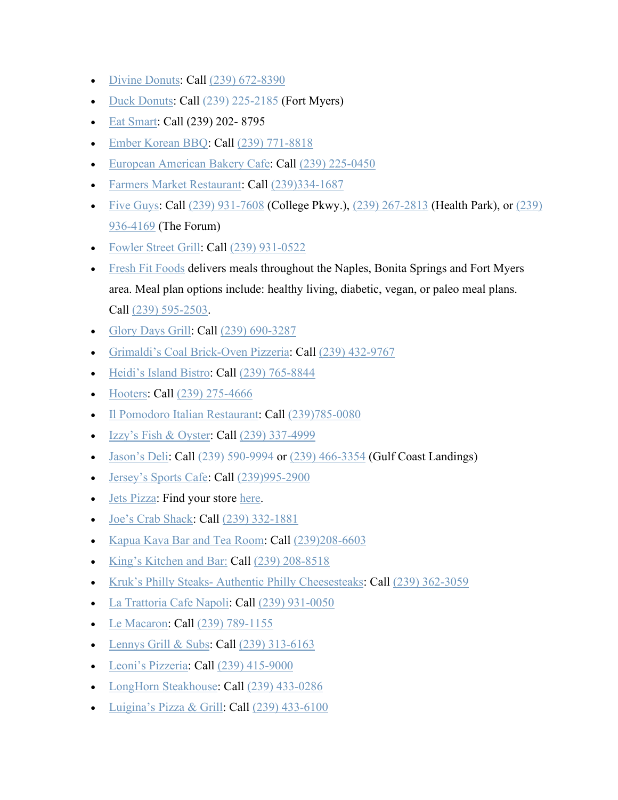- [Divine Donuts:](https://www.mydivinedonuts.com/) Call [\(239\) 672-8390](https://www.google.com/search?q=divine+donuts&rlz=1C1GGGE_enUS570US571&oq=divine+donuts&aqs=chrome..69i57.2658j0j7&sourceid=chrome&ie=UTF-8)
- [Duck Donuts:](https://www.duckdonuts.com/) Call [\(239\) 225-2185](https://www.google.com/search?q=duck%20donuts&rlz=1C1GGGE_enUS570US571&oq=duck+donuts&aqs=chrome..69i57j69i64.2389j0j4&sourceid=chrome&ie=UTF-8&sxsrf=ALeKk026P_0Q2iuRyTthXpbhjrngtutKVQ:1584627824222&npsic=0&rflfq=1&rlha=0&rllag=26371051,-81822812,19471&tbm=lcl&rldimm=16603780102165950859&lqi=CgtkdWNrIGRvbnV0cyIDiAEBWhoKC2R1Y2sgZG9udXRzIgtkdWNrIGRvbnV0cw&ved=2ahUKEwii_cDU3qboAhXmUd8KHT78BBMQvS4wCXoECAYQLA&rldoc=1&tbs=lrf:!1m4!1u3!2m2!3m1!1e1!1m4!1u16!2m2!16m1!1e1!1m4!1u16!2m2!16m1!1e2!1m5!1u15!2m2!15m1!1shas_1wheelchair_1accessible_1entrance!4e2!2m1!1e16!2m1!1e3!3sIAE,lf:1,lf_ui:4&rlst=f) (Fort Myers)
- [Eat Smart:](https://www.eat-smart24.com/) Call (239) 202- 8795
- [Ember Korean BBQ:](http://www.emberfortmyers.com/) Call [\(239\) 771-8818](https://www.google.com/search?q=ember+korean+bbq&rlz=1C1GGGE_enUS570US571&oq=ember+korean+bbq&aqs=chrome..69i57.2598j0j7&sourceid=chrome&ie=UTF-8)
- [European American Bakery Cafe:](https://www.eabake.com/) Call [\(239\) 225-0450](https://www.google.com/search?q=european+american+bakery+cafe&rlz=1C1GGGE_enUS570US571&oq=european+american+bakery+cafe&aqs=chrome..69i57.4009j0j4&sourceid=chrome&ie=UTF-8)
- [Farmers Market Restaurant:](http://www.farmersmarketrestaurant.com/) Call [\(239\)334-1687](https://www.google.com/search?client=safari&rls=en&q=farmers+market+restaurant&ie=UTF-8&oe=UTF-8)
- [Five Guys:](https://www.fiveguys.com/) Call [\(239\) 931-7608](https://www.google.com/search?sxsrf=ALeKk02acksBRGGK1mAa8I_OwA6uwT09gg%3A1584995956682&ei=dB55XqmdKe6HggeGpazYDQ&q=five+guys+college+parkway+fort+myers&oq=five+guys+colle&gs_l=psy-ab.3.0.0i20i263j0l8.11686.12235..13990...0.2..0.133.452.4j1......0....1..gws-wiz.......0i71j0i273j35i39.LKO4-Di00gQ) (College Pkwy.), [\(239\) 267-2813](https://www.google.com/search?sxsrf=ALeKk01RtQlQMSiFWk48EDtvtciY4RBxEQ%3A1584995940851&ei=ZB55Xra4M63H_Qb34KjYBw&q=five+guys+health+park&oq=five+guys+health+park&gs_l=psy-ab.3..0.12424.14302..14561...0.2..0.110.973.9j2......0....1..gws-wiz.......0i71j0i273j0i22i30j0i22i10i30.potwz9deszQ&ved=0ahUKEwi2-piAurHoAhWtY98KHXcwCnsQ4dUDCAs&uact=5) (Health Park), or (239) [936-4169](https://www.google.com/search?sxsrf=ALeKk00IYqzOfmeZPhp5koiy2TlQtfEGmQ%3A1584995792044&ei=0B15XsOmAojl_Qa1obD4Cg&q=five+guys+the+forum&oq=five+guys+the+forum&gs_l=psy-ab.3..0j0i22i30l6j38.146738.147234..147368...0.4..0.109.500.3j2......0....1..gws-wiz.......0i71.445xP9MdIts&ved=0ahUKEwjDzp65ubHoAhWIct8KHbUQDK8Q4dUDCAs&uact=5) (The Forum)
- [Fowler Street Grill:](https://www.fowlerstreetgrill.com/) Call [\(239\) 931-0522](http://www.google.com/search?client=safari&rls=en&q=fowler+street+grill&ie=UTF-8&oe=UTF-8)
- [Fresh Fit Foods](http://freshfitnaples.com/) delivers meals throughout the Naples, Bonita Springs and Fort Myers area. Meal plan options include: healthy living, diabetic, vegan, or paleo meal plans. Call [\(239\) 595-2503.](https://www.google.com/search?q=fresh+fit+foods&rlz=1C1GGGE_enUS570US571&oq=fresh+&aqs=chrome.0.69i59j69i57j69i59j69i60l2j69i61j69i60.1023j0j7&sourceid=chrome&ie=UTF-8)
- [Glory Days Grill:](https://www.glorydaysgrill.com/) Call [\(239\) 690-3287](https://www.google.com/search?q=glory+days+grill&rlz=1C1GGGE_enUS570US571&oq=glory+days+grill&aqs=chrome..69i57.2550j0j4&sourceid=chrome&ie=UTF-8)
- [Grimaldi's Coal Brick-Oven Pizzeria:](https://www.grimaldispizzeria.com/locations/bell-tower/) Call [\(239\) 432-9767](https://www.google.com/search?q=grimaldis&rlz=1C1GGGE_enUS570US571&oq=grimaldis&aqs=chrome..69i57.1422j0j4&sourceid=chrome&ie=UTF-8)
- [Heidi's Island Bistro:](http://heidisislandbistro.com/) Call [\(239\) 765-8844](https://www.google.com/search?q=heidi+island+bistro&rlz=1C1GGGE_enUS570US571&oq=heidi+island+bistro&aqs=chrome..69i57.2853j0j4&sourceid=chrome&ie=UTF-8)
- [Hooters:](https://www.hooters.com/) Call [\(239\) 275-4666](https://www.google.com/search?rlz=1C1GGGE_enUS570US571&sxsrf=ALeKk03nDI4_yIetoMOZFPxrZKXUXRpP0g%3A1585318762782&ei=agt-Xq2qL6O5ggf6yJjABA&q=hooters+fort+myers&oq=hooters+fort+myers&gs_l=psy-ab.3..0l10.46199.47122..47250...0.2..0.111.889.10j1......0....1..gws-wiz.......0i71j35i39j0i67.Vk8Yrs3q1WI&ved=0ahUKEwith9jN7LroAhWjnOAKHXokBkgQ4dUDCAs&uact=5)
- [Il Pomodoro Italian Restaurant:](https://www.ilpomodorofm.com/) Call [\(239\)785-0080](https://www.google.com/search?client=safari&rls=en&q=il+pomodoro&ie=UTF-8&oe=UTF-8)
- [Izzy's Fish & Oyster:](http://www.izzysftmyers.com/) Call [\(239\) 337-4999](https://www.google.com/search?rlz=1C1GGGE_enUS570US571&tbm=lcl&sxsrf=ALeKk034pTLX0xtedbcf3ShYO370oa55lA%3A1584633655729&ei=N5dzXrqCLK_l_QatkK2wDw&q=izzys+fish+and+oyster&oq=izzys+fish+and+oyster&gs_l=psy-ab.3..0l2j0i22i30k1l8.111261.114236.0.114311.21.20.0.0.0.0.195.2375.4j14.18.0....0...1c.1.64.psy-ab..3.18.2368...35i39k1j0i67k1j0i131k1j0i10k1.0.UtqRCCttzGU)
- [Jason's Deli:](https://www.jasonsdeli.com/) Call [\(239\) 590-9994](https://www.google.com/search?rlz=1C1GGGE_enUS570US571&sxsrf=ALeKk02Rm-Rk-UUVtIDjQvMi_Ktqj9W0PA:1585063505971&ei=GiZ6Xu20F8KyggfGuI_gBw&q=jason%20deli%20fort%20myers&oq=jason+deli+fort+myers&gs_l=psy-ab.3..0l2j0i22i30l8.50505.53933..54031...1.2..0.160.1954.14j6......0....1..gws-wiz.......0i71j35i39j0i22i10i30j38.ACo9qjKeTtc&ved=2ahUKEwiOyuDZtbPoAhWwTd8KHR-0DPoQvS4wAHoECAsQHA&uact=5&npsic=0&rflfq=1&rlha=0&rllag=26519435,-81834331,5562&tbm=lcl&rldimm=940115212080101664&lqi=ChVqYXNvbiBkZWxpIGZvcnQgbXllcnMiA4gBAUink7jY5YCAgAhaLwoKamFzb24gZGVsaRAAEAEYABgBGAIYAyIVamFzb24gZGVsaSBmb3J0IG15ZXJz&rldoc=1&tbs=lrf:!1m4!1u3!2m2!3m1!1e1!1m4!1u16!2m2!16m1!1e1!1m4!1u16!2m2!16m1!1e2!1m5!1u15!2m2!15m1!1shas_1takeout!4e2!1m5!1u15!2m2!15m1!1shas_1wheelchair_1accessible_1entrance!4e2!2m1!1e16!2m1!1e3!3sIAE,lf:1,lf_ui:4&rlst=f) or [\(239\) 466-3354](https://www.google.com/search?rlz=1C1GGGE_enUS570US571&sxsrf=ALeKk02Rm-Rk-UUVtIDjQvMi_Ktqj9W0PA:1585063505971&ei=GiZ6Xu20F8KyggfGuI_gBw&q=jason%20deli%20fort%20myers&oq=jason+deli+fort+myers&gs_l=psy-ab.3..0l2j0i22i30l8.50505.53933..54031...1.2..0.160.1954.14j6......0....1..gws-wiz.......0i71j35i39j0i22i10i30j38.ACo9qjKeTtc&ved=2ahUKEwiOyuDZtbPoAhWwTd8KHR-0DPoQvS4wAHoECAsQHA&uact=5&npsic=0&rflfq=1&rlha=0&rllag=26519435,-81834331,5562&tbm=lcl&rldimm=940115212080101664&lqi=ChVqYXNvbiBkZWxpIGZvcnQgbXllcnMiA4gBAUink7jY5YCAgAhaLwoKamFzb24gZGVsaRAAEAEYABgBGAIYAyIVamFzb24gZGVsaSBmb3J0IG15ZXJz&rldoc=1&tbs=lrf:!1m4!1u3!2m2!3m1!1e1!1m4!1u16!2m2!16m1!1e1!1m4!1u16!2m2!16m1!1e2!1m5!1u15!2m2!15m1!1shas_1takeout!4e2!1m5!1u15!2m2!15m1!1shas_1wheelchair_1accessible_1entrance!4e2!2m1!1e16!2m1!1e3!3sIAE,lf:1,lf_ui:4&rlst=f) (Gulf Coast Landings)
- [Jersey's Sports Cafe:](http://jerseyssportscafe.com/) Call [\(239\)995-2900](https://www.google.com/search?client=safari&rls=en&q=jerseys+sports+cafe&ie=UTF-8&oe=UTF-8)
- [Jets Pizza:](https://www.jetspizza.com/announcements/announcement/covid19) Find your store [here.](https://www.jetspizza.com/stores/zip)
- [Joe's Crab Shack:](https://www.joescrabshack.com/locations/10174/) Call [\(239\) 332-1881](https://www.google.com/search?q=joes+crab+shack&rlz=1C1GGGE_enUS570US571&oq=joes+crab+shack&aqs=chrome..69i57.1916j0j7&sourceid=chrome&ie=UTF-8)
- [Kapua Kava Bar and Tea Room:](http://www.kapuakavabar.com/) Call [\(239\)208-6603](https://www.google.com/search?client=safari&rls=en&q=kapua+kava+bar&ie=UTF-8&oe=UTF-8)
- [King's Kitchen and Bar:](http://www.facebook.com/kingskitchenandbar/menu/) Call [\(239\) 208-8518](https://www.google.com/search?q=kings+kitchen+and+bar&rlz=1C1GGGE_enUS570US571&oq=kings+kitchen+and+bar&aqs=chrome..69i57.5364j0j4&sourceid=chrome&ie=UTF-8)
- Kruk's Philly Steaks- [Authentic Philly Cheesesteaks:](https://www.kruks.com/) Call [\(239\) 362-3059](https://www.google.com/search?rlz=1C1GGGE_enUS570US571&sxsrf=ALeKk02Zr5H1zdZ6ohiQg_a13cSGGqwPSA%3A1584883371542&ei=q2Z3XvnXIIeq_QaT2pL4Aw&q=Kruk%E2%80%99s+Philly+Steaks-+Authentic+Philly+Cheesesteaks+fort+myers&oq=Kruk%E2%80%99s+Philly+Steaks-+Authentic+Philly+Cheesesteaks+fort+myers&gs_l=psy-ab.3...4579.5894..5987...0.2..0.155.1283.1j9......0....1..gws-wiz.......0i71j35i302i39j33i160j33i299.FBgZ5IfCwQ4&ved=0ahUKEwi52fvSlq7oAhUHVd8KHROtBD8Q4dUDCAs&uact=5)
- [La Trattoria Cafe Napoli:](https://latrattoriacafenapoli.com/) Call [\(239\) 931-0050](https://www.google.com/search?q=la%20trattoria&rlz=1C1GGGE_enUS570US571&oq=la+trat&aqs=chrome.1.69i57j69i59j69i64j69i60.5060j0j4&sourceid=chrome&ie=UTF-8&sxsrf=ALeKk00eaE4lpYocpVWniHcIgEylbA1yuw:1585319792186&npsic=0&rflfq=1&rlha=0&rllag=26352361,-81833102,23721&tbm=lcl&rldimm=17301828978061324920&lqi=CgxsYSB0cmF0dG9yaWFI_JCtq8qCgIAIWiQKDGxhIHRyYXR0b3JpYRAAEAEYABgBIgxsYSB0cmF0dG9yaWE&phdesc=5dVHhoBxQJ8&ved=2ahUKEwjQ6MW48LroAhVoRN8KHYeSAfgQvS4wAHoECAsQKg&rldoc=1&tbs=lrf:!1m4!1u3!2m2!3m1!1e1!1m4!1u2!2m2!2m1!1e1!1m4!1u1!2m2!1m1!1e1!1m4!1u1!2m2!1m1!1e2!1m4!1u16!2m2!16m1!1e1!1m4!1u16!2m2!16m1!1e2!1m4!1u15!2m2!15m1!1saccepts_1reservations!1m4!1u15!2m2!15m1!1sfeels_1romantic!1m4!1u15!2m2!15m1!1shas_1delivery!1m4!1u15!2m2!15m1!1shas_1takeout!1m4!1u15!2m2!15m1!1swelcomes_1children!1m4!1u22!2m2!21m1!1e1!1m5!1u15!2m2!15m1!1shas_1wheelchair_1accessible_1entrance!4e2!1m5!1u15!2m2!15m1!1spopular_1with_1tourists!4e2!1m5!1u15!2m2!15m1!1sserves_1beer!4e2!1m5!1u15!2m2!15m1!1sserves_1vegetarian!4e2!1m5!1u15!2m2!15m1!1sserves_1wine!4e2!1m5!1u15!2m2!15m1!1shas_1childrens_1menu!4e2!1m5!1u15!2m2!15m1!1shas_1seating_1outdoors!4e2!1m5!1u15!2m2!15m1!1sserves_1dinner!4e2!1m5!1u15!2m2!15m1!1sserves_1happy_1hour!4e2!2m1!1e2!2m1!1e1!2m1!1e16!2m1!1e3!3sIAE,lf:1,lf_ui:9&rlst=f)
- [Le Macaron:](https://lemacaron-us.com/store?location-a=fortmyers) Call [\(239\) 789-1155](https://www.google.com/search?q=le+macaron+fort+myers&oq=le+macaron&aqs=chrome.2.69i57j0l5.4828j0j4&sourceid=chrome&ie=UTF-8)
- [Lennys Grill & Subs:](https://www.lennys.com/locations/Fort-Myers-FL-94/) Call  $(239)$  313-6163
- [Leoni's Pizzeria:](http://www.leonispizza.com/) Call [\(239\) 415-9000](https://www.google.com/search?client=safari&rls=en&q=leoni%27s%20pizzeria&ie=UTF-8&oe=UTF-8&sxsrf=ALeKk02ZOuiPOHVDHzCh2Rldui82_Ehthw:1586986347701&npsic=0&rflfq=1&rlha=0&rllag=26359765,-81814692,11360&tbm=lcl&rldimm=5745109524474844234&lqi=ChBsZW9uaSdzIHBpenplcmlhIgOIAQFI0eXfnKCugIAIWiwKEGxlb25pJ3MgcGl6emVyaWEQABABGAAYASIQbGVvbmkncyBwaXp6ZXJpYQ&ved=2ahUKEwjfipLssOvoAhVqiOAKHUluCVUQvS4wA3oECAsQKw&rldoc=1&tbs=lrf:!1m4!1u3!2m2!3m1!1e1!2m1!1e3!3sIAE,lf:1,lf_ui:4&rlst=f)
- [LongHorn Steakhouse:](https://www.longhornsteakhouse.com/locations/fl/fort-myers/fort-myers-gulf-coast-town-center/5445) Call [\(239\) 433-0286](https://www.google.com/search?q=longhorn+gulf+coast+town+center&oq=longhorn+gulf&aqs=chrome.2.69i57j0l5.6998j0j9&sourceid=chrome&ie=UTF-8)
- [Luigina's Pizza & Grill:](https://www.luiginas.com/) Call [\(239\) 433-6100](https://www.google.com/search?q=Luigina%27s+Pizza+Grill&rlz=1C1GGGE_enUS570US571&oq=Luigina%27s+Pizza+Grill&aqs=chrome..69i57.9934j0j4&sourceid=chrome&ie=UTF-8)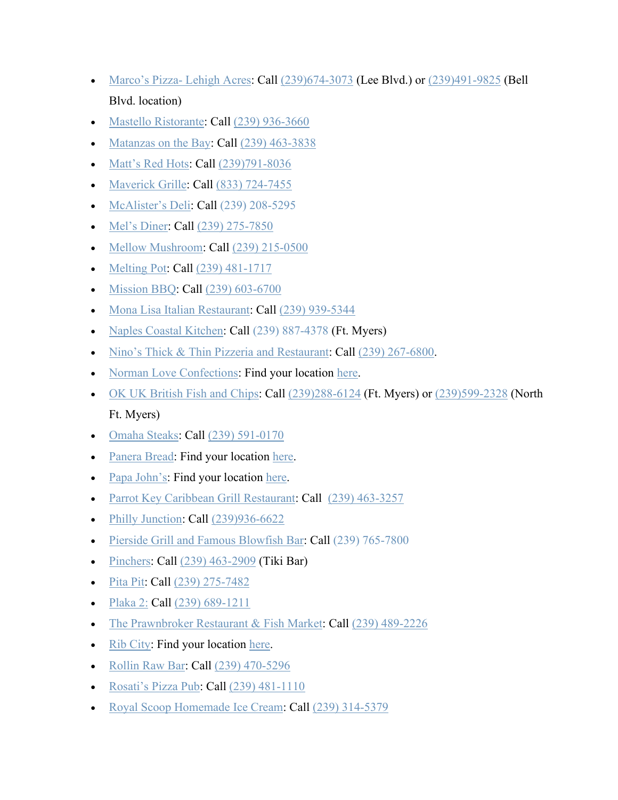- [Marco's Pizza-](https://www.marcos.com/) Lehigh Acres: Call [\(239\)674-3073](https://www.google.com/search?client=safari&rls=en&q=marco%27s%20pizza&ie=UTF-8&oe=UTF-8&sxsrf=ALeKk01iBqWqYka8jpxgpWatbsXa-yImrQ:1587498279866&npsic=0&rflfq=1&rlha=0&rllag=26625323,-81800325,18791&tbm=lcl&rldimm=1743003485842103493&lqi=Cg1tYXJjbydzIHBpenphIgOIAQFaHgoNbWFyY28ncyBwaXp6YSINbWFyY28ncyBwaXp6YQ&ved=2ahUKEwjG4bX4o_roAhVMnOAKHYtdDjEQvS4wAXoECBYQFw&rldoc=1&tbs=lrf:!1m4!1u3!2m2!3m1!1e1!1m4!1u15!2m2!15m1!1shas_1takeout!1m5!1u15!2m2!15m1!1shas_1wheelchair_1accessible_1entrance!4e2!2m1!1e3!3sIAE,lf:1,lf_ui:4&rlst=f) (Lee Blvd.) or [\(239\)491-9825](https://www.google.com/search?client=safari&rls=en&q=marco%27s%20pizza&ie=UTF-8&oe=UTF-8&sxsrf=ALeKk01iBqWqYka8jpxgpWatbsXa-yImrQ:1587498279866&npsic=0&rflfq=1&rlha=0&rllag=26625323,-81800325,18791&tbm=lcl&rldimm=1743003485842103493&lqi=Cg1tYXJjbydzIHBpenphIgOIAQFaHgoNbWFyY28ncyBwaXp6YSINbWFyY28ncyBwaXp6YQ&ved=2ahUKEwjG4bX4o_roAhVMnOAKHYtdDjEQvS4wAXoECBYQFw&rldoc=1&tbs=lrf:!1m4!1u3!2m2!3m1!1e1!1m4!1u15!2m2!15m1!1shas_1takeout!1m5!1u15!2m2!15m1!1shas_1wheelchair_1accessible_1entrance!4e2!2m1!1e3!3sIAE,lf:1,lf_ui:4&rlst=f) (Bell Blvd. location)
- [Mastello Ristorante:](https://mastello.com/) Call [\(239\) 936-3660](https://www.google.com/search?client=safari&rls=en&q=mastello+ristorante&ie=UTF-8&oe=UTF-8)
- [Matanzas on the Bay:](https://matanzasonthebay.com/) Call [\(239\) 463-3838](https://www.google.com/search?q=matanzas+on+the+bay&oq=matanzas+on+the+bay&aqs=chrome..69i57j0l5.3459j0j4&sourceid=chrome&ie=UTF-8)
- [Matt's Red Hots:](https://mattsredhots.com/) Call [\(239\)791-8036](https://www.google.com/search?client=safari&rls=en&q=matt%27s+red+hots&ie=UTF-8&oe=UTF-8)
- [Maverick Grille:](https://maverickgrille.com/) Call [\(833\) 724-7455](https://www.google.com/search?rlz=1C1GGGE_enUS570US571&sxsrf=ALeKk03cBa2S2qJ8zL_rjcq1Or6poAuc3A%3A1585764805399&ei=xdmEXrKfF4u-ggfvr7_oDQ&q=Maverick+Grille+fort+myers&oq=Maverick+Grille+fort+myers&gs_lcp=CgZwc3ktYWIQAzICCAAyAggAMgYIABAWEB4yAggmOgQIABBHUIs5WJ1BYIBCaABwA3gAgAF4iAGuCJIBAzEuOZgBAKABAaoBB2d3cy13aXo&sclient=psy-ab&ved=0ahUKEwjylbCf6sfoAhULn-AKHe_XD90Q4dUDCAs&uact=5)
- [McAlister's Deli:](https://www.mcalistersdeli.com/) Call [\(239\) 208-5295](https://www.google.com/search?q=mcalister+fort+myers&rlz=1C1GGGE_enUS570US571&oq=mcalister+fort+myers&aqs=chrome..69i57.5797j0j7&sourceid=chrome&ie=UTF-8)
- [Mel's Diner:](https://melsdiners.com/) Call [\(239\) 275-7850](https://www.google.com/search?sxsrf=ALeKk0232hmpLKYlsRmWDkNxeRQJ3ntpzQ%3A1584990199236&ei=9wd5XuTvDYvYtAWCsq3QAQ&q=mel%27s+diner+ft+myers&oq=mel%27s+diner+ft+myers&gs_l=psy-ab.3..0i10l3j0i22i30l7.176293.177248..177339...0.2..0.108.701.3j4......0....1..gws-wiz.......0i71j0i20i263j0j0i22i10i30j38.F65FG9A-0xE&ved=0ahUKEwikx7DOpLHoAhULLK0KHQJZCxoQ4dUDCAs&uact=5)
- [Mellow Mushroom:](https://mellowmushroom.com/) Call [\(239\) 215-0500](https://www.google.com/search?q=mellow%20mushroom&rlz=1C1GGGE_enUS570US571&oq=mellow&aqs=chrome.0.69i59j69i57j69i60l2.1219j0j7&sourceid=chrome&ie=UTF-8&sxsrf=ALeKk01yx8xruhSS26hkx-HMNL8x-fXfPg:1585015880560&npsic=0&rflfq=1&rlha=0&rllag=26499655,-81806972,6213&tbm=lcl&rldimm=2966432720914779734&lqi=Cg9tZWxsb3cgbXVzaHJvb20iA4gBAUi_8YzM8q6AgAhaKgoPbWVsbG93IG11c2hyb29tEAAQARgAGAEiD21lbGxvdyBtdXNocm9vbQ&ved=2ahUKEwihq5ikhLLoAhVomeAKHQ0JDX0QvS4wB3oECBIQHA&rldoc=1&tbs=lrf:!1m4!1u3!2m2!3m1!1e1!1m4!1u16!2m2!16m1!1e1!1m4!1u16!2m2!16m1!1e2!2m1!1e16!2m1!1e3!3sIAE,lf:1,lf_ui:4&rlst=f)
- [Melting Pot:](https://www.meltingpot.com/fort-myers-fl/) Call [\(239\) 481-1717](https://www.google.com/search?rlz=1C1GGGE_enUS570US571&tbm=lcl&sxsrf=ALeKk00b7dUi3PD-fyZ5SwXx-8zD8_eUWg%3A1585239680092&ei=gNZ8XrOfBZDEsAW77bCABg&q=melting+pot+fort+myers&oq=melting+pot+fort+myers&gs_l=psy-ab.3..0l4j0i22i30k1l6.14335.15581.0.15793.11.8.0.3.3.0.213.1111.0j6j1.7.0....0...1c.1.64.psy-ab..1.10.1136...0i67k1j0i20i263k1.0.ep0Wruh8R5Y)
- [Mission BBQ:](https://mission-bbq.com/) Call [\(239\) 603-6700](https://www.google.com/search?q=mission+bbq&rlz=1C1GGGE_enUS570US571&oq=mission+bbq&aqs=chrome..69i57.1835j0j4&sourceid=chrome&ie=UTF-8)
- [Mona Lisa Italian Restaurant:](http://monalisaitalian.com/) Call [\(239\) 939-5344](https://www.google.com/search?client=safari&rls=en&q=239-939-5344&ie=UTF-8&oe=UTF-8)
- [Naples Coastal Kitchen:](http://naplescoastalkitchen.com/) Call [\(239\) 887-4378](https://www.google.com/search?rlz=1C1GGGE_enUS570US571&sxsrf=ALeKk0336_MNYgyjFkduPkWq0DyAdlSb3Q%3A1584472804058&ei=5CJxXoOLA-6j_Qa8vZeYDg&q=naples+coastal+kitchen+fort+myers+fl&oq=naples+coastal+kitchen+for&gs_l=psy-ab.3.0.0i20i263j0l2j0i22i30l4j38.23108.24280..25326...0.2..0.117.395.3j1......0....1..gws-wiz.......0i71j0i67.2IL3SQjlbLY) (Ft. Myers)
- [Nino's Thick & Thin Pizzeria and Restaurant:](https://ninosthickandthin.com/) Call [\(239\) 267-6800.](https://www.google.com/search?q=ninos+thick+and+thin&rlz=1C1GGGE_enUS570US571&oq=ninos+thick+and+thin&aqs=chrome..69i57.2867j0j9&sourceid=chrome&ie=UTF-8)
- [Norman Love Confections:](https://www.normanloveconfections.com/) Find your location [here.](https://www.normanloveconfections.com/locations/)
- [OK UK British Fish and Chips:](https://www.okukfishnchips.com/) Call [\(239\)288-6124](https://www.google.com/search?client=safari&rls=en&sxsrf=ALeKk02ZKcTcbBDtItH7kF-sUCdILbOTXg:1586816282562&ei=UeOUXvEZgZ39BuXHspgP&q=ok%20uk%20fish%20and%20chips%20south%20fort%20myers&oq=ok+uk+british+fish+and+chips&gs_lcp=CgZwc3ktYWIQARgAMgQIABBHMgQIABBHMgQIABBHMgQIABBHMgQIABBHMgQIABBHMgQIABBHSgkIFxIFMTItMThKCAgYEgQxMi0yUABYAGD3kwJoAHACeACAAQCIAQCSAQCYAQCqAQdnd3Mtd2l6&sclient=psy-ab&npsic=0&rflfq=1&rlha=0&rllag=26593355,-81880008,8061&tbm=lcl&rldimm=6285505002155800576&lqi=CiVvayB1ayBmaXNoIGFuZCBjaGlwcyBzb3V0aCBmb3J0IG15ZXJzIgOIAQFaQwoab2sgdWsgZmlzaCBhbmQgY2hpcHMgc291dGgiJW9rIHVrIGZpc2ggYW5kIGNoaXBzIHNvdXRoIGZvcnQgbXllcnM&ved=2ahUKEwi63OGmt-boAhXlmOAKHa4RDSsQvS4wAXoECAsQIQ&rldoc=1&tbs=lrf:!1m4!1u3!2m2!3m1!1e1!1m5!1u15!2m2!15m1!1shas_1takeout!4e2!1m5!1u15!2m2!15m1!1shas_1wheelchair_1accessible_1entrance!4e2!2m1!1e3!3sIAE,lf:1,lf_ui:4&rlst=f) (Ft. Myers) or [\(239\)599-2328](https://www.google.com/search?client=safari&rls=en&q=ok+uk+british+fish+and+chips&ie=UTF-8&oe=UTF-8) (North Ft. Myers)
- [Omaha Steaks:](https://www.omahasteaks.com/stores) Call [\(239\) 591-0170](https://www.google.com/search?q=omaha+steaks&rlz=1C1GGGE_enUS570US571&oq=omaha+steaks&aqs=chrome..69i57.1656j0j4&sourceid=chrome&ie=UTF-8)
- [Panera Bread:](https://www.panerabread.com/en-us/home.html) Find your location [here.](https://delivery.panerabread.com/cafeLocations/)
- [Papa John's:](https://www.papajohns.com/) Find your location [here.](https://locations.papajohns.com/)
- [Parrot Key Caribbean Grill Restaurant:](https://www.myparrotkey.com/) Call [\(239\) 463-3257](https://www.google.com/search?q=parrot+key+caribbean+grill&rlz=1C1GGGE_enUS570US571&oq=parrot+key+caribbean+grill&aqs=chrome..69i57j69i60.9257j0j4&sourceid=chrome&ie=UTF-8)
- [Philly Junction:](https://phillyjunction.com/) Call [\(239\)936-6622](https://www.google.com/search?client=safari&rls=en&q=philly+junction&ie=UTF-8&oe=UTF-8)
- [Pierside Grill and Famous Blowfish Bar:](https://piersidegrill.com/) Call [\(239\) 765-7800](https://www.google.com/search?q=pierside+grille&rlz=1C1GGGE_enUS570US571&oq=pierside+grille&aqs=chrome..69i57.6026j0j4&sourceid=chrome&ie=UTF-8)
- [Pinchers:](https://www.pinchersusa.com/) Call  $(239)$  463-2909 (Tiki Bar)
- [Pita Pit:](https://locations.pitapitusa.com/ll/US/FL/Fort-Myers/4464-Fowler-St) Call [\(239\) 275-7482](https://www.google.com/search?q=pita+pit+fowler&oq=pita+pit+fowler&aqs=chrome..69i57j0l2j69i60.3389j0j4&sourceid=chrome&ie=UTF-8)
- [Plaka 2:](https://www.facebook.com/plaka2restaurant/) Call [\(239\) 689-1211](https://www.google.com/search?q=plaka+2&oq=plaka+2&aqs=chrome..69i57j0l5.4648j0j9&sourceid=chrome&ie=UTF-8)
- [The Prawnbroker Restaurant & Fish Market:](http://prawnbrokerfortmyers.com/) Call [\(239\) 489-2226](https://www.google.com/search?q=the+prawnbroke&rlz=1C1GGGE_enUS570US571&oq=the+prawnbroke&aqs=chrome..69i57.2611j0j9&sourceid=chrome&ie=UTF-8)
- [Rib City:](https://ribcity.com/) Find your location [here.](https://ribcity.com/locations/)
- [Rollin Raw Bar:](https://www.facebook.com/rollinrawbar/) Call (239) 470-5296
- Rosati's [Pizza Pub:](https://rosatisfortmyers.com/) Call [\(239\) 481-1110](https://www.google.com/search?rlz=1C1GGGE_enUS570US571&sxsrf=ALeKk00mLo1vEmHvwYG1Mh5EtNWdHllUwg%3A1585188237981&ei=jQ18XsW3O6Svggego7iwBg&q=rosatis+pizza+pub&oq=rosatis+pizza+pub&gs_l=psy-ab.3..0i10l8j0i22i30l2.9627.10017..10238...0.2..0.107.394.3j1......0....1..gws-wiz.......0i71.7eFC9oILjbQ&ved=0ahUKEwiFss6uhrfoAhWkl-AKHaARDmYQ4dUDCAs&uact=5)
- [Royal Scoop Homemade Ice Cream:](https://www.royalscoop.com/) Call [\(239\) 314-5379](https://www.google.com/search?q=royal+scoop+fort+myers+beach&rlz=1C1GGGE_enUS570US571&oq=royal+scoop+fort+myers+beach&aqs=chrome..69i57.3871j0j7&sourceid=chrome&ie=UTF-8)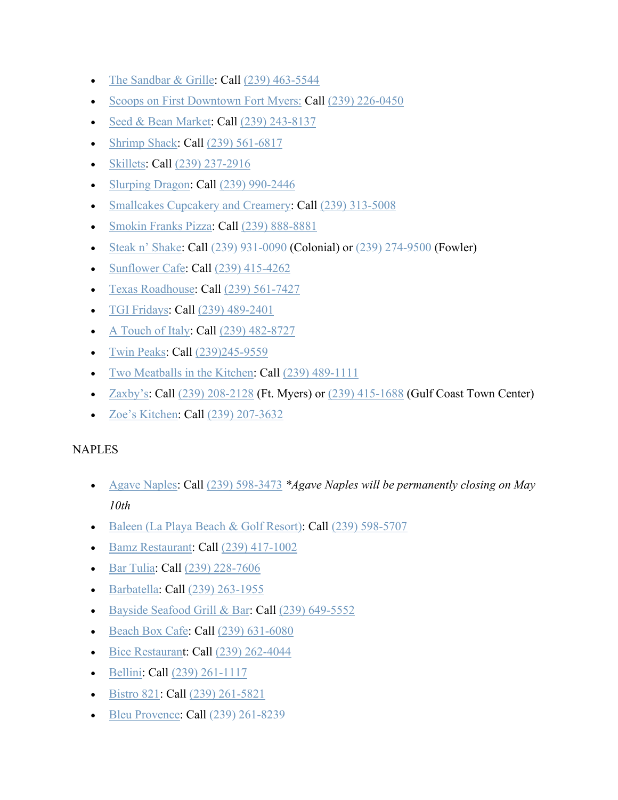- [The Sandbar & Grille:](http://www.sandbarfmb.com/) Call  $(239)$  463-5544
- [Scoops on First Downtown Fort Myers:](https://www.facebook.com/Scoops-on-First-847512678704642/) Call [\(239\) 226-0450](https://www.google.com/search?q=scoops+on+first&rlz=1C1GGGE_enUS570US571&oq=scoops+on+first&aqs=chrome..69i57.2258j0j4&sourceid=chrome&ie=UTF-8)
- [Seed & Bean Market:](https://seedandbeanmarket.com/food-drink-to-go/) Call [\(239\) 243-8137](https://www.google.com/search?q=seed+and+bean+market&rlz=1C1GGGE_enUS570US571&oq=seed+and+bean+market&aqs=chrome..69i57j69i60.2532j0j7&sourceid=chrome&ie=UTF-8)
- [Shrimp Shack:](https://shrimpshackusa.com/) Call [\(239\) 561-6817](https://www.google.com/search?q=shrimp+shack&rlz=1C1GGGE_enUS570US571&oq=shrimp+shack&aqs=chrome..69i57.2426j0j7&sourceid=chrome&ie=UTF-8)
- [Skillets:](https://www.skilletsrestaurants.com/) Call [\(239\) 237-2916](https://www.skilletsrestaurants.com/fort-myers)
- [Slurping Dragon:](http://slurpingdragon.com/) Call [\(239\) 990-2446](https://www.google.com/search?client=safari&rls=en&q=slurping+dragon&ie=UTF-8&oe=UTF-8)
- [Smallcakes Cupcakery and Creamery:](https://www.smallcakesfortmyers.com/) Call [\(239\) 313-5008](https://www.google.com/search?q=smallcakes&rlz=1C1GGGE_enUS570US571&oq=smallcakes&aqs=chrome..69i57.1925j0j4&sourceid=chrome&ie=UTF-8)
- [Smokin Franks Pizza:](https://smokinfrankspizza.com/) Call [\(239\) 888-8881](https://www.google.com/search?q=smokin+franks+pizza&oq=smokin+franks+pizza&aqs=chrome..69i57j0l2j69i60.4478j0j4&sourceid=chrome&ie=UTF-8)
- [Steak n' Shake:](https://www.steaknshake.com/) Call [\(239\) 931-0090](https://www.google.com/search?q=steak%20and%20shake%20fort%20myers&rlz=1C1GGGE_enUS570US571&oq=steak+and+shake+fort+myers&aqs=chrome..69i57.3179j0j4&sourceid=chrome&ie=UTF-8&sxsrf=ALeKk00id0Vobfn27LMjEwmec1xrTKJBnw:1586177179826&npsic=0&rflfq=1&rlha=0&rllag=26601166,-81838541,3387&tbm=lcl&rldimm=12007826097515028316&lqi=ChpzdGVhayBhbmQgc2hha2UgZm9ydCBteWVycyIDiAEBSPqu4vPmgICACFo7Cg9zdGVhayBhbmQgc2hha2UQABABEAIYABgCGAMYBCIac3RlYWsgYW5kIHNoYWtlIGZvcnQgbXllcnM&ved=2ahUKEwj-teq66tPoAhWGiOAKHc2cCDQQvS4wAHoECAsQHQ&rldoc=1&tbs=lrf:!1m4!1u3!2m2!3m1!1e1!1m4!1u16!2m2!16m1!1e1!1m4!1u16!2m2!16m1!1e2!1m5!1u15!2m2!15m1!1shas_1takeout!4e2!1m5!1u15!2m2!15m1!1shas_1wheelchair_1accessible_1entrance!4e2!2m1!1e16!2m1!1e3!3sIAE,lf:1,lf_ui:4&rlst=f) (Colonial) or [\(239\) 274-9500](https://www.google.com/search?q=steak%20and%20shake%20fort%20myers&rlz=1C1GGGE_enUS570US571&oq=steak+and+shake+fort+myers&aqs=chrome..69i57.3179j0j4&sourceid=chrome&ie=UTF-8&sxsrf=ALeKk00id0Vobfn27LMjEwmec1xrTKJBnw:1586177179826&npsic=0&rflfq=1&rlha=0&rllag=26601166,-81838541,3387&tbm=lcl&rldimm=12007826097515028316&lqi=ChpzdGVhayBhbmQgc2hha2UgZm9ydCBteWVycyIDiAEBSPqu4vPmgICACFo7Cg9zdGVhayBhbmQgc2hha2UQABABEAIYABgCGAMYBCIac3RlYWsgYW5kIHNoYWtlIGZvcnQgbXllcnM&ved=2ahUKEwj-teq66tPoAhWGiOAKHc2cCDQQvS4wAHoECAsQHQ&rldoc=1&tbs=lrf:!1m4!1u3!2m2!3m1!1e1!1m4!1u16!2m2!16m1!1e1!1m4!1u16!2m2!16m1!1e2!1m5!1u15!2m2!15m1!1shas_1takeout!4e2!1m5!1u15!2m2!15m1!1shas_1wheelchair_1accessible_1entrance!4e2!2m1!1e16!2m1!1e3!3sIAE,lf:1,lf_ui:4&rlst=f) (Fowler)
- [Sunflower Cafe:](https://www.sunflowercafefortmyers.com/) Call [\(239\) 415-4262](https://www.google.com/search?q=sunflower+cafe&oq=sunflower+cafe&aqs=chrome.0.0l6.3326j0j7&sourceid=chrome&ie=UTF-8)
- [Texas Roadhouse:](https://www.texasroadhouse.com/locations/florida/ft-myers) Call [\(239\) 561-7427](https://www.google.com/search?ei=e813Xp7xA8yc_QbttIiwCQ&q=texas+roadhouse+ft+myers&oq=texas+roadhouse+ft+myers&gs_l=psy-ab.3..0i10l6j0i22i30l3j0i22i10i30.2112.3148..3259...0.2..0.115.811.8j1......0....1..gws-wiz.......0i71j0j0i67..26%3A80.xf5CYqBFTY8&ved=0ahUKEwjemozZ-K7oAhVMTt8KHW0aApYQ4dUDCAs&uact=5)
- [TGI Fridays:](https://locations.tgifridays.com/fl/fort-myers/13499-us-41-se.html) Call [\(239\) 489-2401](https://www.google.com/search?q=tgi+fridays+bell+tower&rlz=1C1GGGE_enUS570US571&oq=tgi+fridays+bell+tower&aqs=chrome..69i57.4098j0j4&sourceid=chrome&ie=UTF-8)
- [A Touch of Italy:](https://italydeli.com/) Call [\(239\) 482-8727](https://www.google.com/search?q=touch+of+italy+fort+myers&oq=touch+of+italy&aqs=chrome.1.69i57j0l4j69i60.3670j0j4&sourceid=chrome&ie=UTF-8)
- [Twin Peaks:](https://twinpeaksrestaurant.com/locations/fort-myers-fl) Call [\(239\)245-9559](https://www.google.com/search?client=safari&rls=en&sxsrf=ALeKk03Yej3C0INRxNEvzG4VFntpfYCvYQ:1586984553404&q=twin+peaks+fort+myers&spell=1&sa=X&ved=2ahUKEwjQ4saUquvoAhUPd98KHQz8BOUQirwEKAB6BAgeECc&biw=1440&bih=837)
- [Two Meatballs in the Kitchen:](https://2meatballs.com/) Call [\(239\) 489-1111](https://www.google.com/search?q=two+meatballs+in+the+kitche&rlz=1C1GGGE_enUS570US571&oq=two+meatballs+in+the+kitche&aqs=chrome..69i57.3151j0j4&sourceid=chrome&ie=UTF-8)
- [Zaxby's:](https://www.zaxbys.com/locations/?zipcode=33908) Call  $(239)$  208-2128 (Ft. Myers) or  $(239)$  415-1688 (Gulf Coast Town Center)
- [Zoe's Kitchen:](https://zoeskitchen.com/locations/store/fl/fort-myers) Call [\(239\) 207-3632](https://www.google.com/search?q=zoes+kitchen+ft+myers&oq=zoes+kitchen+ft+myers&aqs=chrome..69i57j0l5.5774j0j4&sourceid=chrome&ie=UTF-8)

# NAPLES

- [Agave Naples:](https://www.agavenaples.com/takeout) Call [\(239\) 598-3473](https://www.google.com/search?q=agave+naples&rlz=1C1GGGE_enUS570US571&oq=agave&aqs=chrome.1.69i57j69i59j69i60l3.1730j0j9&sourceid=chrome&ie=UTF-8) *\*Agave Naples will be permanently closing on May 10th*
- [Baleen \(La Playa Beach & Golf Resort\):](https://www.laplayaresort.com/naples-baleen-restaurant/) Call [\(239\) 598-5707](https://www.google.com/search?q=baleen&rlz=1C1GGGE_enUS570US571&oq=baleen&aqs=chrome..69i57.1295j0j9&sourceid=chrome&ie=UTF-8)
- [Bamz Restaurant:](https://www.facebook.com/Bamz-Restaurant-2602824969792598/?tn-str=k*F) Call [\(239\) 417-1002](https://www.google.com/search?q=bamz+restaurant&rlz=1C1GGGE_enUS570US571&oq=bamz+&aqs=chrome.1.69i57j69i59j69i60l2.1680j0j9&sourceid=chrome&ie=UTF-8)
- [Bar Tulia:](https://bartulia.com/) Call [\(239\) 228-7606](https://www.google.com/search?q=bar+tulia+happy+hour&rlz=1C1GGGE_enUS570US571&oq=bar+tulia+&aqs=chrome.0.69i59j69i57.1959j0j4&sourceid=chrome&ie=UTF-8)
- [Barbatella:](https://barbatellanaples.com/) Call [\(239\) 263-1955](https://www.google.com/search?q=barbatella&oq=barbatella&aqs=chrome..69i57j0l7.2652j0j9&sourceid=chrome&ie=UTF-8)
- [Bayside Seafood Grill & Bar:](https://www.baysideseafoodgrillandbar.com/) Call [\(239\) 649-5552](https://www.google.com/search?q=bayside+seafood+grill+and+bar&rlz=1C1GGGE_enUS570US571&oq=bayside+seafood+grill+and+bar&aqs=chrome..69i57.5816j0j7&sourceid=chrome&ie=UTF-8)
- [Beach Box Cafe:](http://beachboxcafe.com/) Call [\(239\) 631-6080](https://www.google.com/search?q=beach+box&rlz=1C1GGGE_enUS570US571&oq=beach+box&aqs=chrome..69i57.1744j0j4&sourceid=chrome&ie=UTF-8)
- [Bice Restaurant](http://www.bice-naples.com/): Call [\(239\) 262-4044](https://www.google.com/search?q=bice+restaurant&rlz=1C1GGGE_enUS570US571&oq=bice&aqs=chrome.0.69i59j69i57j69i60.861j0j9&sourceid=chrome&ie=UTF-8)
- [Bellini:](https://www.bellinionfifth.com/) Call [\(239\) 261-1117](https://www.google.com/search?rlz=1C1GGGE_enUS570US571&sxsrf=ALeKk01UURdJhX0M6lrSP9bMdFOmbzFXZQ%3A1584469996075&ei=7BdxXrOSBKy1ggeCpKaYCA&q=bellini+restaurant&oq=bellini&gs_l=psy-ab.3.0.35i39j0i20i263j0l8.19566.24261..25072...0.3..0.120.782.4j4......0....1..gws-wiz.......0i71j35i304i39j0i13j0i13i10j0i67j0i273j0i10i67j0i10.BIwQlgPQ51Q)
- [Bistro 821:](https://www.bistro821.com/) Call [\(239\) 261-5821](https://www.google.com/search?q=bistro821&rlz=1C1GGGE_enUS570US571&oq=b&aqs=chrome.1.69i57j69i59l3j69i60l4.3077j0j4&sourceid=chrome&ie=UTF-8)
- [Bleu Provence:](https://www.bleuprovencenaples.com/) Call [\(239\) 261-8239](https://www.google.com/search?q=bleu+provence&rlz=1C1GGGE_enUS570US571&oq=bleu+provence&aqs=chrome..69i57.3565j0j7&sourceid=chrome&ie=UTF-8)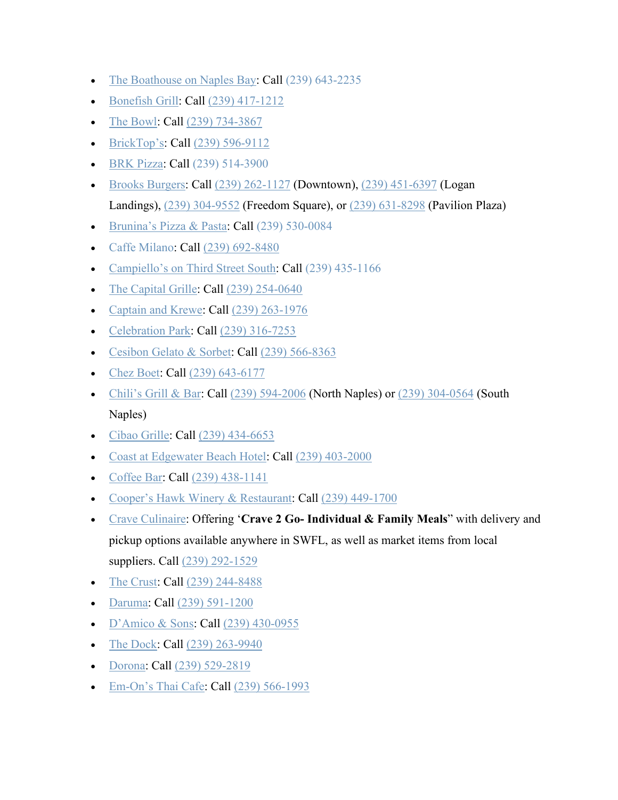- [The Boathouse on Naples Bay:](https://www.boathouseonnaplesbay.com/) Call [\(239\) 643-2235](https://www.google.com/search?q=the+boathouse+on+naples+bay&rlz=1C1GGGE_enUS570US571&oq=the+boathouse+on+naples+bay&aqs=chrome..69i57.19695j0j7&sourceid=chrome&ie=UTF-8)
- [Bonefish Grill:](https://www.bonefishgrill.com/) Call [\(239\) 417-1212](https://www.google.com/search?rlz=1C1GGGE_enUS570US571&tbm=lcl&sxsrf=ALeKk013CUrWB5XLe4ukII9toJQNFXmL2Q%3A1585240174381&ei=bth8Xo7xFsGrytMPzuqK2Ac&q=bonefish+grill&oq=bo&gs_l=psy-ab.3.0.35i39k1l3j0l4j0i131k1j0l2.425076.426310.0.427465.4.3.1.0.0.0.156.398.0j3.3.0....0...1c.1.64.psy-ab..0.4.423...0i67k1j0i10i67k1.0.v0gEYf0vFiY)
- [The Bowl:](https://www.the-bowl.com/) Call [\(239\) 734-3867](https://www.google.com/search?q=thebowl&rlz=1C1GGGE_enUS570US571&oq=thebowl&aqs=chrome..69i57.1125j0j7&sourceid=chrome&ie=UTF-8)
- [BrickTop's:](https://bricktops.com/naples) Call [\(239\) 596-9112](https://www.google.com/search?ei=DpZ2XtieA8Wq_QbR8reQDQ&q=bricktops+naples&oq=bricktops+naples&gs_l=psy-ab.3..0l10.4616.5464..5560...0.2..0.115.588.6j1......0....1..gws-wiz.......0i71j0i273..26%3A81.6GFJERvYyxg&ved=0ahUKEwjY3Z_Zz6zoAhVFVd8KHVH5DdIQ4dUDCAs&uact=5)
- [BRK Pizza:](https://www.brkpizzanaples.com/) Call [\(239\) 514-3900](https://www.google.com/search?q=brk+pizza&rlz=1C1GGGE_enUS570US571&oq=brk+pizza&aqs=chrome..69i57.1614j0j9&sourceid=chrome&ie=UTF-8)
- [Brooks Burgers:](https://brooksburgers.com/) Call [\(239\) 262-1127](https://www.google.com/search?q=brooks%20burgers&oq=brooks+burgers&aqs=chrome.0.69i59j0l5.1633j0j4&sourceid=chrome&ie=UTF-8&npsic=0&rflfq=1&rlha=0&rllag=26207135,-81762107,8239&tbm=lcl&rldimm=7035871120899705470&lqi=Cg5icm9va3MgYnVyZ2VycyIDiAEBSKqp2fSKq4CACFooCg5icm9va3MgYnVyZ2VycxAAEAEYABgBIg5icm9va3MgYnVyZ2Vycw&ved=2ahUKEwjF_s-UhKzoAhWiTN8KHRbXBjMQvS4wAXoECAsQFg&rldoc=1&tbs=lrf:!1m4!1u3!2m2!3m1!1e1!1m4!1u15!2m2!15m1!1shas_1takeout!1m5!1u15!2m2!15m1!1shas_1wheelchair_1accessible_1entrance!4e2!2m1!1e3!3sIAE,lf:1,lf_ui:4&rlst=f#rlfi=hd:;si:16488739778092363350,l,Cg5icm9va3MgYnVyZ2VycyIDiAEBSPiQkNWTgoCACFooCg5icm9va3MgYnVyZ2VycxAAEAEYABgBIg5icm9va3MgYnVyZ2Vycw;mv:%5B%5B26.282949199999997,-81.69532679999999%5D,%5B26.0538781,-81.81089419999999%5D%5D) (Downtown), [\(239\) 451-6397](https://www.google.com/search?q=brooks%20burgers&oq=brooks+burgers&aqs=chrome.0.69i59j0l5.1633j0j4&sourceid=chrome&ie=UTF-8&npsic=0&rflfq=1&rlha=0&rllag=26207135,-81762107,8239&tbm=lcl&rldimm=7035871120899705470&lqi=Cg5icm9va3MgYnVyZ2VycyIDiAEBSKqp2fSKq4CACFooCg5icm9va3MgYnVyZ2VycxAAEAEYABgBIg5icm9va3MgYnVyZ2Vycw&ved=2ahUKEwjF_s-UhKzoAhWiTN8KHRbXBjMQvS4wAXoECAsQFg&rldoc=1&tbs=lrf:!1m4!1u3!2m2!3m1!1e1!1m4!1u15!2m2!15m1!1shas_1takeout!1m5!1u15!2m2!15m1!1shas_1wheelchair_1accessible_1entrance!4e2!2m1!1e3!3sIAE,lf:1,lf_ui:4&rlst=f#rlfi=hd:;si:7472326749767396984,l,Cg5icm9va3MgYnVyZ2VycyIDiAEBWiAKDmJyb29rcyBidXJnZXJzIg5icm9va3MgYnVyZ2Vycw;mv:%5B%5B26.282949199999997,-81.69532679999999%5D,%5B26.0538781,-81.81089419999999%5D%5D) (Logan Landings), [\(239\) 304-9552](https://www.google.com/search?q=brooks%20burgers&oq=brooks+burgers&aqs=chrome.0.69i59j0l5.1633j0j4&sourceid=chrome&ie=UTF-8&npsic=0&rflfq=1&rlha=0&rllag=26207135,-81762107,8239&tbm=lcl&rldimm=7035871120899705470&lqi=Cg5icm9va3MgYnVyZ2VycyIDiAEBSKqp2fSKq4CACFooCg5icm9va3MgYnVyZ2VycxAAEAEYABgBIg5icm9va3MgYnVyZ2Vycw&ved=2ahUKEwjF_s-UhKzoAhWiTN8KHRbXBjMQvS4wAXoECAsQFg&rldoc=1&tbs=lrf:!1m4!1u3!2m2!3m1!1e1!1m4!1u15!2m2!15m1!1shas_1takeout!1m5!1u15!2m2!15m1!1shas_1wheelchair_1accessible_1entrance!4e2!2m1!1e3!3sIAE,lf:1,lf_ui:4&rlst=f#rlfi=hd:;si:2130926858672166960,l,Cg5icm9va3MgYnVyZ2VycyIDiAEBSI7vhfSVrYCACFooCg5icm9va3MgYnVyZ2VycxAAEAEYABgBIg5icm9va3MgYnVyZ2Vycw;mv:%5B%5B26.282949199999997,-81.69532679999999%5D,%5B26.0538781,-81.81089419999999%5D%5D) (Freedom Square), or [\(239\) 631-8298](https://www.google.com/search?q=brooks%20burgers&oq=brooks+burgers&aqs=chrome.0.69i59j0l5.1633j0j4&sourceid=chrome&ie=UTF-8&npsic=0&rflfq=1&rlha=0&rllag=26207135,-81762107,8239&tbm=lcl&rldimm=7035871120899705470&lqi=Cg5icm9va3MgYnVyZ2VycyIDiAEBSKqp2fSKq4CACFooCg5icm9va3MgYnVyZ2VycxAAEAEYABgBIg5icm9va3MgYnVyZ2Vycw&ved=2ahUKEwjF_s-UhKzoAhWiTN8KHRbXBjMQvS4wAXoECAsQFg&rldoc=1&tbs=lrf:!1m4!1u3!2m2!3m1!1e1!1m4!1u15!2m2!15m1!1shas_1takeout!1m5!1u15!2m2!15m1!1shas_1wheelchair_1accessible_1entrance!4e2!2m1!1e3!3sIAE,lf:1,lf_ui:4&rlst=f#rlfi=hd:;si:7035871120899705470,l,Cg5icm9va3MgYnVyZ2VycyIDiAEBSKqp2fSKq4CACFooCg5icm9va3MgYnVyZ2VycxAAEAEYABgBIg5icm9va3MgYnVyZ2Vycw;mv:%5B%5B26.282949199999997,-81.69532679999999%5D,%5B26.0538781,-81.81089419999999%5D%5D) (Pavilion Plaza)
- [Brunina's Pizza & Pasta:](http://www.bruninas.com/) Call [\(239\) 530-0084](https://www.google.com/search?q=bruninas+pizza+pasta&rlz=1C1GGGE_enUS570US571&oq=bruninas+pizza+pasta&aqs=chrome..69i57.4843j0j4&sourceid=chrome&ie=UTF-8)
- [Caffe Milano:](https://www.caffemilano.com/) Call [\(239\) 692-8480](https://www.google.com/search?ei=8uuwXuWHO4Xt_QbAmqb4BQ&q=caffe+milano+naples&oq=caffe+milano+naples&gs_lcp=CgZwc3ktYWIQAzICCAAyAggAMgIIADICCAAyAggAMgIIADICCAAyAggAMgIIADoECAAQRzoECAAQQ1CKL1iZNmDtNmgAcAJ4AIABXogBgwSSAQE2mAEAoAEBqgEHZ3dzLXdpeg&sclient=psy-ab&ved=0ahUKEwjlyLDi8ZvpAhWFdt8KHUCNCV8Q4dUDCAw&uact=5)
- [Campiello's on Third Street South:](https://campiellonaples.com/) Call [\(239\) 435-1166](https://www.google.com/search?q=campiello+naples&rlz=1C1GGGE_enUS570US571&oq=campiello+naples&aqs=chrome..69i57j69i60j69i61l2.2031j0j4&sourceid=chrome&ie=UTF-8)
- [The Capital Grille:](https://www.thecapitalgrille.com/locations/fl/naples/naples/8034?cmpid=br:tcg_ag:ie_ch:loc_ca:TCGGMB_dt:20190131_sn:gmb_gt:naples-fl-8034_pl:locurl_rd:1031) Call [\(239\) 254-0640](https://www.google.com/search?q=capital+grille&rlz=1C1GGGE_enUS570US571&oq=capital+grille&aqs=chrome..69i57j69i61l2j69i60.1700j0j4&sourceid=chrome&ie=UTF-8)
- [Captain and Krewe:](http://www.cknaples.com/) Call [\(239\) 263-1976](https://www.google.com/search?q=captain+and+krewe&rlz=1C1GGGE_enUS570US571&oq=captain+and+krewe&aqs=chrome..69i57.2625j0j7&sourceid=chrome&ie=UTF-8)
- [Celebration Park:](https://www.facebook.com/CelebrationParkNaples) Call [\(239\) 316-7253](https://www.google.com/search?q=celebration+park+naples&oq=celebration+park+naples&aqs=chrome.0.69i59j0l5.1731j1j4&sourceid=chrome&ie=UTF-8)
- [Cesibon Gelato & Sorbet:](https://cesibongelato.com/?v=1d20b5ff1ee9) Call [\(239\) 566-8363](https://www.google.com/search?q=cesibon+naples&oq=cesibon+&aqs=chrome.1.69i57j0l3j69i60l2.4457j0j4&sourceid=chrome&ie=UTF-8)
- [Chez Boet:](https://www.chezboetnaples.com/) Call [\(239\) 643-6177](https://www.google.com/search?q=chez+boet&oq=chez+boe&aqs=chrome.0.0j69i57j0l6.1631j0j4&sourceid=chrome&ie=UTF-8)
- [Chili's Grill & Bar:](https://www.chilis.com/locations/us/florida/naples) Call  $(239)$  594-2006 (North Naples) or  $(239)$  304-0564 (South Naples)
- [Cibao Grille:](https://cibaogrille.com/) Call [\(239\) 434-6653](https://www.google.com/search?q=cibao+grill&rlz=1C1GGGE_enUS570US571&oq=cibao+&aqs=chrome.1.69i57j69i59.2650j0j7&sourceid=chrome&ie=UTF-8)
- [Coast at Edgewater Beach Hotel:](https://www.edgewaternaples.com/dining/coast/) Call [\(239\) 403-2000](https://www.google.com/search?q=coast+at+edgewater&rlz=1C1GGGE_enUS570US571&oq=coast+at+edgewater&aqs=chrome..69i57.3454j0j7&sourceid=chrome&ie=UTF-8)
- [Coffee](https://naplescoffeebar.com/) Bar: Call [\(239\) 438-1141](tel:2394381141)
- [Cooper's Hawk Winery & Restaurant:](https://chwinery.com/) Call [\(239\) 449-1700](https://www.google.com/search?q=coopers+hawk+naples&rlz=1C1GGGE_enUS570US571&oq=coopers+hawk+naples&aqs=chrome..69i57.4766j0j7&sourceid=chrome&ie=UTF-8)
- [Crave Culinaire:](https://www.craveculinaire.com/crave2go/) Offering '**Crave 2 Go- Individual & Family Meals**" with delivery and pickup options available anywhere in SWFL, as well as market items from local suppliers. Call [\(239\) 292-1529](https://www.google.com/search?q=crave2go&oq=crave2go&aqs=chrome.0.69i59j69i60.1343j0j4&sourceid=chrome&ie=UTF-8)
- [The Crust:](https://thecrustpizza.net/) Call [\(239\) 244-8488](https://www.google.com/search?rlz=1C1GGGE_enUS570US571&sxsrf=ALeKk01w-XkFMWYQptTeFfNhItzHTtkapQ:1584716480634&q=the+crust+naples&npsic=0&rflfq=1&rlha=0&rllag=26249044,-81801809,358&tbm=lcl&ved=2ahUKEwjV9Zb3qKnoAhVrma0KHSArB0YQtgN6BAgLEAQ&tbs=lrf:!1m4!1u3!2m2!3m1!1e1!1m4!1u2!2m2!2m1!1e1!1m4!1u16!2m2!16m1!1e1!1m4!1u16!2m2!16m1!1e2!1m4!1u22!2m2!21m1!1e1!1m5!1u15!2m2!15m1!1shas_1takeout!4e2!1m5!1u15!2m2!15m1!1shas_1wheelchair_1accessible_1entrance!4e2!1m5!1u15!2m2!15m1!1spopular_1with_1tourists!4e2!1m5!1u15!2m2!15m1!1sserves_1beer!4e2!1m5!1u15!2m2!15m1!1sserves_1dinner!4e2!1m5!1u15!2m2!15m1!1sserves_1lunch!4e2!1m5!1u15!2m2!15m1!1sserves_1vegetarian!4e2!1m5!1u15!2m2!15m1!1sserves_1wine!4e2!1m5!1u15!2m2!15m1!1swelcomes_1children!4e2!1m5!1u15!2m2!15m1!1shas_1childrens_1menu!4e2!1m5!1u15!2m2!15m1!1shas_1seating_1outdoors!4e2!2m1!1e2!2m1!1e16!2m1!1e3!3sIAE,lf:1,lf_ui:9&rldoc=1)
- [Daruma:](https://darumarestaurant.com/) Call [\(239\) 591-1200](https://www.google.com/search?rlz=1C1GGGE_enUS570US571&sxsrf=ALeKk03xqQE_MkqdrRhMqVP9NjQlMvaURw%3A1585080461926&ei=jWh6XqyiOMmvggfinqboCQ&q=daruma+naples&oq=daruma+naples&gs_l=psy-ab.3..0l2j0i22i30l8.47204.48088..48163...0.1..0.124.661.5j2......0....1..gws-wiz.......0i71j35i39j0i67j0i20i263j0i22i10i30.4FLBPJ7VeZg&ved=0ahUKEwjsnP7u9LPoAhXJl-AKHWKPCZ0Q4dUDCAs&uact=5)
- [D'Amico & Sons:](https://naples.damicoandsons.com/) Call [\(239\) 430-0955](https://www.google.com/search?q=damico+and+sons&rlz=1C1GGGE_enUS570US571&oq=damico&aqs=chrome.0.69i59j69i57j69i60.1375j0j4&sourceid=chrome&ie=UTF-8)
- [The Dock:](https://www.dockcraytoncove.com/) Call [\(239\) 263-9940](https://www.google.com/search?q=the+dock+restaurant&rlz=1C1GGGE_enUS570US571&oq=the+dock+restaurant&aqs=chrome..69i57.4172j0j4&sourceid=chrome&ie=UTF-8)
- [Dorona:](https://doronanaples.com/) Call [\(239\) 529-2819](https://www.google.com/search?q=dorona&oq=dorona&aqs=chrome..69i57j0l7.641j0j9&sourceid=chrome&ie=UTF-8)
- [Em-On's Thai Cafe:](http://emonsthaicafe.com/) Call [\(239\) 566-1993](https://www.google.com/search?q=emon+thai+cafe&rlz=1C1GGGE_enUS570US571&oq=emon+thai+cafe&aqs=chrome..69i57.2612j0j7&sourceid=chrome&ie=UTF-8)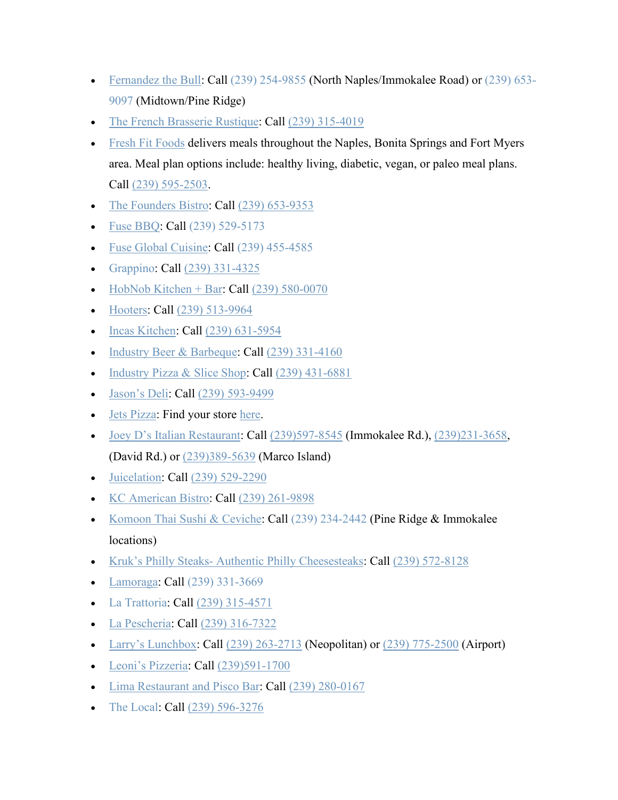- [Fernandez the Bull:](https://fernandezthebull.com/) Call [\(239\) 254-9855](https://www.google.com/search?rlz=1C1GGGE_enUS570US571&sxsrf=ALeKk01_xD_4rBvVDuhO7HIEwHFwklXPpw:1585234979601&q=fernandez+the+bull&npsic=0&rflfq=1&rlha=0&rllag=26242862,-81759487,3541&tbm=lcl&ved=2ahUKEwiZs-C-tLjoAhVKKa0KHWcRARoQtgN6BAgHEAQ&tbs=lrf:!1m4!1u3!2m2!3m1!1e1!1m4!1u16!2m2!16m1!1e1!1m4!1u16!2m2!16m1!1e2!1m5!1u15!2m2!15m1!1shas_1takeout!4e2!1m5!1u15!2m2!15m1!1shas_1wheelchair_1accessible_1entrance!4e2!2m1!1e16!2m1!1e3!3sIAE,lf:1,lf_ui:4&rldoc=1) (North Naples/Immokalee Road) or [\(239\) 653-](https://www.google.com/search?sa=X&rlz=1C1GGGE_enUS570US571&biw=1600&bih=764&sxsrf=ALeKk01Ca9OFsez9a0mZHvjosdBrtXPGDg:1585235180064&q=fernandez+the+bull&npsic=0&rflfq=1&rlha=0&rllag=26242862,-81759487,3541&tbm=lcl&ved=2ahUKEwjT7auetbjoAhVQCKwKHSvOC6kQtgN6BAgHEAQ&tbs=lrf:!1m4!1u3!2m2!3m1!1e1!1m4!1u16!2m2!16m1!1e1!1m4!1u16!2m2!16m1!1e2!1m5!1u15!2m2!15m1!1shas_1takeout!4e2!1m5!1u15!2m2!15m1!1shas_1wheelchair_1accessible_1entrance!4e2!2m1!1e16!2m1!1e3!3sIAE,lf:1,lf_ui:4&rldoc=1) [9097](https://www.google.com/search?sa=X&rlz=1C1GGGE_enUS570US571&biw=1600&bih=764&sxsrf=ALeKk01Ca9OFsez9a0mZHvjosdBrtXPGDg:1585235180064&q=fernandez+the+bull&npsic=0&rflfq=1&rlha=0&rllag=26242862,-81759487,3541&tbm=lcl&ved=2ahUKEwjT7auetbjoAhVQCKwKHSvOC6kQtgN6BAgHEAQ&tbs=lrf:!1m4!1u3!2m2!3m1!1e1!1m4!1u16!2m2!16m1!1e1!1m4!1u16!2m2!16m1!1e2!1m5!1u15!2m2!15m1!1shas_1takeout!4e2!1m5!1u15!2m2!15m1!1shas_1wheelchair_1accessible_1entrance!4e2!2m1!1e16!2m1!1e3!3sIAE,lf:1,lf_ui:4&rldoc=1) (Midtown/Pine Ridge)
- [The French Brasserie Rustique:](https://thefrenchnaples.com/) Call [\(239\) 315-4019](https://www.google.com/search?q=the+french+brassiere&rlz=1C1GGGE_enUS570US571&oq=the+french&aqs=chrome.0.69i59l2j69i57j69i60l2.1375j0j9&sourceid=chrome&ie=UTF-8)
- [Fresh Fit Foods](http://freshfitnaples.com/) delivers meals throughout the Naples, Bonita Springs and Fort Myers area. Meal plan options include: healthy living, diabetic, vegan, or paleo meal plans. Call [\(239\) 595-2503.](https://www.google.com/search?q=fresh+fit+foods&rlz=1C1GGGE_enUS570US571&oq=fresh+&aqs=chrome.0.69i59j69i57j69i59j69i60l2j69i61j69i60.1023j0j7&sourceid=chrome&ie=UTF-8)
- [The Founders Bistro:](https://www.thefounders.market/) Call [\(239\) 653-9353](https://www.google.com/search?q=the+founders+bistro&rlz=1C1GGGE_enUS570US571&oq=the+founders+bistro&aqs=chrome..69i57.2604j0j9&sourceid=chrome&ie=UTF-8)
- **[Fuse BBQ:](http://fusebbq.com/) Call [\(239\) 529-5173](https://www.google.com/search?q=fuse+bbq&rlz=1C1GGGE_enUS570US571&oq=fuse+bbq&aqs=chrome..69i57.1315j0j7&sourceid=chrome&ie=UTF-8)**
- [Fuse Global Cuisine:](http://fuseglobalcuisine.com/) Call [\(239\) 455-4585](https://www.google.com/search?q=fuse+global+cuisine&rlz=1C1GGGE_enUS570US571&oq=fuse+global+cuisine&aqs=chrome..69i57.3745j0j4&sourceid=chrome&ie=UTF-8)
- [Grappino:](https://grappinonaples.com/) Call [\(239\) 331-4325](https://www.google.com/search?q=grappino&oq=grappino&aqs=chrome..69i57j0l7.4723j0j9&sourceid=chrome&ie=UTF-8)
- [HobNob Kitchen + Bar:](http://hobnobnaples.com/) Call  $(239)$  580-0070
- [Hooters:](https://www.hooters.com/) Call [\(239\) 513-9964](https://www.google.com/search?rlz=1C1GGGE_enUS570US571&sxsrf=ALeKk017ZVNqnJI2MHn6RXZ8hPpd7rQeCg%3A1585318811304&ei=mwt-XsGYEuezggeg7J3gDw&q=hooters+naples&oq=hooters+naples&gs_l=psy-ab.3..0l6j0i22i30l4.49764.50427..50515...0.2..0.97.510.6......0....1..gws-wiz.......0i71j35i39j0i67._uvr2hgLR5A&ved=0ahUKEwiB0unk7LroAhXnmeAKHSB2B_wQ4dUDCAs&uact=5)
- [Incas Kitchen:](https://www.incaskitchennaples.com/) Call [\(239\) 631-5954](https://www.google.com/search?q=incas+kitchen&rlz=1C1GGGE_enUS570US571&oq=incas+kitchen&aqs=chrome..69i57.1521j0j9&sourceid=chrome&ie=UTF-8)
- [Industry Beer & Barbeque:](http://www.slatitudes.com/) Call [\(239\) 331-4160](https://www.google.com/search?q=industry+beer&rlz=1C1GGGE_enUS570US571&oq=industry+beer+&aqs=chrome..69i57.4628j0j4&sourceid=chrome&ie=UTF-8)
- [Industry Pizza & Slice Shop:](https://www.industrypizza.com/) Call [\(239\) 431-6881](https://www.google.com/search?q=industry+pizza&rlz=1C1GGGE_enUS570US571&oq=industry+pizza&aqs=chrome..69i57.1783j0j4&sourceid=chrome&ie=UTF-8)
- [Jason's Deli:](https://www.jasonsdeli.com/restaurants/naples-deli) Call [\(239\) 593-9499](https://www.google.com/search?rlz=1C1GGGE_enUS570US571&tbm=lcl&sxsrf=ALeKk01H3qGgpvhuTjOuBD84FrwRTaJefQ%3A1585063518267&ei=XiZ6XuLpD5CJggeXg7KIBA&q=jason+deli+naples&oq=jason+deli+naples&gs_l=psy-ab.3..0l2j0i22i30k1l8.189869.190398.0.190458.6.5.0.0.0.0.203.566.0j2j1.3.0....0...1c.1.64.psy-ab..3.3.564....0.X4IG6mMBF80)
- [Jets Pizza:](https://www.jetspizza.com/announcements/announcement/covid19) Find your store [here.](https://www.jetspizza.com/stores/zip)
- [Joey D's Italian Restaurant:](https://www.joeydsnaples.com/) Call  $(239)597-8545$  (Immokalee Rd.),  $(239)231-3658$ , (David Rd.) or [\(239\)389-5639](https://www.google.com/search?client=safari&rls=en&q=joey%20d%27s%20italian&ie=UTF-8&oe=UTF-8&sxsrf=ALeKk008Mm7SKkpyVdyWxChKKsoO8XtFTA:1586978116668&npsic=0&rflfq=1&rlha=0&rllag=26204237,-81769499,7370&tbm=lcl&rldimm=4751161184808536924&lqi=ChBqb2V5IGQncyBpdGFsaWFuIgOIAQFI37_53OWAgIAIWjAKEGpvZXkgZCdzIGl0YWxpYW4QABABEAIYABgBGAIiEGpvZXkgZCdzIGl0YWxpYW4&ved=2ahUKEwi-2qOXkuvoAhXCg-AKHUBnAx4QvS4wAXoECAsQFw&rldoc=1&tbs=lrf:!1m4!1u3!2m2!3m1!1e1!1m5!1u15!2m2!15m1!1shas_1wheelchair_1accessible_1entrance!4e2!2m1!1e3!3sIAE,lf:1,lf_ui:4&rlst=f) (Marco Island)
- [Juicelation:](http://www.juicelation.com/) Call [\(239\) 529-2290](https://www.google.com/search?q=juicelation&rlz=1C1GGGE_enUS570US571&oq=juicelation&aqs=chrome..69i57.1830j0j7&sourceid=chrome&ie=UTF-8)
- [KC American Bistro:](https://www.kcamericanbistro.com/) Call [\(239\) 261-9898](https://www.google.com/search?q=kilwins&rlz=1C1GGGE_enUS570US571&oq=kilwins&aqs=chrome..69i57j69i60j69i61l2.2079j0j4&sourceid=chrome&ie=UTF-8&sxsrf=ALeKk00fQpZ1NG54czfxxSHtQgS7pT5oVg:1584647233247&npsic=0&rflfq=1&rlha=0&rllag=26314163,-81872885,20868&tbm=lcl&rldimm=2654851905060288876&lqi=CgdraWx3aW5zSJrxjuTlgICACFoWCgdraWx3aW5zEAAYACIHa2lsd2lucw&ved=2ahUKEwjV4rn7pqfoAhVnZN8KHYvJDC0QvS4wAHoECAcQHA&rldoc=1&tbs=lrf:!1m4!1u3!2m2!3m1!1e1!1m4!1u16!2m2!16m1!1e1!1m4!1u16!2m2!16m1!1e2!1m5!1u15!2m2!15m1!1shas_1wheelchair_1accessible_1entrance!4e2!2m1!1e16!2m1!1e3!3sIAE,lf:1,lf_ui:3&rlst=f)
- [Komoon Thai Sushi & Ceviche:](http://www.komoonthai.com/) Call [\(239\) 234-2442](https://www.google.com/search?rlz=1C1GGGE_enUS570US571&sxsrf=ALeKk02KxBKKS9Msxqx0BzspPBW8K8kplA%3A1585076687028&ei=z1l6XqmTAYvv_QbNtIygBQ&q=komoon+naples&oq=komoon+naples&gs_l=psy-ab.3..0l6j0i22i30l4.99649.100177..100229...0.2..0.182.698.0j5......0....1..gws-wiz.......0i71.76ytaNaFLJk&ved=0ahUKEwjptvzm5rPoAhWLd98KHU0aA1QQ4dUDCAs&uact=5) (Pine Ridge & Immokalee locations)
- Kruk's Philly Steaks- [Authentic Philly Cheesesteaks:](https://www.kruks.com/) Call [\(239\) 572-8128](https://www.google.com/search?q=Kruk%E2%80%99s+Philly+Steaks-+Authentic+Philly+Cheesesteaks&rlz=1C1GGGE_enUS570US571&oq=Kruk%E2%80%99s+Philly+Steaks-+Authentic+Philly+Cheesesteaks&aqs=chrome..69i57.403j0j7&sourceid=chrome&ie=UTF-8)
- [Lamoraga:](https://www.lamoragarestaurant.com/) Call [\(239\) 331-3669](https://www.google.com/search?q=lamorage&rlz=1C1GGGE_enUS570US571&oq=lamorage&aqs=chrome..69i57.4656j0j4&sourceid=chrome&ie=UTF-8)
- [La Trattoria:](https://www.latrattorianaples.com/) Call [\(239\) 315-4571](https://www.google.com/search?q=la+trattoria+naples&oq=la+tratt&aqs=chrome.1.0l7j69i57.2791j0j9&sourceid=chrome&ie=UTF-8)
- [La Pescheria:](https://www.lapescherianaples.com/) Call [\(239\) 316-7322](https://www.google.com/search?q=La+Pescheria&rlz=1C1GGGE_enUS570US571&oq=La+Pescheria&aqs=chrome..69i57j69i64.298j0j9&sourceid=chrome&ie=UTF-8)
- [Larry's Lunchbox:](https://www.larryslunchbox.com/) Call  $(239)$  263-2713 (Neopolitan) or  $(239)$  775-2500 (Airport)
- [Leoni's Pizzeria:](http://www.leonispizza.com/) Call [\(239\)591-1700](https://www.google.com/search?client=safari&rls=en&q=leoni%27s%20pizzeria&ie=UTF-8&oe=UTF-8&sxsrf=ALeKk02ZOuiPOHVDHzCh2Rldui82_Ehthw:1586986347701&npsic=0&rflfq=1&rlha=0&rllag=26359765,-81814692,11360&tbm=lcl&rldimm=5745109524474844234&lqi=ChBsZW9uaSdzIHBpenplcmlhIgOIAQFI0eXfnKCugIAIWiwKEGxlb25pJ3MgcGl6emVyaWEQABABGAAYASIQbGVvbmkncyBwaXp6ZXJpYQ&ved=2ahUKEwjfipLssOvoAhVqiOAKHUluCVUQvS4wA3oECAsQKw&rldoc=1&tbs=lrf:!1m4!1u3!2m2!3m1!1e1!2m1!1e3!3sIAE,lf:1,lf_ui:4&rlst=f)
- [Lima Restaurant and Pisco Bar:](http://www.lima-restaurant.com/) Call [\(239\) 280-0167](https://www.google.com/search?q=lima+restaurant+and+pisco+bar&rlz=1C1GGGE_enUS570US571&oq=lima+restaurant+and+pisco+bar&aqs=chrome..69i57j69i60.5548j0j7&sourceid=chrome&ie=UTF-8)
- [The Local:](https://thelocalnaples.com/) **Call** [\(239\) 596-3276](https://www.google.com/search?q=the+local&oq=the+local&aqs=chrome..69i57j69i59j0l3j69i60l3.1102j0j9&sourceid=chrome&ie=UTF-8)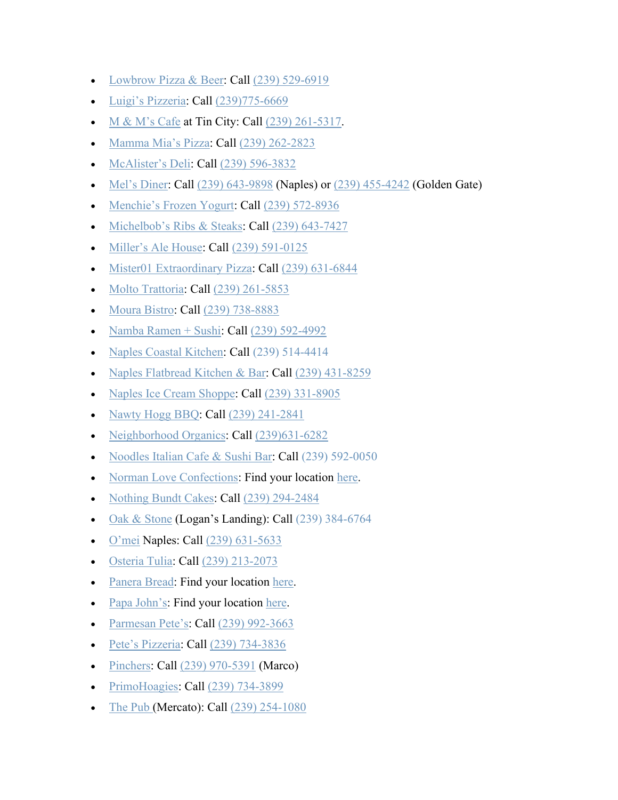- [Lowbrow Pizza & Beer:](https://www.lowbrowpizzaandbeer.com/) Call [\(239\) 529-6919](https://www.google.com/search?q=lowbrow+pizza&rlz=1C1GGGE_enUS570US571&oq=lowbrow+pizza&aqs=chrome..69i57.2433j0j4&sourceid=chrome&ie=UTF-8)
- [Luigi's Pizzeria:](http://www.luigisofnaples.net/) Call [\(239\)775-6669](https://www.google.com/search?client=safari&rls=en&sxsrf=ALeKk018-QUCYKubLlu6ppxdaRTD_5WgIg%3A1586981021685&ei=nWiXXquWKc-c_QaGtp3oCA&q=luigi%27s+pizzeria+naples&oq=luigi%27s+pizzeria+naples&gs_lcp=CgZwc3ktYWIQAzICCAAyAggAMgYIABAWEB4yBggAEBYQHjIGCAAQFhAeMgYIABAWEB4yBggAEBYQHjIGCAAQFhAeMgUIABDNAjIFCAAQzQI6BAgAEEc6BwgAEBQQhwI6BQgAEIsDOgsIABAWEAoQHhCLAzoJCAAQFhAeEIsDSg0IFxIJMTEtODBnMTE2SgoIGBIGMTEtNWc0UPyBBFj_jARg_I8EaABwAngAgAF1iAHeBZIBAzIuNZgBAKABAaoBB2d3cy13aXq4AQI&sclient=psy-ab&ved=0ahUKEwjr2L-AnevoAhVPTt8KHQZbB40Q4dUDCAs&uact=5)
- [M & M's Cafe](https://cafemnm.com/) at Tin City: Call  $(239)$  261-5317.
- [Mamma Mia's Pizza:](https://www.facebook.com/Mama-Mias-Pizza-332800508065/) Call [\(239\) 262-2823](https://www.google.com/search?q=mamma+mias+pizza&rlz=1C1GGGE_enUS570US571&oq=mamma+mias+pizza&aqs=chrome..69i57.2980j0j7&sourceid=chrome&ie=UTF-8)
- [McAlister's Deli:](https://www.mcalistersdeli.com/) Call [\(239\) 596-3832](https://www.google.com/search?q=mcalister&rlz=1C1GGGE_enUS570US571&oq=mca&aqs=chrome.0.69i59j69i57j69i60l3.912j0j4&sourceid=chrome&ie=UTF-8)
- [Mel's Diner:](https://melsdiners.com/) Call [\(239\) 643-9898](https://www.google.com/search?q=mel%27s+diner+naples&oq=mel%27s+diner+naples&aqs=chrome..69i57j69i60.4893j0j4&sourceid=chrome&ie=UTF-8) (Naples) or [\(239\) 455-4242](https://www.google.com/search?sxsrf=ALeKk02wa8a4Ocj98oFjTCVYjSdcyzgQYA%3A1584990178786&ei=4gd5Xui0L8KMtgWhnZH4Ag&q=mel%27s+diner+golden+gate&oq=mel%27s+diner+golden+gate&gs_l=psy-ab.3..0l3j0i22i30l2j38.17469.19031..19145...0.2..1.255.1432.3j6j2......0....1..gws-wiz.......0i71.qxk2mp9DQu4&ved=0ahUKEwjordDEpLHoAhVChq0KHaFOBC8Q4dUDCAs&uact=5) (Golden Gate)
- [Menchie's Frozen Yogurt:](https://www.menchies.com/locations/frozen-yogurt-naples-blvd-fl/cakes) Call [\(239\) 572-8936](https://www.google.com/search?q=menchie%27s+naples&oq=menchie%27s+naples&aqs=chrome..69i57j0l5.2135j0j9&sourceid=chrome&ie=UTF-8)
- [Michelbob's Ribs & Steaks:](http://www.michelbobs.com/) Call [\(239\) 643-7427](https://www.google.com/search?q=michelbob%27s+naples&oq=michel&aqs=chrome.1.69i57j69i59l2j0j69i60l2.3272j0j4&sourceid=chrome&ie=UTF-8)
- [Miller's Ale House:](https://millersalehouse.com/locations/naples/) Call [\(239\) 591-0125](https://www.google.com/search?q=millers+ale+house+naples&rlz=1C1GGGE_enUS570US571&oq=millers+ale+house+naples&aqs=chrome..69i57j69i60.4206j0j7&sourceid=chrome&ie=UTF-8)
- [Mister01 Extraordinary Pizza:](http://www.mistero1.com/) Call [\(239\) 631-6844](https://www.google.com/search?q=mister01+extraordinary&rlz=1C1GGGE_enUS570US571&oq=mister01+extraordinary&aqs=chrome..69i57.10586j0j4&sourceid=chrome&ie=UTF-8)
- [Molto Trattoria:](https://www.moltonaples.com/) Call [\(239\) 261-5853](https://www.google.com/search?q=Molto+Trattoria&rlz=1C1GGGE_enUS570US571&oq=Molto+Trattoria&aqs=chrome..69i57.254j0j4&sourceid=chrome&ie=UTF-8)
- [Moura Bistro:](http://www.mourabistro.com/) Call [\(239\) 738-8883](https://www.google.com/search?q=moura+bistro&rlz=1C1GGGE_enUS570US571&oq=moura+bistro&aqs=chrome..69i57.2454j0j4&sourceid=chrome&ie=UTF-8)
- [Namba Ramen + Sushi:](http://www.nambanaples.com/) Call  $(239)$  592-4992
- [Naples Coastal Kitchen:](http://naplescoastalkitchen.com/) Call [\(239\) 514-4414](https://www.google.com/search?q=naples+coastal+kitchen&rlz=1C1GGGE_enUS570US571&oq=naples+coastal+kitchen&aqs=chrome..69i57.4950j0j9&sourceid=chrome&ie=UTF-8)
- [Naples Flatbread Kitchen & Bar:](https://www.naplesflatbread.com/) Call [\(239\) 431-8259](https://www.google.com/search?q=naples+flatbread&rlz=1C1GGGE_enUS570US571&oq=naples+flatbread+++&aqs=chrome..69i57j69i59l2j69i60.4204j0j9&sourceid=chrome&ie=UTF-8)
- [Naples Ice Cream Shoppe:](https://www.facebook.com/naplesics) Call [\(239\) 331-8905](https://www.google.com/search?q=naples+ice+cream+shoppe&oq=naples+ice+c&aqs=chrome.1.0l2j69i57j0l4j69i60.3194j0j4&sourceid=chrome&ie=UTF-8)
- [Nawty Hogg BBQ:](https://nawtyhoggbbq.com/) Call [\(239\) 241-2841](https://www.google.com/search?ei=ZJl2XvrrGNKzggel7rzoDA&q=nawty+hogg&oq=nawty+hogg&gs_l=psy-ab.3..0l5j0i30l5.4865.4865..5192...0.2..0.100.100.0j1......0....1..gws-wiz.......0i71..26%3A84.uLaZ8bNaVjw&ved=0ahUKEwj6rdHw0qzoAhXSmeAKHSU3D80Q4dUDCAs&uact=5)
- [Neighborhood Organics:](https://www.facebook.com/neighborhoodorganics/?ref=br_tf) Call [\(239\)631-6282](https://www.google.com/search?client=safari&rls=en&q=neighborhood+organics&ie=UTF-8&oe=UTF-8)
- [Noodles Italian Cafe & Sushi Bar:](https://noodlescafe.com/) Call [\(239\) 592-0050](https://www.google.com/search?q=noodles+italian+cafe&rlz=1C1GGGE_enUS570US571&oq=noodles+italian+cafe&aqs=chrome..69i57.3209j0j4&sourceid=chrome&ie=UTF-8)
- [Norman Love Confections:](https://www.normanloveconfections.com/) Find your location [here.](https://www.normanloveconfections.com/locations/)
- [Nothing Bundt Cakes:](https://www.nothingbundtcakes.com/bakery/fl/naples) Call [\(239\) 294-2484](https://www.google.com/search?q=nothing+bundt+cakes+naples&rlz=1C1GGGE_enUS570US571&oq=nothing+bundt+cakes+naples&aqs=chrome..69i57j69i60.3579j0j4&sourceid=chrome&ie=UTF-8)
- [Oak & Stone](https://www.oakandstone.com/) (Logan's Landing): Call [\(239\) 384-6764](https://www.google.com/search?q=oak+and+stone&rlz=1C1GGGE_enUS570US571&oq=oak+and+stone&aqs=chrome..69i57.1611j0j4&sourceid=chrome&ie=UTF-8)
- [O'mei](http://www.omeinaples.com/) Naples: Call [\(239\) 631-5633](https://www.google.com/search?q=omei&rlz=1C1GGGE_enUS570US571&oq=omei+&aqs=chrome..69i57j69i60.872j0j4&sourceid=chrome&ie=UTF-8)
- [Osteria Tulia:](https://osteriatulia.com/) Call [\(239\) 213-2073](https://www.google.com/search?q=osteria+tulia&rlz=1C1GGGE_enUS570US571&oq=osteria+tulia&aqs=chrome..69i57.2192j0j4&sourceid=chrome&ie=UTF-8)
- [Panera Bread:](https://www.panerabread.com/en-us/home.html) Find your location [here.](https://delivery.panerabread.com/cafeLocations/)
- [Papa John's:](https://www.papajohns.com/) Find your location [here.](https://locations.papajohns.com/)
- [Parmesan Pete's:](https://www.parmesanpetes.com/) Call [\(239\) 992-3663](https://www.google.com/search?q=parmesan+pete%27s&oq=parmesan+pete%27s&aqs=chrome..69i57j0l4j69i60.6717j0j9&sourceid=chrome&ie=UTF-8)
- [Pete's Pizzeria:](https://petespizzerianaples.com/) Call [\(239\) 734-3836](https://www.google.com/search?ei=VJp2Xp_eH4Sf_QaO_qHgDw&q=pete%27s+pizzeria&oq=pete%27s+pizzeria&gs_l=psy-ab.3..0l5j0i10l2j0j0i10j0.26792.29265..29382...0.6..0.107.1342.12j3......0....1..gws-wiz.......0i71j0i67j0i273j0i10i273..26%3A80.Yre6Bgqk5jI&ved=0ahUKEwif2JDj06zoAhWET98KHQ5_CPwQ4dUDCAs&uact=5)
- [Pinchers:](https://www.pinchersusa.com/) Call [\(239\) 970-5391](https://www.google.com/search?q=pinchers+marco+island&oq=pinchers+marco&aqs=chrome.0.0j69i57j0l6.4477j0j4&sourceid=chrome&ie=UTF-8) (Marco)
- [PrimoHoagies:](https://www.primohoagies.com/) Call [\(239\) 734-3899](https://www.google.com/search?q=primo+hoagies&rlz=1C1GGGE_enUS570US571&oq=primo&aqs=chrome.0.69i59j69i57j69i60l4.1958j0j4&sourceid=chrome&ie=UTF-8)
- [The Pub](https://experiencethepub.com/naples/) (Mercato): Call [\(239\) 254-1080](https://www.google.com/search?rlz=1C1GGGE_enUS570US571&sxsrf=ALeKk031egtrboLjDwQe433rvecaOS8Utw%3A1584805278190&ei=njV2XvybC_Kk_QaA-pHgDg&q=the+pub+mercato&oq=the+pub+mercato&gs_l=psy-ab.3..0l6j0i22i30l4.7560.8674..8872...0.2..0.120.855.2j6......0....1..gws-wiz.......0i71j0i22i10i30.1dC0iTRRuAI&ved=0ahUKEwj84pPd86voAhVyUt8KHQB9BOwQ4dUDCAs&uact=5)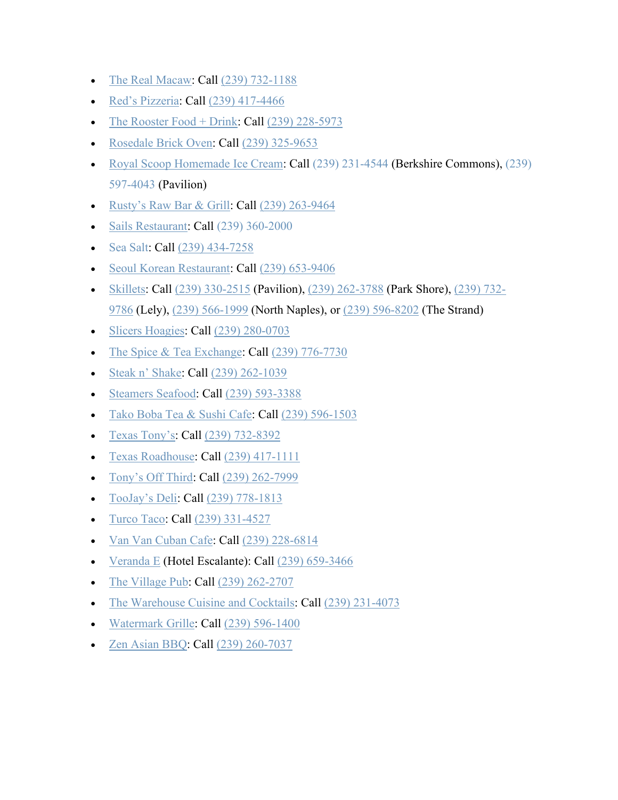- [The Real Macaw:](https://therealmacawnaples.com/index.html) Call [\(239\) 732-1188](https://www.google.com/search?q=the+real+macaw&rlz=1C1GGGE_enUS570US571&oq=the+real+macaw&aqs=chrome..69i57j69i60l2.2168j0j4&sourceid=chrome&ie=UTF-8)
- [Red's Pizzeria:](https://www.redspizzerianaples.com/) Call [\(239\) 417-4466](https://www.google.com/search?q=red%27s+pizzeria&oq=reds+pizzer&aqs=chrome.1.69i57j0l7.4432j0j9&sourceid=chrome&ie=UTF-8)
- [The Rooster Food + Drink:](https://www.theroosternaples.com/home) Call  $(239)$  228-5973
- [Rosedale Brick Oven:](https://rosedalepizza.com/) Call [\(239\) 325-9653](https://www.google.com/search?q=rosedale&rlz=1C1GGGE_enUS570US571&oq=rosedale&aqs=chrome..69i57.1147j0j7&sourceid=chrome&ie=UTF-8)
- [Royal Scoop Homemade Ice Cream:](https://www.royalscoop.com/) Call [\(239\) 231-4544](https://www.google.com/search?rlz=1C1GGGE_enUS570US571&sxsrf=ALeKk00kYRSziI7eLsWOf5aECMZDDeDuRg:1585078336702&ei=6V96XqbyNaS8ggeF9InwCg&q=royal%20scoop%20homemade%20ice%20cream&oq=royal+scoop+&gs_l=psy-ab.3.0.35i39l3j0l7.83583.83583..85227...0.2..0.82.82.1......0....1..gws-wiz.......0i71._fblK7Lm1mg&npsic=0&rflfq=1&rlha=0&rllag=26240178,-81770231,10528&tbm=lcl&rldimm=6223957440636554245&lqi=Ch5yb3lhbCBzY29vcCBob21lbWFkZSBpY2UgY3JlYW0iA4gBAUil88rX5YCAgAhaUgoecm95YWwgc2Nvb3AgaG9tZW1hZGUgaWNlIGNyZWFtEAAQARACEAMQBBgAGAEYAxgEIh5yb3lhbCBzY29vcCBob21lbWFkZSBpY2UgY3JlYW0&ved=2ahUKEwjo28z57LPoAhXOVN8KHX2FANgQvS4wAXoECA0QHA&rldoc=1&tbs=lrf:!1m4!1u3!2m2!3m1!1e1!1m4!1u16!2m2!16m1!1e1!1m4!1u16!2m2!16m1!1e2!1m5!1u15!2m2!15m1!1shas_1wheelchair_1accessible_1entrance!4e2!2m1!1e16!2m1!1e3!3sIAE,lf:1,lf_ui:4&rlst=f) (Berkshire Commons), (239) [597-4043](https://www.google.com/search?rlz=1C1GGGE_enUS570US571&sxsrf=ALeKk00kYRSziI7eLsWOf5aECMZDDeDuRg:1585078336702&ei=6V96XqbyNaS8ggeF9InwCg&q=royal%20scoop%20homemade%20ice%20cream&oq=royal+scoop+&gs_l=psy-ab.3.0.35i39l3j0l7.83583.83583..85227...0.2..0.82.82.1......0....1..gws-wiz.......0i71._fblK7Lm1mg&npsic=0&rflfq=1&rlha=0&rllag=26240178,-81770231,10528&tbm=lcl&rldimm=6223957440636554245&lqi=Ch5yb3lhbCBzY29vcCBob21lbWFkZSBpY2UgY3JlYW0iA4gBAUil88rX5YCAgAhaUgoecm95YWwgc2Nvb3AgaG9tZW1hZGUgaWNlIGNyZWFtEAAQARACEAMQBBgAGAEYAxgEIh5yb3lhbCBzY29vcCBob21lbWFkZSBpY2UgY3JlYW0&ved=2ahUKEwjo28z57LPoAhXOVN8KHX2FANgQvS4wAXoECA0QHA&rldoc=1&tbs=lrf:!1m4!1u3!2m2!3m1!1e1!1m4!1u16!2m2!16m1!1e1!1m4!1u16!2m2!16m1!1e2!1m5!1u15!2m2!15m1!1shas_1wheelchair_1accessible_1entrance!4e2!2m1!1e16!2m1!1e3!3sIAE,lf:1,lf_ui:4&rlst=f) (Pavilion)
- [Rusty's Raw](https://www.rustysraw.com/our-locations/rustys-naples/) Bar & Grill: Call [\(239\) 263-9464](https://www.google.com/search?q=rusty%27s+raw+bar+and+grill+naples&oq=rusty%27s+raw+bar+and+grill+naples&aqs=chrome..69i57j0.5275j0j4&sourceid=chrome&ie=UTF-8)
- [Sails Restaurant:](https://www.sailsrestaurants.com/) Call [\(239\) 360-2000](https://www.google.com/search?q=sails+restaurant&rlz=1C1GGGE_enUS570US571&oq=sails+restaurant&aqs=chrome..69i57.2339j0j9&sourceid=chrome&ie=UTF-8)
- [Sea Salt:](https://seasaltnaples.com/) Call [\(239\) 434-7258](https://www.google.com/search?ei=xO2wXunUEqOzggeD9avgDg&q=sea+salt+naples&oq=sea+salt+naples&gs_lcp=CgZwc3ktYWIQAzICCAAyAggAMgIIADICCAAyAggAMgIIADICCAAyAggAMgIIADICCAA6BAgAEEc6BAgAEENQrx1YmiNg_CNoAHACeACAAVuIAa4EkgEBN5gBAKABAaoBB2d3cy13aXo&sclient=psy-ab&ved=0ahUKEwjpxqLA85vpAhWjmeAKHYP6CuwQ4dUDCAw&uact=5)
- [Seoul Korean Restaurant:](https://napleskoreanrestaurant.com/) Call [\(239\) 653-9406](https://www.google.com/search?q=seoul+korean+restaurant&oq=seoiul+kore&aqs=chrome.1.69i57j0l5.2835j0j4&sourceid=chrome&ie=UTF-8)
- [Skillets:](https://www.skilletsrestaurants.com/) Call [\(239\) 330-2515](https://www.skilletsrestaurants.com/pavilion) (Pavilion), [\(239\) 262-3788](https://www.skilletsrestaurants.com/parkshore) (Park Shore), [\(239\) 732-](https://www.skilletsrestaurants.com/lely) [9786](https://www.skilletsrestaurants.com/lely) (Lely), [\(239\) 566-1999](https://www.skilletsrestaurants.com/north-naples) (North Naples), or [\(239\) 596-8202](https://www.skilletsrestaurants.com/the-strand) (The Strand)
- [Slicers Hoagies:](https://www.slicershoagies.com/) Call [\(239\) 280-0703](https://www.google.com/search?q=slicers+hoagie&rlz=1C1GGGE_enUS570US571&oq=slicers+hoagie&aqs=chrome.0.69i59l2j69i60l2j69i61.2662j0j9&sourceid=chrome&ie=UTF-8)
- [The Spice & Tea](https://www.spiceandtea.com/naples) Exchange: Call [\(239\) 776-7730](https://www.google.com/search?q=the+spice+and+tea+exchange&rlz=1C1GGGE_enUS570US571&oq=the+spice+and+tea+exchange&aqs=chrome..69i57.4042j0j4&sourceid=chrome&ie=UTF-8)
- [Steak n' Shake:](https://www.steaknshake.com/) Call [\(239\) 262-1039](https://www.google.com/search?rlz=1C1GGGE_enUS570US571&tbm=lcl&sxsrf=ALeKk02qrc8Fk3EzXzW3iWTvMWbBbE8--g%3A1586177191280&ei=pySLXp3kEPK9ggeX9aeoAQ&q=steak+and+shake+naples&oq=steak+and+shake+naples&gs_l=psy-ab.3..0l2j0i22i30k1l3j38j0i333k1l2.102318.105128.0.105896.18.17.1.0.0.0.227.2033.3j12j1.16.0....0...1c.1.64.psy-ab..2.16.1947...35i39k1j0i22i10i30k1j0i67k1j0i20i263k1.0.kG9qX8nQttI)
- [Steamers Seafood:](https://www.facebook.com/SteamersofNaples) Call [\(239\) 593-3388](https://www.google.com/search?q=steamers+seafood&rlz=1C1GGGE_enUS570US571&oq=steamers+seafood&aqs=chrome..69i57.2522j0j7&sourceid=chrome&ie=UTF-8)
- [Tako Boba Tea & Sushi Cafe:](http://www.takobobateasushifl.com/) Call [\(239\) 596-1503](https://www.google.com/search?q=tako+boba&rlz=1C1GGGE_enUS570US571&oq=tako+boba&aqs=chrome..69i57.1619j0j7&sourceid=chrome&ie=UTF-8)
- [Texas Tony's:](https://www.texastonys.com/) Call [\(239\) 732-8392](https://www.google.com/search?sxsrf=ALeKk02i1-KiRrZguocbZZBqQM1cHkpz3A%3A1584993922998&ei=ghZ5Xv3DPLKs_Qb6s5eoCQ&q=texas+tonys+naples&oq=texas+tonys+naples&gs_l=psy-ab.3..0l3j0i22i30l7.50114.53882..53916...0.4..0.129.1003.9j2......0....1..gws-wiz.......0i71j35i39j0i67j0i273j0i131j0i20i263j0i131i67j0i10j0i22i10i30.rCHG4RtIJi0&ved=0ahUKEwj9jIG-srHoAhUyVt8KHfrZBZUQ4dUDCAs&uact=5)
- [Texas Roadhouse:](https://www.texasroadhouse.com/locations/florida/naples) Call [\(239\) 417-1111](https://www.google.com/search?q=texas+roadhouse+naples&rlz=1C1GGGE_enUS570US571&oq=texas+roadhouse+naples&aqs=chrome..69i57.3970j0j7&sourceid=chrome&ie=UTF-8)
- [Tony's Off Third:](https://www.tonysoffthird.com/) Call [\(239\) 262-7999](https://www.google.com/search?q=tonys+off+third&rlz=1C1GGGE_enUS570US571&oq=tonys+off+third&aqs=chrome..69i57.2168j0j4&sourceid=chrome&ie=UTF-8)
- [TooJay's Deli:](https://www.toojays.com/location/naples-mercato-plaza/) Call [\(239\) 778-1813](https://www.google.com/search?q=too+jays+deli&rlz=1C1GGGE_enUS570US571&oq=too+jays+deli&aqs=chrome..69i57.2883j0j9&sourceid=chrome&ie=UTF-8)
- [Turco Taco:](https://www.theturcotaco.com/) Call [\(239\) 331-4527](https://www.google.com/search?q=turco+taco&oq=turco+taco&aqs=chrome.0.69i59j0l4j69i60l2j69i61.1562j0j4&sourceid=chrome&ie=UTF-8)
- [Van Van Cuban Cafe:](https://vanvancubancafe.com/) Call [\(239\) 228-6814](https://www.google.com/search?q=van+van+cuban&rlz=1C1GGGE_enUS570US571&oq=van+van+cuban&aqs=chrome..69i57.2285j0j4&sourceid=chrome&ie=UTF-8)
- [Veranda E](https://hotelescalante.com/veranda-e/about/) (Hotel Escalante): Call [\(239\) 659-3466](https://www.google.com/search?q=veranda+e&rlz=1C1GGGE_enUS570US571&oq=veranda+e&aqs=chrome..69i57j69i61l3.3719j0j4&sourceid=chrome&ie=UTF-8)
- [The Village Pub:](https://www.naplespubs.com/village_pub/) Call [\(239\) 262-2707](https://www.google.com/search?q=village+pub+naples&oq=village+pub+naples&aqs=chrome..69i57j0l4j69i60l3.2789j0j4&sourceid=chrome&ie=UTF-8)
- [The Warehouse Cuisine and Cocktails:](https://thewarehousenaples.com/newhome/) Call [\(239\) 231-4073](https://www.google.com/search?q=the+warehouse+restaurant&rlz=1C1GGGE_enUS570US571&oq=the+warehouse+restaurant&aqs=chrome..69i57.4255j0j4&sourceid=chrome&ie=UTF-8)
- [Watermark Grille:](https://watermarkgrille.com/) Call [\(239\) 596-1400](https://www.google.com/search?q=watermark+grille&oq=watermark+grille&aqs=chrome..69i57j0l7.2159j0j9&sourceid=chrome&ie=UTF-8)
- [Zen Asian BBQ:](https://www.eatatzen.com/) Call [\(239\) 260-7037](https://www.google.com/search?q=zen+asian+bbq&oq=zen+asian+bbq&aqs=chrome.0.69i59j0l4j69i60l3.1394j0j4&sourceid=chrome&ie=UTF-8)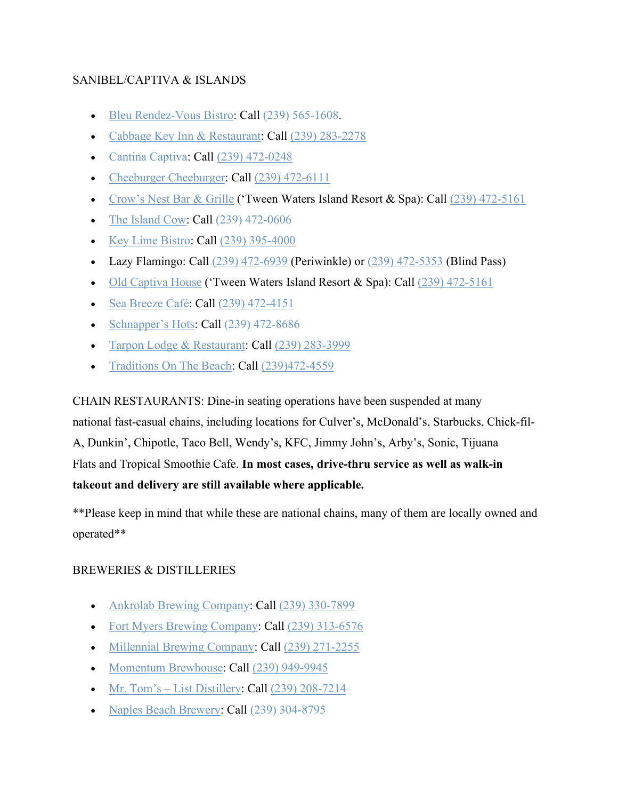## SANIBEL/CAPTIVA & ISLANDS

- [Bleu Rendez-Vous Bistro:](http://bleurendezvous.com/) Call [\(239\) 565-1608.](https://www.google.com/search?q=Bleu+Rendez-Vous+Bistro&rlz=1C1GGGE_enUS570US571&oq=Bleu+Rendez-Vous+Bistro&aqs=chrome..69i57.792j0j7&sourceid=chrome&ie=UTF-8)
- [Cabbage Key Inn & Restaurant:](https://cabbagekey.com/dining/) Call [\(239\) 283-2278](https://www.google.com/search?rlz=1C1GGGE_enUS570US571&sxsrf=ALeKk02OW4RriUDgv8A8DY3__K_RU2OHwA%3A1584556643439&ei=Y2pyXvyfGuHB_QaXo6igBA&q=cabbage+key+inn+and+re&oq=cabbage+key+inn+and+re&gs_l=psy-ab.3..0i20i263j0j0i22i30l3j0i333.4163.5577..6301...0.2..0.117.1043.7j4......0....1..gws-wiz.......0i71j0i67.ArIfi8Gp5Vc&ved=0ahUKEwi83e6-1aToAhXhYN8KHZcRCkQQ4dUDCAs&uact=5)
- [Cantina Captiva:](https://captivaislandinn.com/captiva-island-restaurant/cantina-captiva/) Call [\(239\) 472-0248](https://www.google.com/search?q=cantina+captiva&oq=cantina+captiva&aqs=chrome..69i57j0l7.3147j0j9&sourceid=chrome&ie=UTF-8)
- [Cheeburger Cheeburger:](https://www.cheeburger.com/) Call [\(239\) 472-6111](https://www.google.com/search?q=sanibel%20cheeseburger&rlz=1C1GGGE_enUS570US571&oq=sanibel+cheeseburger&aqs=chrome..69i57.7776j0j4&sourceid=chrome&ie=UTF-8&sxsrf=ALeKk02qWJ5YhAoQvYiCugV24lZ6I6oyjw:1585345641200&npsic=0&rflfq=1&rlha=0&rllag=26438747,-82067455,1401&tbm=lcl&rldimm=16456126898748383821&lqi=ChRzYW5pYmVsIGNoZWVzZWJ1cmdlckjChc_95YCAgAhaKgoMY2hlZXNlYnVyZ2VyEAEYABgBIhRzYW5pYmVsIGNoZWVzZWJ1cmdlcg&phdesc=vdlCfR8XV94&ved=2ahUKEwj0sKje0LvoAhUlVt8KHZqXAgEQvS4wAHoECAsQPA&rldoc=1&tbs=lrf:!1m5!1u5!3m2!5m1!1sgcid_3hamburger_1restaurant!4e2!1m4!1u3!2m2!3m1!1e1!1m4!1u2!2m2!2m1!1e1!1m4!1u1!2m2!1m1!1e1!1m4!1u1!2m2!1m1!1e2!1m4!1u16!2m2!16m1!1e1!1m4!1u16!2m2!16m1!1e2!1m4!1u15!2m2!15m1!1swelcomes_1children!1m4!1u15!2m2!15m1!1saccepts_1reservations!1m4!1u15!2m2!15m1!1sserves_1beer!1m4!1u15!2m2!15m1!1sserves_1wine!1m4!1u15!2m2!15m1!1sfeels_1romantic!1m4!1u22!2m2!21m1!1e1!1m5!1u15!2m2!15m1!1shas_1wheelchair_1accessible_1entrance!4e2!1m5!1u15!2m2!15m1!1spopular_1with_1tourists!4e2!1m5!1u15!2m2!15m1!1shas_1takeout!4e2!1m5!1u15!2m2!15m1!1shas_1childrens_1menu!4e2!1m5!1u15!2m2!15m1!1shas_1seating_1outdoors!4e2!1m5!1u15!2m2!15m1!1sserves_1dinner!4e2!1m5!1u15!2m2!15m1!1sserves_1vegetarian!4e2!1m5!1u15!2m2!15m1!1sserves_1lunch!4e2!2m1!1e2!2m1!1e5!2m1!1e1!2m1!1e16!2m1!1e3!3sCgIIASABKgJVUw,lf:1,lf_ui:9&rlst=f)
- [Crow's Nest Bar & Grille](https://tween-waters.com/dining/) ('Tween Waters Island Resort & Spa): Call  $(239)$  472-5161
- [The Island Cow:](https://sanibelislandcow.com/) Call [\(239\) 472-0606](https://www.google.com/search?q=the+island+cow&rlz=1C1GGGE_enUS570US571&oq=the+island+cow&aqs=chrome..69i57.1666j0j7&sourceid=chrome&ie=UTF-8)
- [Key Lime Bistro:](https://captivaislandinn.com/captiva-island-restaurant/keylime-bistro/) Call [\(239\) 395-4000](https://www.google.com/search?q=keylime+bistro&rlz=1C1GGGE_enUS570US571&oq=keylime+bistro&aqs=chrome..69i57.2702j0j7&sourceid=chrome&ie=UTF-8)
- Lazy Flamingo: Call  $(239)$  472-6939 (Periwinkle) or  $(239)$  472-5353 (Blind Pass)
- [Old Captiva House](https://tween-waters.com/dining/) ('Tween Waters Island Resort & Spa): Call  $(239)$  472-5161
- [Sea Breeze Café:](https://sundialresort.com/restaurant/sea-breeze-cafe-2/) Call [\(239\) 472-4151](https://www.google.com/search?q=sea+breeze+cafe&rlz=1C1GGGE_enUS570US571&oq=sea+breeze+cafe&aqs=chrome..69i57j69i64.1926j0j7&sourceid=chrome&ie=UTF-8)
- [Schnapper's Hots:](http://schnappershots.com/) Call [\(239\) 472-8686](https://www.google.com/search?q=schnappers+hots&rlz=1C1GGGE_enUS570US571&oq=schnappers+hots+&aqs=chrome..69i57j69i60j69i61l2.9171j0j4&sourceid=chrome&ie=UTF-8)
- [Tarpon Lodge &](https://tarponlodge.com/restaurant/) Restaurant: Call [\(239\) 283-3999](https://www.google.com/search?q=tarpon+lodge+restaurant&rlz=1C1GGGE_enUS570US571&oq=tarpon+lo&aqs=chrome.0.69i59j69i57j69i60l3.1502j0j4&sourceid=chrome&ie=UTF-8)
- [Traditions On The Beach:](http://traditionsonthebeach.com/) Call [\(239\)472-4559](https://www.google.com/search?client=safari&rls=en&q=traditions+on+the+beach&ie=UTF-8&oe=UTF-8)

CHAIN RESTAURANTS: Dine-in seating operations have been suspended at many national fast-casual chains, including locations for Culver's, McDonald's, Starbucks, Chick-fil-A, Dunkin', Chipotle, Taco Bell, Wendy's, KFC, Jimmy John's, Arby's, Sonic, Tijuana Flats and Tropical Smoothie Cafe. **In most cases, drive-thru service as well as walk-in takeout and delivery are still available where applicable.**

\*\*Please keep in mind that while these are national chains, many of them are locally owned and operated\*\*

### BREWERIES & DISTILLERIES

- [Ankrolab Brewing Company:](https://www.ankrolab.com/) Call [\(239\) 330-7899](https://www.google.com/search?ei=PuiwXrKgBMTn_Qa7lbH4CA&q=ankrolab&oq=ankrolab&gs_lcp=CgZwc3ktYWIQAzICCAAyAggAMgIIADICCAAyAggAMgIIADICCAAyAggAOgQIABBHUJQFWJQFYMcGaABwAngAgAF5iAF5kgEDMC4xmAEAoAEBqgEHZ3dzLXdpeg&sclient=psy-ab&ved=0ahUKEwiyt_Sd7pvpAhXEc98KHbtKDI8Q4dUDCAw&uact=5)
- [Fort Myers Brewing Company:](https://www.fmbrew.com/fortmyersbrewingcompany) Call [\(239\) 313-6576](https://www.google.com/search?q=fort+myers+brewing+company&rlz=1C1GGGE_enUS570US571&oq=fort+myers+brewing+company&aqs=chrome..69i57j69i61l3.3729j0j4&sourceid=chrome&ie=UTF-8)
- [Millennial Brewing Company:](https://www.millennialbrewing.com/) Call [\(239\) 271-2255](https://www.google.com/search?q=millennial+brewing+company&rlz=1C1GGGE_enUS570US571&oq=millennial+brewing+company&aqs=chrome..69i57j69i60.7542j0j4&sourceid=chrome&ie=UTF-8)
- [Momentum Brewhouse:](http://www.momentumbrewhouse.com/#intro) Call [\(239\) 949-9945](https://www.google.com/search?q=momentum+brewhouse&rlz=1C1GGGE_enUS570US571&oq=mome&aqs=chrome.1.69i57j69i59j69i60j69i61.1780j0j4&sourceid=chrome&ie=UTF-8)
- Mr. Tom's [List Distillery:](https://www.listdistillery.com/) Call  $(239)$  208-7214
- [Naples Beach Brewery:](https://www.naplesbeachbrewery.com/) Call [\(239\) 304-8795](https://www.google.com/search?q=naples+beach+brewery&rlz=1C1GGGE_enUS570US571&oq=naples+beach+brewery&aqs=chrome..69i57j69i60l2.6163j0j4&sourceid=chrome&ie=UTF-8)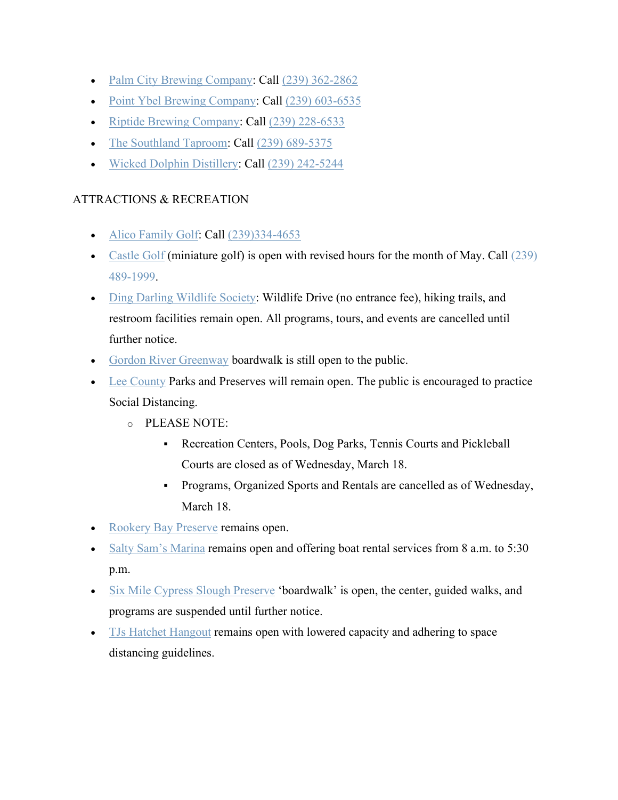- [Palm City Brewing Company:](https://palmcitybrewingco.com/) Call [\(239\) 362-2862](https://www.google.com/search?q=palm+city+brewing&rlz=1C1GGGE_enUS570US571&oq=palm+city&aqs=chrome.1.69i57j69i59.1779j0j9&sourceid=chrome&ie=UTF-8)
- [Point Ybel Brewing Company:](https://pointybelbrew.com/) Call [\(239\) 603-6535](https://www.google.com/search?q=pointybel&rlz=1C1GGGE_enUS570US571&oq=pointybel&aqs=chrome..69i57j69i60l2j69i61.1652j0j4&sourceid=chrome&ie=UTF-8)
- [Riptide Brewing Company:](https://riptidebrewingcompany.com/?fbclid=IwAR2csb96WYoVUmM6NBAnqhj5jVsUK3fTjhBJZp-ozJDVs63BjGFrPZl-Rdg) Call [\(239\) 228-6533](https://www.google.com/search?q=riptide+brewing+co&oq=riptide+brewing&aqs=chrome.2.69i57j0l7.5169j0j9&sourceid=chrome&ie=UTF-8)
- [The Southland Taproom:](https://thesouthlandtaproom.com/) Call [\(239\) 689-5375](https://www.google.com/search?q=the+southland+taproom&rlz=1C1GGGE_enUS570US571&oq=the+southland+taproom&aqs=chrome..69i57.4571j0j9&sourceid=chrome&ie=UTF-8)
- [Wicked Dolphin Distillery:](https://wickeddolphinrum.com/home/) Call [\(239\) 242-5244](https://www.google.com/search?q=wicked+dolphin+distillery&rlz=1C1GGGE_enUS570US571&oq=wicked+dolphin+distillery&aqs=chrome..69i57.5303j0j9&sourceid=chrome&ie=UTF-8)

# ATTRACTIONS & RECREATION

- [Alico Family Golf:](http://alicofamilygolf.com/) Call [\(239\)334-4653](https://www.google.com/search?client=safari&rls=en&q=alico+family+golf&ie=UTF-8&oe=UTF-8)
- [Castle Golf](http://www.castle-golf.com/) (miniature golf) is open with revised hours for the month of May. Call (239) [489-1999.](https://www.google.com/search?q=castle+golf&rlz=1C1GGGE_enUS570US571&oq=castle+golf&aqs=chrome..69i57.3800j0j7&sourceid=chrome&ie=UTF-8)
- [Ding Darling Wildlife Society:](https://www.dingdarlingsociety.org/articles/covid-19) Wildlife Drive (no entrance fee), hiking trails, and restroom facilities remain open. All programs, tours, and events are cancelled until further notice.
- [Gordon River Greenway](https://www.gordonrivergreenway.org/) boardwalk is still open to the public.
- [Lee County](https://www.leegov.com/covid-19) Parks and Preserves will remain open. The public is encouraged to practice Social Distancing.
	- o PLEASE NOTE:
		- Recreation Centers, Pools, Dog Parks, Tennis Courts and Pickleball Courts are closed as of Wednesday, March 18.
		- Programs, Organized Sports and Rentals are cancelled as of Wednesday, March 18.
- [Rookery Bay Preserve](https://rookerybay.org/) remains open.
- [Salty Sam's Marina](https://www.saltysamsmarina.com/) remains open and offering boat rental services from 8 a.m. to 5:30 p.m.
- [Six Mile Cypress Slough Preserve](https://www.sloughpreserve.org/) 'boardwalk' is open, the center, guided walks, and programs are suspended until further notice.
- [TJs Hatchet Hangout](https://tjshatchethangout.com/) remains open with lowered capacity and adhering to space distancing guidelines.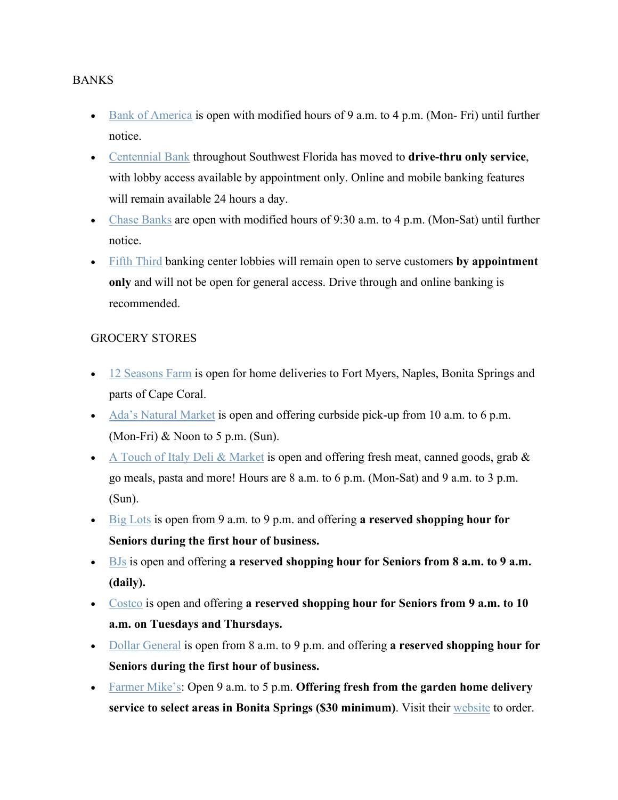#### **BANKS**

- [Bank of America](https://www.bankofamerica.com/) is open with modified hours of 9 a.m. to 4 p.m. (Mon- Fri) until further notice.
- [Centennial Bank](https://www.my100bank.com/) throughout Southwest Florida has moved to **drive-thru only service**, with lobby access available by appointment only. Online and mobile banking features will remain available 24 hours a day.
- [Chase Banks](https://www.chase.com/) are open with modified hours of 9:30 a.m. to 4 p.m. (Mon-Sat) until further notice.
- [Fifth Third](https://www.53.com/content/fifth-third/en.html) banking center lobbies will remain open to serve customers **by appointment only** and will not be open for general access. Drive through and online banking is recommended.

### GROCERY STORES

- [12 Seasons Farm](https://12seasonsfarm.com/) is open for home deliveries to Fort Myers, Naples, Bonita Springs and parts of Cape Coral.
- [Ada's Natural Market](https://adasmarket.com/) is open and offering curbside pick-up from 10 a.m. to 6 p.m. (Mon-Fri) & Noon to 5 p.m. (Sun).
- [A Touch of Italy Deli & Market](https://italydeli.com/) is open and offering fresh meat, canned goods, grab  $\&$ go meals, pasta and more! Hours are 8 a.m. to 6 p.m. (Mon-Sat) and 9 a.m. to 3 p.m. (Sun).
- [Big Lots](https://www.biglots.com/) is open from 9 a.m. to 9 p.m. and offering **a reserved shopping hour for Seniors during the first hour of business.**
- [BJs](https://www.bjs.com/) is open and offering **a reserved shopping hour for Seniors from 8 a.m. to 9 a.m. (daily).**
- [Costco](https://www.costco.com/) is open and offering **a reserved shopping hour for Seniors from 9 a.m. to 10 a.m. on Tuesdays and Thursdays.**
- [Dollar General](https://www.dollargeneral.com/) is open from 8 a.m. to 9 p.m. and offering **a reserved shopping hour for Seniors during the first hour of business.**
- [Farmer Mike's:](https://www.farmermikesupick.com/) Open 9 a.m. to 5 p.m. **Offering fresh from the garden home delivery service to select areas in Bonita Springs (\$30 minimum)**. Visit their [website](https://farmermikedelivers.com/) to order.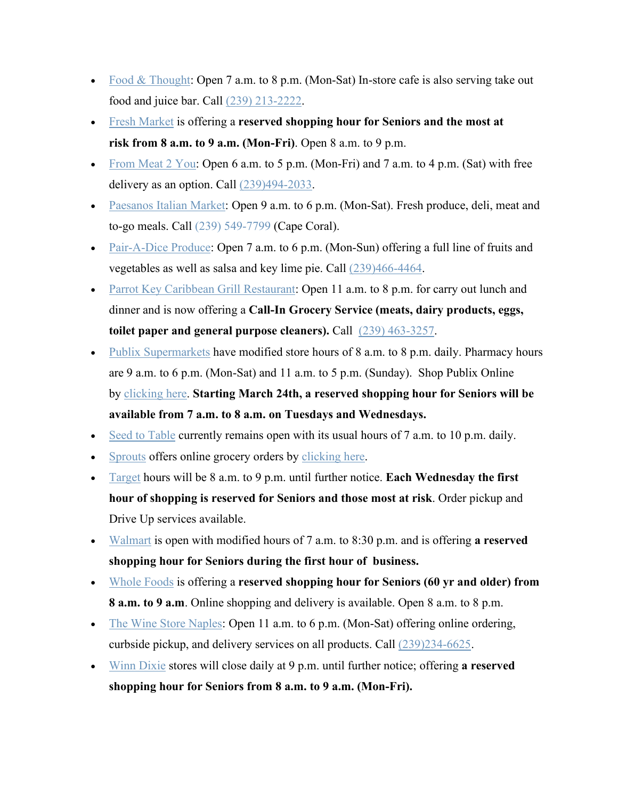- [Food & Thought:](https://www.foodandthought.com/) Open 7 a.m. to 8 p.m. (Mon-Sat) In-store cafe is also serving take out food and juice bar. Call [\(239\) 213-2222.](https://www.google.com/search?q=food+and+thought&oq=food+and+thought&aqs=chrome..69i57j0l5.2491j0j9&sourceid=chrome&ie=UTF-8)
- [Fresh Market](https://www.thefreshmarket.com/) is offering a **reserved shopping hour for Seniors and the most at risk from 8 a.m. to 9 a.m. (Mon-Fri)**. Open 8 a.m. to 9 p.m.
- From Meat  $2$  You: Open 6 a.m. to 5 p.m. (Mon-Fri) and 7 a.m. to 4 p.m. (Sat) with free delivery as an option. Call [\(239\)494-2033.](https://www.google.com/url?sa=t&rct=j&q=&esrc=s&source=web&cd=7&cad=rja&uact=8&ved=2ahUKEwiuyZ2xpvfoAhVvh-AKHa8VAwgQFjAGegQIBRAB&url=https%3A%2F%2Ffrommeat2you.com%2F&usg=AOvVaw18COxga3ahp2YQ9JkqeHEl)
- [Paesanos Italian Market:](http://www.paesanositalianmarket.com/contact-us) Open 9 a.m. to 6 p.m. (Mon-Sat). Fresh produce, deli, meat and to-go meals. Call [\(239\) 549-7799](https://www.google.com/search?q=PAESANOS+ITALIAN+MARKET&rlz=1C1GGGE_enUS570US571&oq=PAESANOS+ITALIAN+MARKET&aqs=chrome..69i57.691j0j7&sourceid=chrome&ie=UTF-8) (Cape Coral).
- [Pair-A-Dice Produce:](https://www.pairadiceproduce.com/) Open 7 a.m. to 6 p.m. (Mon-Sun) offering a full line of fruits and vegetables as well as salsa and key lime pie. Call [\(239\)466-4464.](https://www.google.com/search?client=safari&rls=en&q=pair+a+dice+produce&ie=UTF-8&oe=UTF-8)
- [Parrot Key Caribbean Grill Restaurant:](https://www.myparrotkey.com/) Open 11 a.m. to 8 p.m. for carry out lunch and dinner and is now offering a **Call-In Grocery Service (meats, dairy products, eggs, toilet paper and general purpose cleaners).** Call [\(239\) 463-3257.](https://www.google.com/search?q=parrot+key+caribbean+grill&rlz=1C1GGGE_enUS570US571&oq=parrot+key+caribbean+grill&aqs=chrome..69i57j69i60.9257j0j4&sourceid=chrome&ie=UTF-8)
- [Publix Supermarkets](https://ww4.publix.com/publix-store-status) have modified store hours of 8 a.m. to 8 p.m. daily. Pharmacy hours are 9 a.m. to 6 p.m. (Mon-Sat) and 11 a.m. to 5 p.m. (Sunday). Shop Publix Online by [clicking here.](https://www.publix.com/shop-online) **Starting March 24th, a reserved shopping hour for Seniors will be available from 7 a.m. to 8 a.m. on Tuesdays and Wednesdays.**
- [Seed to Table](https://www.oakesfarms.com/services/retail-stores/seed-to-table-market/) currently remains open with its usual hours of 7 a.m. to 10 p.m. daily.
- [Sprouts](https://www.sprouts.com/) offers online grocery orders by [clicking here.](https://delivery.sprouts.com/)
- [Target](https://www.target.com/) hours will be 8 a.m. to 9 p.m. until further notice. **Each Wednesday the first hour of shopping is reserved for Seniors and those most at risk**. Order pickup and Drive Up services available.
- [Walmart](https://www.walmart.com/) is open with modified hours of 7 a.m. to 8:30 p.m. and is offering **a reserved shopping hour for Seniors during the first hour of business.**
- [Whole Foods](https://www.wholefoodsmarket.com/) is offering a **reserved shopping hour for Seniors (60 yr and older) from 8 a.m. to 9 a.m**. Online shopping and delivery is available. Open 8 a.m. to 8 p.m.
- [The Wine Store Naples:](https://www.thewinestorenaples.com/) Open 11 a.m. to 6 p.m. (Mon-Sat) offering online ordering, curbside pickup, and delivery services on all products. Call [\(239\)234-6625.](https://www.google.com/search?client=safari&rls=en&q=the+wine+store+naples&ie=UTF-8&oe=UTF-8)
- [Winn Dixie](https://www.winndixie.com/) stores will close daily at 9 p.m. until further notice; offering **a reserved shopping hour for Seniors from 8 a.m. to 9 a.m. (Mon-Fri).**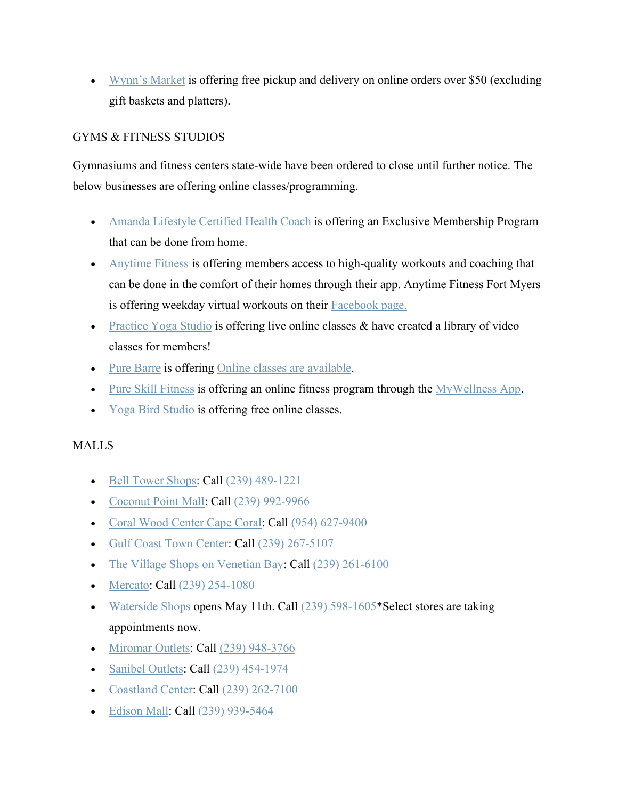• [Wynn's Market](https://www.wynnsmarket.com/) is offering free pickup and delivery on online orders over \$50 (excluding gift baskets and platters).

# GYMS & FITNESS STUDIOS

Gymnasiums and fitness centers state-wide have been ordered to close until further notice. The below businesses are offering online classes/programming.

- [Amanda Lifestyle Certified Health Coach](https://www.amandalifestyle.co/) is offering an Exclusive Membership Program that can be done from home.
- [Anytime Fitness](https://www.anytimefitness.com/in-response-to-recent-public-health-concerns/) is offering members access to high-quality workouts and coaching that can be done in the comfort of their homes through their app. Anytime Fitness Fort Myers is offering weekday virtual workouts on their [Facebook page.](https://www.facebook.com/AnytimeFortMyers/)
- [Practice Yoga Studio](https://www.practiceyoganaples.com/) is offering live online classes  $\&$  have created a library of video classes for members!
- [Pure Barre](https://www.purebarre.com/) is offering [Online classes are available.](https://www.facebook.com/pg/PureBarreGO/videos/)
- [Pure Skill Fitness](https://pureskillfitness.com/) is offering an online fitness program through the [MyWellness App.](https://www.mywellness.com/ac1459355/User/RegisterUser/?fbclid=IwAR2ZDYPRt7Ud4fTdJi2inz9U3wTiOpzk1zvIRH_gAJxpSlIR2Uv3cB8sDo4)
- [Yoga Bird Studio](https://yogabirdstudio.com/) is offering free online classes.

# MALLS

- [Bell Tower Shops:](https://www.thebelltowershops.com/) Call [\(239\) 489-1221](https://www.google.com/search?q=bell+tower+shops&rlz=1C1GGGE_enUS570US571&oq=bell+tow&aqs=chrome.1.69i57j69i59l2j69i60l3.1455j0j9&sourceid=chrome&ie=UTF-8)
- [Coconut Point Mall:](https://www.simon.com/mall/coconut-point) Call [\(239\) 992-9966](https://www.google.com/search?rlz=1C1GGGE_enUS570US571&sxsrf=ALeKk02H3j6oNLvQ3-oO5aGnAmtP6sn7Ew%3A1588883219323&ei=E2-0XvWlE4Xl_Qb-gpmwBw&q=coconut+point+mall&oq=coconut+point+mall&gs_lcp=CgZwc3ktYWIQAzICCAAyAggAMgIIADIHCAAQFBCHAjICCAAyAggAMgIIADICCAAyBQgAEIMBMgIIADoECAAQRzoECAAQQ1CLM1ieN2DOOGgAcAJ4AIABzwGIAZQFkgEFMS4zLjGYAQCgAQGqAQdnd3Mtd2l6&sclient=psy-ab&ved=0ahUKEwi1-4Gfy6LpAhWFct8KHX5BBnYQ4dUDCAw&uact=5)
- [Coral Wood Center Cape Coral:](https://coralwoodcenter.com/) Call [\(954\) 627-9400](https://www.google.com/search?q=coral+wood+center+cape+coral&rlz=1C1GGGE_enUS570US571&oq=coral+wood+center+cape+coral&aqs=chrome..69i57.3527j0j9&sourceid=chrome&ie=UTF-8)
- [Gulf Coast Town Center:](https://www.gulfcoasttowncenter.com/) Call [\(239\) 267-5107](https://www.google.com/search?q=gulf+coast+town+center&rlz=1C1GGGE_enUS570US571&oq=gulf+coast+town+center&aqs=chrome..69i57j69i64l2j69i60.3462j0j4&sourceid=chrome&ie=UTF-8)
- [The Village Shops on Venetian Bay:](http://www.venetianvillage.com/) Call [\(239\) 261-6100](https://www.google.com/search?q=the+village+on+venetian+bay&rlz=1C1GGGE_enUS570US571&oq=the+village+on+venetian+bay&aqs=chrome..69i57.3028j0j9&sourceid=chrome&ie=UTF-8)
- [Mercato:](https://www.mercatoshops.com/) Call [\(239\) 254-1080](https://www.google.com/search?q=mercato+naples&rlz=1C1GGGE_enUS570US571&oq=mercato+naples&aqs=chrome..69i57j69i60l2.2014j0j4&sourceid=chrome&ie=UTF-8)
- [Waterside Shops](https://www.watersideshops.com/) opens May 11th. Call [\(239\) 598-1605\\*](https://www.google.com/search?q=waterside+shops&rlz=1C1GGGE_enUS570US571&oq=watersi&aqs=chrome.1.69i57j69i59j69i60l2.1553j0j7&sourceid=chrome&ie=UTF-8)Select stores are taking appointments now.
- [Miromar Outlets:](https://www.miromaroutlets.com/) Call [\(239\) 948-3766](https://www.google.com/search?q=miromar+outlets&oq=miromar+outlets&aqs=chrome..69i57j0l7.2544j0j9&sourceid=chrome&ie=UTF-8)
- [Sanibel Outlets:](https://www.sanibeloutlets.com/) Call [\(239\) 454-1974](https://www.google.com/search?q=sanibel+outlets&rlz=1C1GGGE_enUS570US571&oq=sanibel+outlets&aqs=chrome..69i57.1891j0j4&sourceid=chrome&ie=UTF-8)
- [Coastland Center:](https://www.coastlandcenter.com/en.html) Call [\(239\) 262-7100](https://www.google.com/search?rlz=1C1GGGE_enUS570US571&sxsrf=ALeKk00LTjTdUG5uu5Rh4Zvyeu86-5jb-g%3A1588949033709&ei=KXC1XtrgKu-m_Qb9mpPgBw&q=coastland+center+mall&oq=coastland+center+mall&gs_lcp=CgZwc3ktYWIQAzICCAAyAggAMgIIADICCAAyAggAMgIIADICCAAyAggAMgIIADICCAA6BAgAEEc6BAgjECc6BwgAEBQQhwI6BAgAEEM6BQgAEIMBUM4rWM5BYLdDaAFwAXgAgAFmiAHSCpIBBDE1LjGYAQCgAQGqAQdnd3Mtd2l6&sclient=psy-ab&ved=0ahUKEwiameG1wKTpAhVvU98KHX3NBHwQ4dUDCAw&uact=5)
- [Edison Mall:](https://shopedisonmall.com/) Call [\(239\) 939-5464](https://www.google.com/search?rlz=1C1GGGE_enUS570US571&sxsrf=ALeKk014jERA3BVzM9xdp5H4x8MxzS1pCg%3A1588883369877&ei=qW-0Xu3kNKq-ggfqnIyoAQ&q=edison+mall+fort+myers&oq=edison+mall+fort+myers&gs_lcp=CgZwc3ktYWIQAzICCAAyAggAMgIIADICCAAyAggAMgIIADoECAAQRzoFCAAQgwE6BAgAEENQgUNY1U1gpU5oAHACeACAAXiIAYEIkgEDNC42mAEAoAEBqgEHZ3dzLXdpeg&sclient=psy-ab&ved=0ahUKEwit3ebmy6LpAhUqn-AKHWoOAxUQ4dUDCAw&uact=5)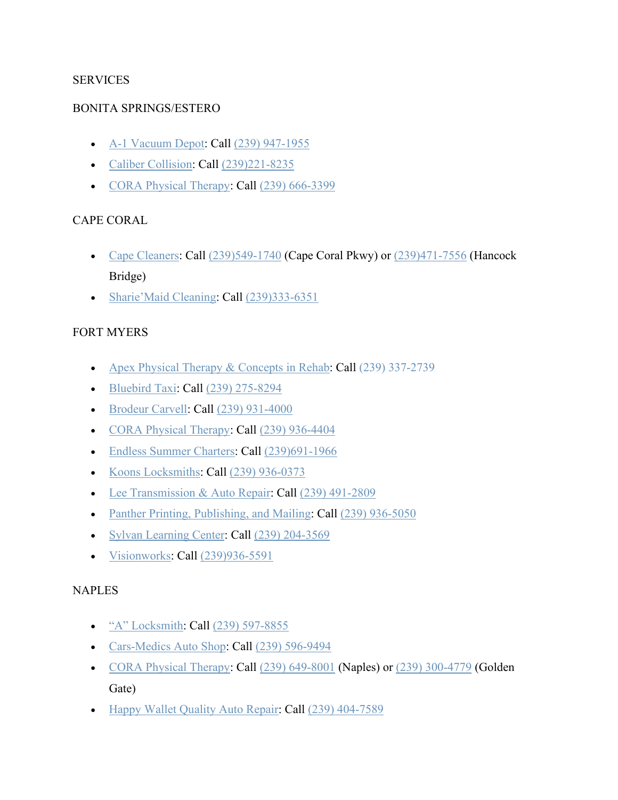## **SERVICES**

### BONITA SPRINGS/ESTERO

- [A-1 Vacuum Depot:](https://a1vacuumdepot.com/) Call [\(239\) 947-1955](https://www.google.com/search?q=a1%20vacuum%20depot&rlz=1C1GGGE_enUS570US571&oq=a1+vaccum+depot&aqs=chrome..69i57.3128j0j7&sourceid=chrome&ie=UTF-8&sxsrf=ALeKk01EbjqiwZsG7z1VJTB0Cm_j2zWghQ:1586178130609&npsic=0&rflfq=1&rlha=0&rllag=26306938,-81804484,5113&tbm=lcl&rldimm=12211785210552851269&lqi=Cg9hMSB2YWN1dW0gZGVwb3QiA4gBAVoiCg9hMSB2YWN1dW0gZGVwb3QiD2ExIHZhY3V1bSBkZXBvdA&ved=2ahUKEwiDx5mA7tPoAhWSc98KHTbECEkQvS4wBnoECAcQHQ&rldoc=1&tbs=lrf:!1m4!1u3!2m2!3m1!1e1!1m4!1u16!2m2!16m1!1e1!1m4!1u16!2m2!16m1!1e2!2m1!1e16!2m1!1e3!3sIAE,lf:1,lf_ui:4&rlst=f)
- [Caliber Collision:](https://calibercollision.com/locate-a-caliber-collision-center/bonita-springs?utm_source=local&utm_medium=organic&utm_campaign=gmb) Call [\(239\)221-8235](https://www.google.com/search?client=safari&rls=en&sxsrf=ALeKk03Dmshe4RoIzWBiwK1la3e6d2JhEg:1587483809015&q=caliber+collision&npsic=0&rflfq=1&rlha=0&rllag=26585423,-81812428,13972&tbm=lcl&ved=2ahUKEwig_5aE7vnoAhXKTN8KHQofBgEQjGp6BAgREC4&tbs=lrf:!1m4!1u3!2m2!3m1!1e1!1m5!1u15!2m2!15m1!1shas_1wheelchair_1accessible_1entrance!4e2!2m1!1e3!3sIAE,lf:1,lf_ui:4&rldoc=1)
- [CORA Physical Therapy:](http://www.coraphysicaltherapy.com/) Call [\(239\) 666-3399](https://www.google.com/search?q=cora+physical+therapy+bonita+springs&oq=cora+physical+therapy+bonita+springs&aqs=chrome..69i57j0.5371j0j9&sourceid=chrome&ie=UTF-8)

## CAPE CORAL

- [Cape Cleaners:](https://capecleaners.com/) Call [\(239\)549-1740](https://www.google.com/search?client=safari&rls=en&q=cape%20cleaners&ie=UTF-8&oe=UTF-8&sxsrf=ALeKk03dF3iNzpb2jiSMoDNBS5wMlg4iuA:1586982197214&npsic=0&rflfq=1&rlha=0&rllag=26605372,-81966247,4857&tbm=lcl&rldimm=126904939505281114&lqi=Cg1jYXBlIGNsZWFuZXJzIgOIAQFI0eG4vuaAgIAIWiYKDWNhcGUgY2xlYW5lcnMQABABGAAYASINY2FwZSBjbGVhbmVycw&ved=2ahUKEwi2vISxoevoAhXxUN8KHQk_DjMQvS4wAXoECAsQFw&rldoc=1&tbs=lrf:!1m4!1u3!2m2!3m1!1e1!2m1!1e3!3sIAE,lf:1,lf_ui:4&rlst=f) (Cape Coral Pkwy) or [\(239\)471-7556](https://www.google.com/search?client=safari&rls=en&q=cape%20cleaners&ie=UTF-8&oe=UTF-8&sxsrf=ALeKk03dF3iNzpb2jiSMoDNBS5wMlg4iuA:1586982197214&npsic=0&rflfq=1&rlha=0&rllag=26605372,-81966247,4857&tbm=lcl&rldimm=126904939505281114&lqi=Cg1jYXBlIGNsZWFuZXJzIgOIAQFI0eG4vuaAgIAIWiYKDWNhcGUgY2xlYW5lcnMQABABGAAYASINY2FwZSBjbGVhbmVycw&ved=2ahUKEwi2vISxoevoAhXxUN8KHQk_DjMQvS4wAXoECAsQFw&rldoc=1&tbs=lrf:!1m4!1u3!2m2!3m1!1e1!2m1!1e3!3sIAE,lf:1,lf_ui:4&rlst=f) (Hancock Bridge)
- [Sharie'Maid Cleaning:](http://shariemaidcleaning.com/) Call [\(239\)333-6351](https://www.google.com/search?client=safari&rls=en&q=sharie+maid+cleaning&ie=UTF-8&oe=UTF-8)

## FORT MYERS

- [Apex Physical Therapy & Concepts in Rehab:](https://apexptflorida.com/) Call [\(239\) 337-2739](https://www.google.com/search?q=apexptflorida&rlz=1C1GGGE_enUS570US571&oq=apexptflorida&aqs=chrome..69i57.2349j0j7&sourceid=chrome&ie=UTF-8)
- [Bluebird Taxi:](http://bluebirdyellowtaxi.com/fort_myers.html) Call [\(239\) 275-8294](https://www.google.com/search?client=safari&rls=en&q=bluebird+taxi+fort+myers&ie=UTF-8&oe=UTF-8)
- [Brodeur Carvell:](https://brodeurcarvell.com/) Call [\(239\) 931-4000](https://www.google.com/search?q=brodeur+carvell&oq=brodeur+carvell&aqs=chrome..69i57j0l3.3001j0j9&sourceid=chrome&ie=UTF-8)
- [CORA Physical Therapy:](http://www.coraphysicaltherapy.com/) Call [\(239\) 936-4404](https://www.google.com/search?ei=reGwXvneN4jClwS50bi4Dg&q=cora+physical+therapy+ft+myers&oq=cora+physical+therapy+ft+myers&gs_lcp=CgZwc3ktYWIQAzIICAAQFhAKEB4yAggmOgQIABBHOgIIADoGCAAQFhAeUK6pB1j_twdgmbkHaABwAngAgAF4iAGnBpIBAzQuNJgBAKABAaoBB2d3cy13aXo&sclient=psy-ab&ved=0ahUKEwi56d_855vpAhUI4YUKHbkoDucQ4dUDCAw&uact=5)
- [Endless Summer Charters:](http://www.sanibelislandfishingcharters.com/) Call [\(239\)691-1966](https://www.google.com/search?client=safari&rls=en&q=endless%20summer%20charters&ie=UTF-8&oe=UTF-8&sxsrf=ALeKk021DgYI0AuBhQlxgpS37uSaemZy_Q:1588101171312&npsic=0&rflfq=1&rlha=0&rllag=26463916,-82019174,4155&tbm=lcl&rldimm=1671547959253183012&lqi=ChdlbmRsZXNzIHN1bW1lciBjaGFydGVycyIDiAEBWjIKF2VuZGxlc3Mgc3VtbWVyIGNoYXJ0ZXJzIhdlbmRsZXNzIHN1bW1lciBjaGFydGVycw&ved=2ahUKEwjJm7vx6YvpAhVFhuAKHe_jAzAQvS4wAXoECAsQFg&rldoc=1&tbs=lrf:!1m4!1u3!2m2!3m1!1e1!2m1!1e3!3sIAE,lf:1,lf_ui:4&rlst=f)
- [Koons Locksmiths:](https://www.koonslocksmiths.com/) Call [\(239\) 936-0373](https://www.google.com/search?client=safari&rls=en&q=koons+locksmiths&ie=UTF-8&oe=UTF-8)
- [Lee Transmission & Auto Repair:](https://leetransmissionauto.com/) Call (239) 491-2809
- [Panther Printing, Publishing, and Mailing:](http://www.pantherprinting.net/) Call [\(239\) 936-5050](https://www.google.com/search?client=safari&rls=en&q=239-936-5050&ie=UTF-8&oe=UTF-8)
- [Sylvan Learning Center:](https://locations.sylvanlearning.com/us/fort-myers-fl) Call [\(239\) 204-3569](https://www.google.com/search?client=safari&rls=en&q=(239)+237-0846&ie=UTF-8&oe=UTF-8)
- [Visionworks:](https://www.visionworks.com/) Call [\(239\)936-5591](https://www.google.com/search?client=safari&rls=en&q=visionworks&ie=UTF-8&oe=UTF-8)

### **NAPLES**

- ["A" Locksmith:](https://alocksmithnaples.com/) Call [\(239\) 597-8855](https://www.google.com/search?q=a%20locksmith&rlz=1C1GGGE_enUS570US571&oq=a+locksmit&aqs=chrome..69i57j69i64j69i60.1355j0j7&sourceid=chrome&ie=UTF-8&sxsrf=ALeKk03OrgJq2VKq23-IT51PSjG5KGEXRg:1585618364925&npsic=0&rflfq=1&rlha=0&rllag=26216011,-81784623,4541&tbm=lcl&rldimm=13266658521504624302&lqi=CgthIGxvY2tzbWl0aEiIgtmkmJaAgAhaIgoLYSBsb2Nrc21pdGgQABABGAAYASILYSBsb2Nrc21pdGh6DE5vcnRoIE5hcGxlcw&ved=2ahUKEwigyI_byMPoAhVjT98KHVXHAnIQvS4wAHoECAsQJw&rldoc=1&tbs=lrf:!1m4!1u3!2m2!3m1!1e1!1m4!1u2!2m2!2m1!1e1!1m4!1u16!2m2!16m1!1e1!1m4!1u16!2m2!16m1!1e2!2m1!1e2!2m1!1e16!2m1!1e3!3sIAE,lf:1,lf_ui:14&rlst=f)
- [Cars-Medics Auto Shop:](https://www.facebook.com/pages/category/Automotive-Body-Shop/Cars-Medics-495932027230259/) Call [\(239\) 596-9494](https://www.google.com/search?q=Cars-Medics+Auto+Body&rlz=1C1GGGE_enUS570US571&oq=Cars-Medics+Auto+Body&aqs=chrome..69i57.654j0j4&sourceid=chrome&ie=UTF-8)
- [CORA Physical Therapy:](http://www.coraphysicaltherapy.com/) Call [\(239\) 649-8001](https://www.google.com/search?ei=KeKwXueGLJDn_QbCj6aAAQ&q=cora+physical+therapy+naples&oq=cora+physical+therapy+naples&gs_lcp=CgZwc3ktYWIQAzICCAAyAggAMgYIABAWEB4yBggAEBYQHjICCCY6BAgAEEdQq_YJWPL7CWDQ_AloAHACeACAAVyIAcADkgEBNZgBAKABAaoBB2d3cy13aXo&sclient=psy-ab&ved=0ahUKEwinv-S36JvpAhWQc98KHcKHCRAQ4dUDCAw&uact=5) (Naples) or [\(239\) 300-4779](https://www.google.com/search?ei=zuKwXu24E8mKggfowKrQDQ&q=cora+physical+therapy+golden+gate&oq=cora+physical+therapy+golden+gate&gs_lcp=CgZwc3ktYWIQAzICCAA6BAgAEEdQ4ucCWJH3AmDa-AJoAHACeACAAV-IAdQHkgECMTGYAQCgAQGqAQdnd3Mtd2l6&sclient=psy-ab&ved=0ahUKEwjt16KG6ZvpAhVJheAKHWigCtoQ4dUDCAw&uact=5) (Golden Gate)
- [Happy Wallet Quality Auto Repair:](https://www.happywalletautorepair.com/) Call [\(239\) 404-7589](https://www.google.com/search?q=HAPPY+WALLET+Quality+Auto+Repair&rlz=1C1GGGE_enUS570US571&oq=HAPPY+WALLET+Quality+Auto+Repair&aqs=chrome..69i57.645j0j7&sourceid=chrome&ie=UTF-8)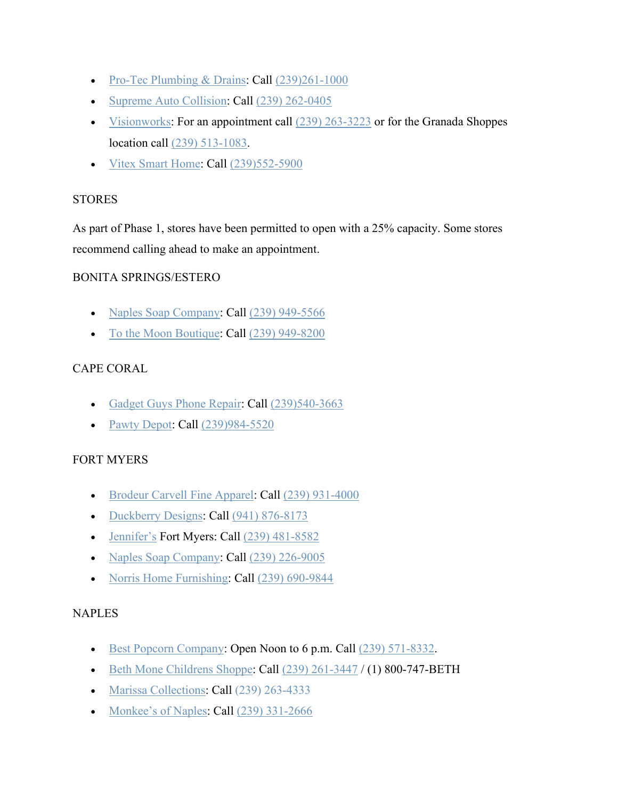- [Pro-Tec Plumbing & Drains:](http://ptpnaples.com/) Call [\(239\)261-1000](https://www.google.com/search?client=safari&rls=en&q=pro+tec+plumbing&ie=UTF-8&oe=UTF-8)
- [Supreme Auto Collision:](https://www.supremecollisionnaples.com/) Call [\(239\) 262-0405](https://www.google.com/search?client=safari&rls=en&q=supreme+auto+collision+google+search&ie=UTF-8&oe=UTF-8)
- [Visionworks:](https://www.visionworks.com/) For an appointment call  $(239)$  263-3223 or for the Granada Shoppes location call [\(239\) 513-1083.](https://www.google.com/search?client=safari&rls=en&q=visionworks%20naples&ie=UTF-8&oe=UTF-8&sxsrf=ALeKk00ljhM--77jZq8B6tOhaMvvySKoSg:1587397108206&npsic=0&rflfq=1&rlha=0&rllag=26221120,-81799952,5233&tbm=lcl&rldimm=6966422341587779976&lqi=ChJ2aXNpb253b3JrcyBuYXBsZXMiA4gBAVohCgt2aXNpb253b3JrcyISdmlzaW9ud29ya3MgbmFwbGVz&ved=2ahUKEwjfx4GGq_foAhUFd98KHQ_4BywQvS4wAHoECAsQFg&rldoc=1&tbs=lrf:!1m4!1u3!2m2!3m1!1e1!2m1!1e3!3sIAE,lf:1,lf_ui:4&rlst=f)
- [Vitex Smart Home:](https://vitexsystems.com/contact-us/?utm_source=google&utm_medium=GMB&utm_campaign=naples) Call [\(239\)552-5900](https://www.google.com/search?client=safari&rls=en&q=vitex+smart+home&ie=UTF-8&oe=UTF-8)

## **STORES**

As part of Phase 1, stores have been permitted to open with a 25% capacity. Some stores recommend calling ahead to make an appointment.

## BONITA SPRINGS/ESTERO

- [Naples Soap Company:](https://www.naplessoap.com/) Call [\(239\) 949-5566](https://www.google.com/search?q=naples+soap+company+estero&oq=naples+soap+company+estero&aqs=chrome..69i57j0j69i64l3.4835j0j4&sourceid=chrome&ie=UTF-8)
- [To the Moon Boutique:](http://www.tothemoonboutique.com/) Call [\(239\) 949-8200](https://www.google.com/search?q=to+the+moon+boutique&rlz=1C1GGGE_enUS570US571&oq=to+the+moon+boutique&aqs=chrome..69i57.3943j0j7&sourceid=chrome&ie=UTF-8)

# CAPE CORAL

- [Gadget Guys Phone Repair:](http://www.gadgetguysfix.com/) Call [\(239\)540-3663](https://www.google.com/search?client=safari&rls=en&q=gadget+guys+phone+repair&ie=UTF-8&oe=UTF-8)
- [Pawty Depot:](https://pawtyexpress.com/) Call [\(239\)984-5520](https://www.google.com/search?client=safari&rls=en&q=pawty+depot&ie=UTF-8&oe=UTF-8)

### FORT MYERS

- [Brodeur Carvell Fine Apparel:](https://brodeurcarvell.com/) Call [\(239\) 931-4000](https://www.google.com/search?q=Brodeur+Carvell+Fine+Apparel&rlz=1C1GGGE_enUS570US571&oq=Brodeur+Carvell+Fine+Apparel&aqs=chrome..69i57.2406j0j4&sourceid=chrome&ie=UTF-8)
- [Duckberry Designs:](https://www.facebook.com/duckberrydesignsllc/) Call [\(941\) 876-8173](https://www.google.com/search?q=duckberry+designs&oq=duckberry+&aqs=chrome.1.69i57j0l3j46j0l3.7230j0j4&sourceid=chrome&ie=UTF-8)
- [Jennifer's](http://www.jennifersftmyers.com/) Fort Myers: Call [\(239\) 481-8582](https://www.google.com/search?q=jennifer%27s%20shop&rlz=1C1GGGE_enUS570US571&oq=jennifers+shop&aqs=chrome..69i57.3667j0j9&sourceid=chrome&ie=UTF-8&sxsrf=ALeKk01gGrxUof1D2z8uz8qbnbW-AYLzMw:1584553508329&npsic=0&rflfq=1&rlha=0&rllag=26372511,-81861707,20253&tbm=lcl&rldimm=7056118427209229150&lqi=Cg9qZW5uaWZlcidzIHNob3BaIgoPamVubmlmZXIncyBzaG9wIg9qZW5uaWZlcidzIHNob3A&phdesc=z0fl1NIKY3o&ved=2ahUKEwjk9vbnyaToAhUniOAKHa1LDlEQvS4wAHoECAsQJw&rldoc=1&tbs=lrf:!1m4!1u3!2m2!3m1!1e1!1m4!1u2!2m2!2m1!1e1!1m4!1u16!2m2!16m1!1e1!1m4!1u16!2m2!16m1!1e2!1m5!1u15!2m2!15m1!1shas_1wheelchair_1accessible_1entrance!4e2!2m1!1e2!2m1!1e16!2m1!1e3!3sIAE,lf:1,lf_ui:10&rlst=f)
- [Naples Soap Company:](https://www.naplessoap.com/) Call [\(239\) 226-9005](https://www.google.com/search?ei=E-CwXpuoE43QaLzmgjA&q=naples+soap+company+ft+myers&oq=naples+soap+company+ft+myers&gs_lcp=CgZwc3ktYWIQAzIICAAQFhAKEB4yBggAEBYQHjIGCAAQFhAeMggIABAWEAoQHjIGCAAQFhAeMgIIJjICCCY6BAgAEEc6AggAOgQIABANUPyqAVitswFg_bQBaABwAngAgAHZAYgB-QeSAQUzLjQuMZgBAKABAaoBB2d3cy13aXo&sclient=psy-ab&ved=0ahUKEwjb_fq45pvpAhUNKBoKHTyzAAYQ4dUDCAw&uact=5)
- [Norris Home Furnishing:](https://www.norrisfurniture.com/) Call [\(239\) 690-9844](https://www.google.com/search?ei=QuawXvqYPI2YlwTs5L-ICQ&q=norris+furniture+ft+myers&oq=norris+furniture+ft+myers&gs_lcp=CgZwc3ktYWIQAzIECAAQCjIECAAQCjIGCAAQFhAeMggIABAWEAoQHjIICAAQFhAKEB4yAggmOgQIABBHOgIIAFDkpwFYjbABYJmxAWgAcAJ4AIABbYgBkAaSAQM1LjOYAQCgAQGqAQdnd3Mtd2l6&sclient=psy-ab&ved=0ahUKEwj6wY6s7JvpAhUNzIUKHWzyD5EQ4dUDCAw&uact=5)

### **NAPLES**

- [Best Popcorn Company:](https://bestpopcorncompany.com/) Open Noon to 6 p.m. Call [\(239\) 571-8332.](https://www.google.com/search?rlz=1C1GGGE_enUS570US571&sxsrf=ALeKk03E6LOs_LeuUfLNFx5y2ISCa-tU7g%3A1585619884729&ei=rKOCXqSKLIaa_Qb0tYqABg&q=best+popcorn+company+naples+florida&oq=best+popcorn+company+&gs_lcp=CgZwc3ktYWIQARgBMgIIADICCAAyAggAMgIIADIGCAAQFhAeMgYIABAWEB4yBggAEBYQHjIGCAAQFhAeMgYIABAWEB4yAggmOgQIABBHUOsWWOsWYNhSaABwAngAgAF4iAF4kgEDMC4xmAEAoAEBqgEHZ3dzLXdpeg&sclient=psy-ab)
- $\cdot$  [Beth Mone Childrens Shoppe:](https://www.bethmone.com/store/) Call  $(239)$  261-3447 / (1) 800-747-BETH
- [Marissa Collections:](https://www.marissacollections.com/) Call [\(239\) 263-4333](https://www.google.com/search?q=marissa+collections&rlz=1C1GGGE_enUS570US571&oq=marissa+collections&aqs=chrome..69i57j69i60l3.4233j0j7&sourceid=chrome&ie=UTF-8)
- [Monkee's of Naples:](http://www.monkeesofnaples.com/) Call [\(239\) 331-2666](https://www.google.com/search?q=monkees+of+naples&oq=monkees+of+naples&aqs=chrome..69i57j0l3j69i60.4200j0j9&sourceid=chrome&ie=UTF-8)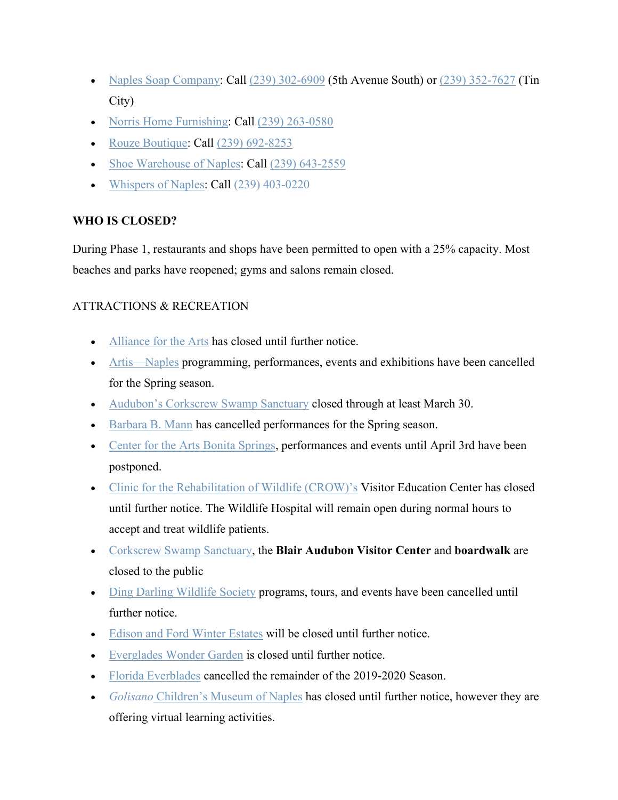- [Naples Soap Company:](https://www.naplessoap.com/) Call [\(239\) 302-6909](https://www.google.com/search?ei=LOCwXruOLcOf_QaT3bPoDA&q=naples+soap+company+5th+avenue+south&oq=naples+soap+company+5th+avenue+south&gs_lcp=CgZwc3ktYWIQAzIFCAAQzQIyBQgAEM0COgQIABBHOgIIADoGCAAQFhAeOgIIJjoECCEQClCTowFYk70BYMW-AWgAcAJ4AIABbIgBqQ2SAQQxMy41mAEAoAEBqgEHZ3dzLXdpeg&sclient=psy-ab&ved=0ahUKEwi71IrF5pvpAhXDT98KHZPuDM0Q4dUDCAw&uact=5) (5th Avenue South) or [\(239\) 352-7627](https://www.google.com/search?ei=RuCwXue5EuyI_QbNxqzoDw&q=naples+soap+company+tin+city&oq=naples+soap+company+tin+city&gs_lcp=CgZwc3ktYWIQAzICCAAyBggAEBYQHjoECAAQR1D1jgFYpZUBYPiWAWgAcAJ4AIABeIgBgQaSAQM2LjKYAQCgAQGqAQdnd3Mtd2l6&sclient=psy-ab&ved=0ahUKEwjn9KLR5pvpAhVsRN8KHU0jC_0Q4dUDCAw&uact=5) (Tin City)
- [Norris Home Furnishing:](https://www.norrisfurniture.com/) Call [\(239\) 263-0580](https://www.google.com/search?q=norris+furniture+naples&oq=norris+furniture+naples&aqs=chrome.0.0l7j69i60.2617j0j4&sourceid=chrome&ie=UTF-8)
- [Rouze Boutique:](http://shoprouze.com/) Call [\(239\) 692-8253](https://www.google.com/search?q=rouze+boutique&rlz=1C1GGGE_enUS570US571&oq=rouze+boutique&aqs=chrome..69i57.2596j0j4&sourceid=chrome&ie=UTF-8)
- [Shoe Warehouse of Naples:](https://www.shoewarehousenaples.com/) Call (239) 643-2559
- [Whispers of Naples:](https://www.whispersofnaples.com/) Call [\(239\) 403-0220](https://www.google.com/search?q=whispers+of+naples&rlz=1C1GGGE_enUS570US571&oq=whispers+o&aqs=chrome.0.69i59j69i57.2700j0j4&sourceid=chrome&ie=UTF-8)

## **WHO IS CLOSED?**

During Phase 1, restaurants and shops have been permitted to open with a 25% capacity. Most beaches and parks have reopened; gyms and salons remain closed.

## ATTRACTIONS & RECREATION

- [Alliance for the Arts](https://www.artinlee.org/) has closed until further notice.
- [Artis—Naples](https://artisnaples.org/) programming, performances, events and exhibitions have been cancelled for the Spring season.
- [Audubon's Corkscrew Swamp Sanctuary](https://corkscrew.audubon.org/) closed through at least March 30.
- [Barbara B. Mann](https://www.bbmannpah.com/) has cancelled performances for the Spring season.
- [Center for the Arts Bonita Springs,](https://www.artcenterbonita.org/) performances and events until April 3rd have been postponed.
- [Clinic for the Rehabilitation of Wildlife \(CROW\)'s](http://www.crowclinic.org/) Visitor Education Center has closed until further notice. The Wildlife Hospital will remain open during normal hours to accept and treat wildlife patients.
- [Corkscrew Swamp Sanctuary,](https://corkscrew.audubon.org/visit/plan-your-visit) the **Blair Audubon Visitor Center** and **boardwalk** are closed to the public
- [Ding Darling Wildlife Society](https://dingdarlingsociety.org/) programs, tours, and events have been cancelled until further notice.
- [Edison and Ford Winter Estates](https://www.edisonfordwinterestates.org/) will be closed until further notice.
- [Everglades Wonder Garden](https://evergladeswondergardens.com/) is closed until further notice.
- [Florida Everblades](https://www.floridaeverblades.com/en#tab_statistics-players-leaders=forwards&tab_standings-groups-leaders-conference-eastern=south&tab_standings-groups-leaders-conference-western=conference&tab_standings-groups-leaders=eastern) cancelled the remainder of the 2019-2020 Season.
- *Golisano* [Children's Museum of Naples](https://cmon.org/) has closed until further notice, however they are offering virtual learning activities.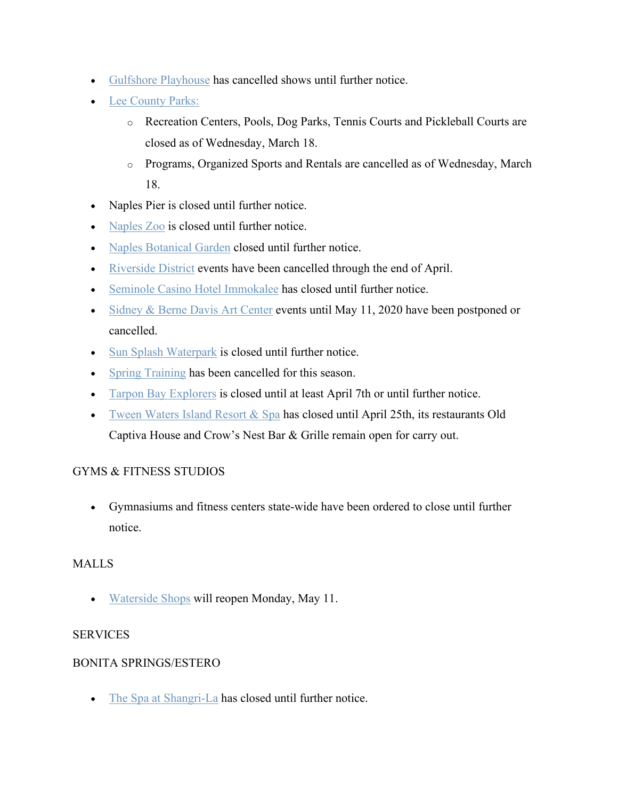- [Gulfshore Playhouse](https://www.gulfshoreplayhouse.org/update-on-programming-and-tickets/) has cancelled shows until further notice.
- [Lee County Parks:](https://www.leegov.com/covid-19)
	- o Recreation Centers, Pools, Dog Parks, Tennis Courts and Pickleball Courts are closed as of Wednesday, March 18.
	- o Programs, Organized Sports and Rentals are cancelled as of Wednesday, March 18.
- Naples Pier is closed until further notice.
- [Naples Zoo](https://www.napleszoo.org/) is closed until further notice.
- [Naples Botanical Garden](https://www.naplesgarden.org/) closed until further notice.
- [Riverside District](https://www.myriverdistrict.com/) events have been cancelled through the end of April.
- [Seminole Casino Hotel Immokalee](https://www.seminoleimmokaleecasino.com/) has closed until further notice.
- [Sidney & Berne Davis Art Center](https://www.sbdac.com/) events until May 11, 2020 have been postponed or cancelled.
- [Sun Splash Waterpark](http://sunsplashwaterpark.com/) is closed until further notice.
- [Spring Training](https://www.mlb.com/redsox/spring-training) has been cancelled for this season.
- [Tarpon Bay Explorers](https://tarponbayexplorers.com/) is closed until at least April 7th or until further notice.
- [Tween Waters Island Resort & Spa](https://tween-waters.com/) has closed until April 25th, its restaurants Old Captiva House and Crow's Nest Bar & Grille remain open for carry out.

# GYMS & FITNESS STUDIOS

• Gymnasiums and fitness centers state-wide have been ordered to close until further notice.

### MALLS

• [Waterside Shops](https://www.watersideshops.com/) will reopen Monday, May 11.

### SERVICES

### BONITA SPRINGS/ESTERO

• [The Spa at Shangri-La](http://shangrilasprings.com/spa/) has closed until further notice.